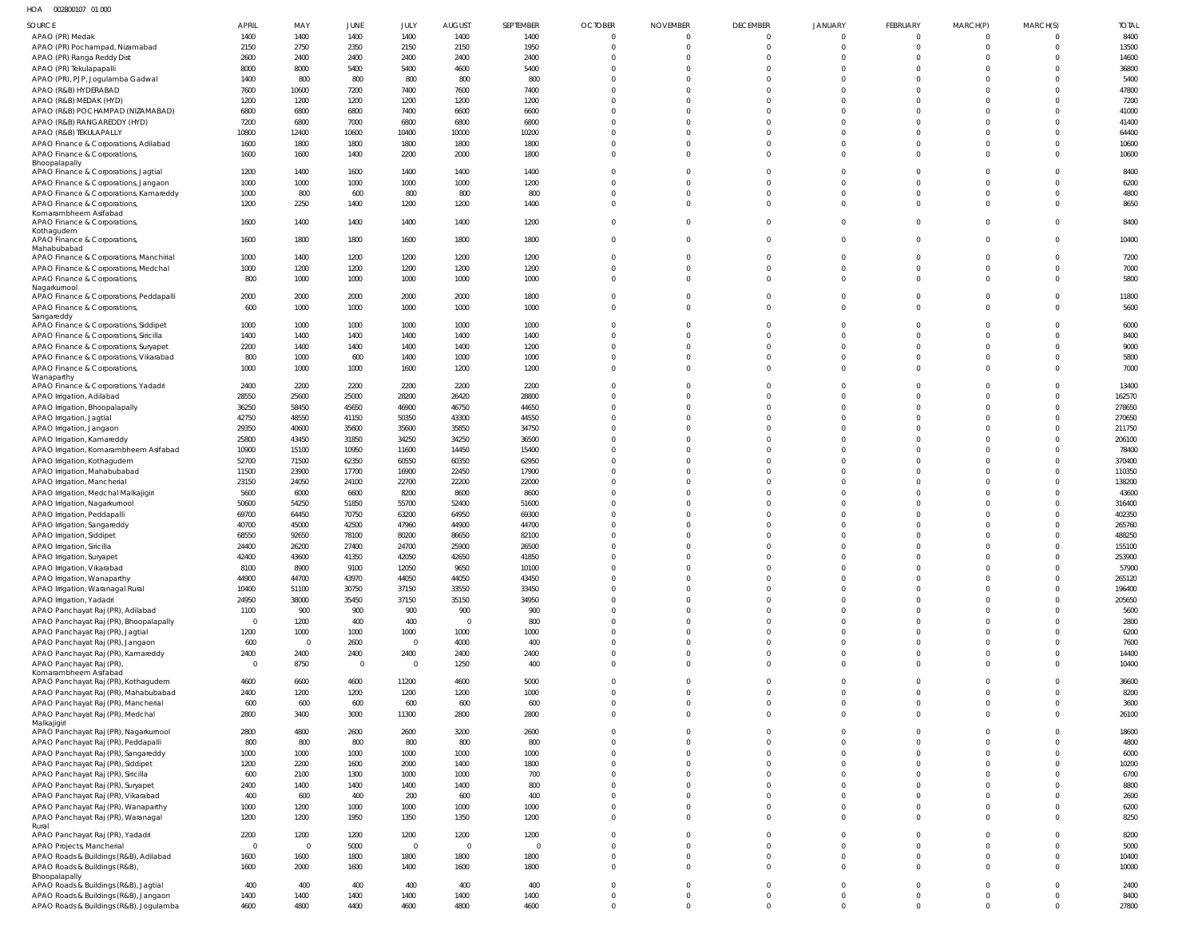HOA 002800107 01 000

| <b>SOURCE</b>                                                          | <b>APRIL</b>           | MAY            | JUNE                   | JULY                | <b>AUGUST</b>  | SEPTEMBER      | <b>OCTOBER</b>           | <b>NOVEMBER</b>          | <b>DECEMBER</b>         | <b>JANUARY</b>             | FEBRUARY                   | MARCH(P)                | MARCH(S)             | <b>TOTAL</b>     |
|------------------------------------------------------------------------|------------------------|----------------|------------------------|---------------------|----------------|----------------|--------------------------|--------------------------|-------------------------|----------------------------|----------------------------|-------------------------|----------------------|------------------|
| APAO (PR) Medak                                                        | 1400                   | 1400           | 1400                   | 1400                | 1400           | 1400           | $\overline{0}$           | $\mathbf 0$              | $\mathbf 0$             | $\mathbf 0$                | $\mathbf 0$                | $\Omega$                |                      | 8400             |
| APAO (PR) Pochampad, Nizamabad                                         | 2150                   | 2750           | 2350                   | 2150                | 2150           | 1950           | $\overline{0}$           | $\Omega$                 | $\mathbf 0$             | $\mathbf 0$                | $\mathbf 0$                | $\Omega$                | $\Omega$             | 13500            |
| APAO (PR) Ranga Reddy Dist                                             | 2600                   | 2400           | 2400                   | 2400                | 2400           | 2400           | $\Omega$                 | $\Omega$                 | $\Omega$                | $\Omega$                   | $\mathbf 0$                | $\Omega$                | $\Omega$             | 14600            |
| APAO (PR) Tekulapapalli                                                | 8000                   | 8000           | 5400                   | 5400                | 4600           | 5400           | $\Omega$                 | $\Omega$                 | $\Omega$                | $\Omega$                   | $\Omega$                   | $\Omega$                | $\Omega$             | 36800            |
| APAO (PR), PJP, Jogulamba Gadwal                                       | 1400                   | 800            | 800                    | 800                 | 800            | 800            | $\Omega$                 | $\Omega$                 | $\Omega$                | $\Omega$                   | $\Omega$                   | $\Omega$                |                      | 5400             |
| APAO (R&B) HYDERABAD                                                   | 7600                   | 10600          | 7200                   | 7400                | 7600           | 7400           | $\Omega$                 | $\Omega$                 | $\Omega$                | $\Omega$                   | $\Omega$                   | $\Omega$                | $\Omega$             | 47800            |
| APAO (R&B) MEDAK (HYD)                                                 | 1200                   | 1200           | 1200                   | 1200                | 1200           | 1200           | $\Omega$                 | $\Omega$                 | $\Omega$                | $\Omega$                   | $\Omega$                   | $\Omega$                | $\Omega$             | 7200             |
| APAO (R&B) POCHAMPAD (NIZAMABAD)                                       | 6800                   | 6800           | 6800                   | 7400                | 6600           | 6600           | $\Omega$<br>$\Omega$     | $\Omega$<br>$\Omega$     | $\Omega$<br>$\Omega$    | $\Omega$                   | $\Omega$                   | $\Omega$<br>$\Omega$    |                      | 41000            |
| APAO (R&B) RANGAREDDY (HYD)<br>APAO (R&B) TEKULAPALLY                  | 7200<br>10800          | 6800<br>12400  | 7000<br>10600          | 6800<br>10400       | 6800<br>10000  | 6800<br>10200  | $\Omega$                 | $\Omega$                 | $\Omega$                | $\mathbf 0$<br>$\Omega$    | $\mathbf 0$<br>$\Omega$    | $\Omega$                | $\Omega$<br>$\Omega$ | 41400<br>64400   |
| APAO Finance & Corporations, Adilabad                                  | 1600                   | 1800           | 1800                   | 1800                | 1800           | 1800           | $\Omega$                 | $\Omega$                 | $\mathbf 0$             | $\mathbf 0$                | $\mathbf 0$                | $\Omega$                | $\Omega$             | 10600            |
| APAO Finance & Corporations,                                           | 1600                   | 1600           | 1400                   | 2200                | 2000           | 1800           | $\Omega$                 | $\Omega$                 | $\Omega$                | $\Omega$                   | $\mathbf 0$                | $\Omega$                | $\Omega$             | 10600            |
| Bhoopalapally                                                          |                        |                |                        |                     |                |                |                          |                          |                         |                            |                            |                         |                      |                  |
| APAO Finance & Corporations, Jagtial                                   | 1200                   | 1400           | 1600                   | 1400                | 1400           | 1400           | $\Omega$                 | $\Omega$                 | $\Omega$                | $\mathbf 0$                | $\Omega$                   | 0                       |                      | 8400             |
| APAO Finance & Corporations, Jangaon                                   | 1000                   | 1000           | 1000                   | 1000                | 1000           | 1200           | $\Omega$                 | $\Omega$                 | $\Omega$                | $\Omega$                   | $\Omega$                   | $\Omega$                | $\Omega$             | 6200             |
| APAO Finance & Corporations, Kamareddy<br>APAO Finance & Corporations  | 1000<br>1200           | 800<br>2250    | 600<br>1400            | 800<br>1200         | 800<br>1200    | 800<br>1400    | $\mathbf 0$<br>$\Omega$  | $\Omega$<br>$\Omega$     | $\mathbf 0$<br>$\Omega$ | $\mathbf 0$<br>$\Omega$    | $\mathbf 0$<br>$\Omega$    | $\Omega$<br>$\Omega$    | $\Omega$<br>$\Omega$ | 4800<br>8650     |
| Komarambheem Asifabad                                                  |                        |                |                        |                     |                |                |                          |                          |                         |                            |                            |                         |                      |                  |
| APAO Finance & Corporations,                                           | 1600                   | 1400           | 1400                   | 1400                | 1400           | 1200           | $\mathbf 0$              | $\Omega$                 | $\mathbf 0$             | $\mathbf 0$                | $\mathbf 0$                | $\Omega$                |                      | 8400             |
| Kothagudem<br>APAO Finance & Corporations,                             | 1600                   | 1800           | 1800                   | 1600                | 1800           | 1800           | $\mathbf 0$              | $\Omega$                 | $\Omega$                | $\mathbf 0$                | $\mathbf 0$                | $\Omega$                | $\Omega$             | 10400            |
| Mahabubabad                                                            |                        |                |                        |                     |                |                |                          |                          |                         |                            |                            |                         |                      |                  |
| APAO Finance & Corporations, Manchirial                                | 1000                   | 1400           | 1200                   | 1200                | 1200           | 1200           | $\overline{0}$           | $\Omega$                 | $\Omega$                | $^{\circ}$                 | $^{\circ}$                 | 0                       |                      | 7200             |
| APAO Finance & Corporations, Medchal                                   | 1000                   | 1200           | 1200                   | 1200                | 1200           | 1200           | $\overline{0}$           | $\Omega$                 | $\mathbf 0$             | $\mathbf 0$                | $\mathbf 0$                | $\Omega$                | $\Omega$             | 7000             |
| APAO Finance & Corporations,                                           | 800                    | 1000           | 1000                   | 1000                | 1000           | 1000           | $\Omega$                 | $\Omega$                 | $\Omega$                | $\Omega$                   | $\Omega$                   | $\Omega$                | $\Omega$             | 5800             |
| Nagarkurnool<br>APAO Finance & Corporations, Peddapalli                | 2000                   | 2000           | 2000                   | 2000                | 2000           | 1800           | $\mathbf 0$              | $\Omega$                 | $\Omega$                | $\mathbf 0$                | $\mathbf 0$                | $\Omega$                | $\Omega$             | 11800            |
| APAO Finance & Corporations,                                           | 600                    | 1000           | 1000                   | 1000                | 1000           | 1000           | $\Omega$                 | $\Omega$                 | $\Omega$                | $\mathbf 0$                | $\mathbf 0$                | $\Omega$                | $\Omega$             | 5600             |
| Sangareddy                                                             |                        |                |                        |                     |                |                |                          |                          |                         |                            |                            |                         |                      |                  |
| APAO Finance & Corporations, Siddipet                                  | 1000                   | 1000           | 1000                   | 1000                | 1000           | 1000           | $\mathbf 0$              | $\Omega$                 | $\Omega$                | $\Omega$                   | $^{\circ}$                 | $\Omega$                | $\Omega$             | 6000             |
| APAO Finance & Corporations, Siricilla                                 | 1400                   | 1400           | 1400                   | 1400                | 1400           | 1400           | $\Omega$                 | $\Omega$                 | $\Omega$                | $\Omega$                   | $\Omega$                   | $\Omega$                |                      | 8400             |
| APAO Finance & Corporations, Suryapet                                  | 2200                   | 1400           | 1400                   | 1400                | 1400           | 1200           | $\Omega$<br>$\Omega$     | $\Omega$<br>$\Omega$     | $\Omega$                | $\Omega$                   | $\Omega$                   | $\Omega$<br>$\Omega$    | $\Omega$             | 9000             |
| APAO Finance & Corporations, Vikarabad<br>APAO Finance & Corporations, | 800<br>1000            | 1000<br>1000   | 600<br>1000            | 1400<br>1600        | 1000<br>1200   | 1000<br>1200   | $\Omega$                 | $\Omega$                 | $\mathbf 0$<br>$\Omega$ | $\mathbf 0$<br>$\Omega$    | $\mathbf 0$<br>$\Omega$    | $\Omega$                | $\Omega$<br>$\Omega$ | 5800<br>7000     |
| Wanaparthy                                                             |                        |                |                        |                     |                |                |                          |                          |                         |                            |                            |                         |                      |                  |
| APAO Finance & Corporations, Yadadri                                   | 2400                   | 2200           | 2200                   | 2200                | 2200           | 2200           | $\Omega$                 | $\Omega$                 | $\Omega$                | $^{\circ}$                 | $\Omega$                   |                         |                      | 13400            |
| APAO Irrigation, Adilabad                                              | 28550                  | 25600          | 25000                  | 28200               | 26420          | 28800          | $\Omega$                 | $\Omega$                 | $\Omega$                | $\Omega$                   | $\Omega$                   | $\Omega$                | $\Omega$             | 162570           |
| APAO Irrigation, Bhoopalapally                                         | 36250                  | 58450          | 45650                  | 46900               | 46750          | 44650          | $\Omega$                 | $\Omega$                 | $\Omega$                | $\Omega$                   | $\mathbf 0$                | $\Omega$                |                      | 278650           |
| APAO Irrigation, Jagtial                                               | 42750                  | 48550          | 41150                  | 50350               | 43300          | 44550          | $\Omega$                 | $\Omega$                 | $\Omega$                | $\Omega$                   | $\Omega$                   | $\Omega$                | $\Omega$             | 270650           |
| APAO Irrigation, Jangaon                                               | 29350                  | 40600          | 35600                  | 35600               | 35850          | 34750          | $\Omega$<br>$\Omega$     | $\Omega$                 | $\Omega$                | $\Omega$                   | $\Omega$                   | $\Omega$<br>$\Omega$    |                      | 211750           |
| APAO Irrigation, Kamareddy<br>APAO Irrigation, Komarambheem Asifabad   | 25800<br>10900         | 43450<br>15100 | 31850<br>10950         | 34250<br>11600      | 34250<br>14450 | 36500<br>15400 | $\Omega$                 | $\Omega$<br>$\Omega$     | $\Omega$<br>$\Omega$    | $\Omega$<br>$\Omega$       | $\Omega$<br>$\mathbf 0$    | $\Omega$                | $\Omega$             | 206100<br>78400  |
| APAO Irrigation, Kothagudem                                            | 52700                  | 71500          | 62350                  | 60550               | 60350          | 62950          | $\Omega$                 | $\Omega$                 | $\Omega$                | $\Omega$                   | $\Omega$                   | $\Omega$                | $\Omega$             | 370400           |
| APAO Irrigation, Mahabubabad                                           | 11500                  | 23900          | 17700                  | 16900               | 22450          | 17900          | $\Omega$                 | $\Omega$                 | $\Omega$                | $\mathbf 0$                | $\mathbf 0$                | $\Omega$                |                      | 110350           |
| APAO Irrigation, Mancherial                                            | 23150                  | 24050          | 24100                  | 22700               | 22200          | 22000          | $\Omega$                 | $\Omega$                 | $\Omega$                | $\Omega$                   | $\Omega$                   |                         |                      | 138200           |
| APAO Irrigation, Medchal Malkajigiri                                   | 5600                   | 6000           | 6600                   | 8200                | 8600           | 8600           | $\Omega$                 | $\Omega$                 | $\Omega$                | $\Omega$                   | $\mathbf 0$                | $\Omega$                |                      | 43600            |
| APAO Irrigation, Nagarkurnool                                          | 50600                  | 54250          | 51850                  | 55700               | 52400          | 51600          | $\Omega$                 | $\Omega$                 | $\Omega$                | $\Omega$                   | $\Omega$                   | $\Omega$                |                      | 316400           |
| APAO Irrigation, Peddapalli                                            | 69700                  | 64450          | 70750                  | 63200               | 64950          | 69300          | $\Omega$                 | $\Omega$                 | $\Omega$                | $\Omega$                   | $^{\circ}$                 |                         |                      | 402350           |
| APAO Irrigation, Sangareddy                                            | 40700                  | 45000          | 42500                  | 47960               | 44900          | 44700          | $\Omega$                 | $\Omega$                 | $\mathbf 0$             | $\Omega$                   | $\mathbf 0$                | $\Omega$                |                      | 265760           |
| APAO Irrigation, Siddipet                                              | 68550                  | 92650          | 78100                  | 80200               | 86650          | 82100          | $\Omega$                 | $\Omega$                 | $\Omega$                | $\Omega$                   | $\Omega$                   | $\Omega$                | $\Omega$             | 488250           |
| APAO Irrigation, Siricilla                                             | 24400<br>42400         | 26200<br>43600 | 27400<br>41350         | 24700<br>42050      | 25900<br>42650 | 26500<br>41850 | $\Omega$<br>$\Omega$     | $\Omega$<br>$\Omega$     | $\Omega$<br>$\Omega$    | $\Omega$<br>$\mathbf 0$    | $\Omega$<br>$\mathbf 0$    | $\Omega$                | $\Omega$             | 155100<br>253900 |
| APAO Irrigation, Suryapet<br>APAO Irrigation, Vikarabad                | 8100                   | 8900           | 9100                   | 12050               | 9650           | 10100          | $\mathbf 0$              | $\mathbf 0$              | $\mathbf 0$             | $\mathbf 0$                | $\mathbf 0$                | $\Omega$                | $\Omega$             | 57900            |
| APAO Irrigation, Wanaparthy                                            | 44900                  | 44700          | 43970                  | 44050               | 44050          | 43450          | $\Omega$                 | $\Omega$                 | $\Omega$                | $\mathbf 0$                | $\mathbf{0}$               | $\Omega$                | $\Omega$             | 265120           |
| APAO Irrigation, Waranagal Rural                                       | 10400                  | 51100          | 30750                  | 37150               | 33550          | 33450          | $\Omega$                 | $\Omega$                 | $\Omega$                | $\Omega$                   | $\Omega$                   | $\Omega$                | $\Omega$             | 196400           |
| APAO Irrigation, Yadadri                                               | 24950                  | 38000          | 35450                  | 37150               | 35150          | 34950          | $\Omega$                 | $\Omega$                 | $\Omega$                | $\mathbf 0$                | $\mathbf 0$                | $\Omega$                | $\Omega$             | 205650           |
| APAO Panchayat Raj (PR), Adilabad                                      | 1100                   | 900            | 900                    | 900                 | 900            | 900            | $\Omega$                 | $\mathbf{0}$             | $\Omega$                | $\Omega$                   | $\Omega$                   | $\Omega$                | $\Omega$             | 5600             |
| APAO Panchayat Raj (PR), Bhoopalapally                                 | $\overline{0}$         | 1200           | 400                    | 400                 | $\overline{0}$ | 800            | $\Omega$                 | $\Omega$                 | $\Omega$                | $\mathbf 0$                | $\mathbf 0$                | $\Omega$                | $\Omega$             | 2800             |
| APAO Panchayat Raj (PR), Jagtial                                       | 1200                   | 1000           | 1000                   | 1000                | 1000           | 1000           | $\Omega$                 | $\Omega$                 | $\Omega$                | $\Omega$                   | $\Omega$                   | $\Omega$                | $\Omega$             | 6200             |
| APAO Panchayat Raj (PR), Jangaon                                       | 600                    | $\overline{0}$ | 2600                   | $\mathbf 0$         | 4000           | 400            | $\Omega$                 | $\Omega$                 | $\Omega$                | $\mathbf 0$                | $\mathbf 0$                | $\Omega$                | $\Omega$             | 7600             |
| APAO Panchayat Raj (PR), Kamareddy                                     | 2400<br>$\overline{0}$ | 2400<br>8750   | 2400<br>$\overline{0}$ | 2400<br>$\mathbf 0$ | 2400<br>1250   | 2400<br>400    | $\mathbf{0}$<br>$\Omega$ | $\mathbf{0}$<br>$\Omega$ | $\Omega$<br>$\Omega$    | $\mathbf 0$<br>$\Omega$    | $\mathbf 0$<br>$\Omega$    | $\Omega$<br>$\Omega$    | $\Omega$<br>$\Omega$ | 14400<br>10400   |
| APAO Panchayat Raj (PR),<br>Komarambheem Asifabad                      |                        |                |                        |                     |                |                |                          |                          |                         |                            |                            |                         |                      |                  |
| APAO Panchayat Raj (PR), Kothagudem                                    | 4600                   | 6600           | 4600                   | 11200               | 4600           | 5000           | $\Omega$                 | $\mathbf 0$              | $\Omega$                | $\mathbf 0$                | $\mathbf 0$                | $\Omega$                | $\Omega$             | 36600            |
| APAO Panchayat Raj (PR), Mahabubabad                                   | 2400                   | 1200           | 1200                   | 1200                | 1200           | 1000           | $\mathbf 0$              | $\mathbf 0$              | $\mathbf 0$             | $\mathbf 0$                | $\mathbf 0$                | $\Omega$                | $\Omega$             | 8200             |
| APAO Panchayat Raj (PR), Mancherial                                    | 600                    | 600            | 600                    | 600                 | 600            | 600            | $\mathbf 0$              | $\mathbf 0$              | $\mathbf 0$             | $\mathbf 0$                | $\mathbf 0$                | $\Omega$                | $\Omega$             | 3600             |
| APAO Panchayat Raj (PR), Medchal<br>Malkajigiri                        | 2800                   | 3400           | 3000                   | 11300               | 2800           | 2800           | $\mathbf 0$              | $\mathbf 0$              | $\Omega$                | $\mathbf 0$                | $\mathbf 0$                | $\Omega$                | $\Omega$             | 26100            |
| APAO Panchayat Raj (PR), Nagarkurnool                                  | 2800                   | 4800           | 2600                   | 2600                | 3200           | 2600           | $\mathbf 0$              | $\mathbf 0$              | $\Omega$                | $\Omega$                   | $\mathbf 0$                | $\Omega$                | $\Omega$             | 18600            |
| APAO Panchayat Raj (PR), Peddapalli                                    | 800                    | 800            | 800                    | 800                 | 800            | 800            | $\mathbf 0$              | $\Omega$                 | $\Omega$                | $\mathbf 0$                | $\mathbf 0$                | $\Omega$                | $\Omega$             | 4800             |
| APAO Panchayat Raj (PR), Sangareddy                                    | 1000                   | 1000           | 1000                   | 1000                | 1000           | 1000           | $\mathbf 0$              | $\mathbf 0$              | $\Omega$                | $\mathbf 0$                | $\mathbf 0$                | $\Omega$                | $\Omega$             | 6000             |
| APAO Panchayat Raj (PR), Siddipet                                      | 1200                   | 2200           | 1600                   | 2000                | 1400           | 1800           | $\Omega$                 | $\Omega$                 | $\Omega$                | $\mathbf 0$                | $\mathbf 0$                | $\Omega$                | $\Omega$             | 10200            |
| APAO Panchayat Raj (PR), Siricilla                                     | 600                    | 2100           | 1300                   | 1000                | 1000           | 700            | $\Omega$                 | $\Omega$                 | $\Omega$                | $\Omega$                   | $\Omega$                   | $\Omega$                | $\Omega$             | 6700             |
| APAO Panchayat Raj (PR), Suryapet                                      | 2400                   | 1400           | 1400                   | 1400                | 1400           | 800            | $\Omega$                 | $\Omega$                 | $\Omega$                | $\mathbf 0$                | $\mathbf 0$                | $\Omega$                | $\Omega$             | 8800             |
| APAO Panchayat Raj (PR), Vikarabad                                     | 400                    | 600            | 400                    | 200                 | 600            | 400            | $\Omega$                 | $\mathbf 0$              | $\Omega$                | $\mathbf 0$                | $\mathbf 0$                | $\Omega$                | $\Omega$             | 2600             |
| APAO Panchayat Raj (PR), Wanaparthy                                    | 1000<br>1200           | 1200<br>1200   | 1000<br>1950           | 1000<br>1350        | 1000<br>1350   | 1000<br>1200   | $\mathbf 0$<br>$\Omega$  | $\mathbf 0$<br>$\Omega$  | $\mathbf 0$<br>$\Omega$ | $\mathbf 0$<br>$\mathbf 0$ | $\mathbf 0$<br>$\mathbf 0$ | $\mathbf 0$<br>$\Omega$ | $\Omega$<br>$\Omega$ | 6200<br>8250     |
| APAO Panchayat Raj (PR), Waranagal<br>Rural                            |                        |                |                        |                     |                |                |                          |                          |                         |                            |                            |                         |                      |                  |
| APAO Panchayat Raj (PR), Yadadri                                       | 2200                   | 1200           | 1200                   | 1200                | 1200           | 1200           | $\mathbf 0$              | $\Omega$                 | $\mathbf 0$             | $\mathbf 0$                | $\mathbf 0$                | $\Omega$                | $\Omega$             | 8200             |
| APAO Projects, Mancherial                                              | $\overline{0}$         | $\overline{0}$ | 5000                   | $\overline{0}$      | $\overline{0}$ | $\overline{0}$ | $\mathbf 0$              | $\mathbf 0$              | $\Omega$                | $\mathbf 0$                | $\mathbf 0$                | $\Omega$                | $\Omega$             | 5000             |
| APAO Roads & Buildings (R&B), Adilabad                                 | 1600                   | 1600           | 1800                   | 1800                | 1800           | 1800           | $\mathbf 0$              | $\mathbf 0$              | $\mathbf 0$             | $\mathbf 0$                | $\mathbf 0$                | $\mathbf 0$             | $\Omega$             | 10400            |
| APAO Roads & Buildings (R&B)                                           | 1600                   | 2000           | 1600                   | 1400                | 1600           | 1800           | $\Omega$                 | $\overline{0}$           | $\mathbf 0$             | $\mathbf 0$                | $\mathbf 0$                | $\Omega$                | $\Omega$             | 10000            |
| Bhoopalapally<br>APAO Roads & Buildings (R&B), Jagtial                 | 400                    | 400            | 400                    | 400                 | 400            | 400            | $\mathbf 0$              | $\mathbf 0$              | $\mathbf 0$             | $\mathbf 0$                | $\mathbf 0$                | $\mathbf 0$             | $\Omega$             | 2400             |
| APAO Roads & Buildings (R&B), Jangaon                                  | 1400                   | 1400           | 1400                   | 1400                | 1400           | 1400           | $\mathbf 0$              | $\overline{0}$           | $\mathbf 0$             | $\mathbf 0$                | $\mathbf 0$                | $\mathbf 0$             | $\Omega$             | 8400             |
| APAO Roads & Buildings (R&B), Jogulamba                                | 4600                   | 4800           | 4400                   | 4600                | 4800           | 4600           | $\overline{0}$           | $\overline{0}$           | $\mathbf 0$             | $\mathbf 0$                | $\mathbf 0$                | $\mathbf 0$             | $\mathbf 0$          | 27800            |
|                                                                        |                        |                |                        |                     |                |                |                          |                          |                         |                            |                            |                         |                      |                  |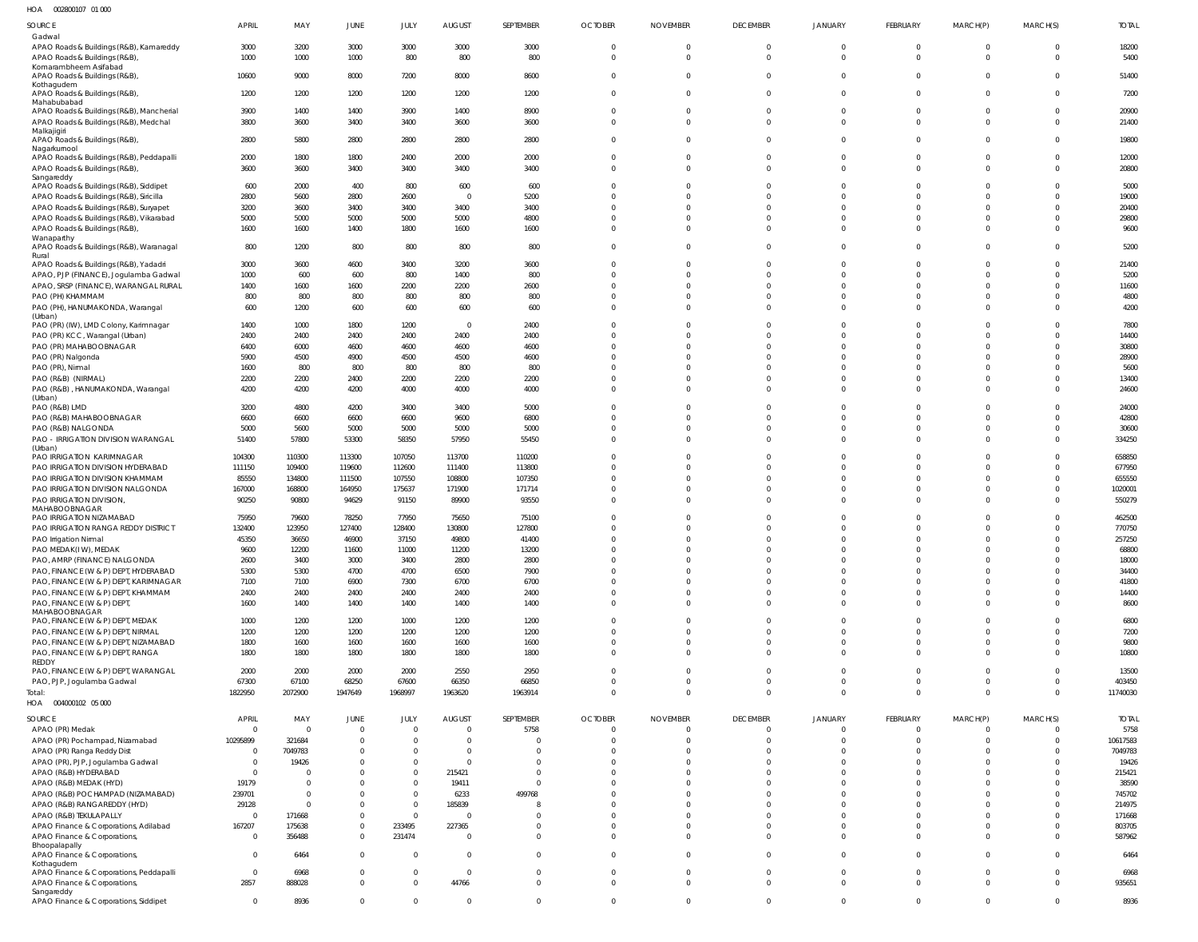002800107 01 000 HOA

| SOURCE                                                                  | APRIL                    | MAY              | JUNE                    | JULY                    | <b>AUGUST</b>     | SEPTEMBER        | <b>OCTOBER</b>                   | <b>NOVEMBER</b>                  | <b>DECEMBER</b>      | <b>JANUARY</b>              | FEBRUARY             | MARCH(P)                         | MARCH(S)                   | <b>TOTAL</b>     |
|-------------------------------------------------------------------------|--------------------------|------------------|-------------------------|-------------------------|-------------------|------------------|----------------------------------|----------------------------------|----------------------|-----------------------------|----------------------|----------------------------------|----------------------------|------------------|
| Gadwal                                                                  |                          |                  |                         |                         |                   |                  |                                  |                                  |                      |                             |                      |                                  |                            |                  |
| APAO Roads & Buildings (R&B), Kamareddy<br>APAO Roads & Buildings (R&B) | 3000<br>1000             | 3200<br>1000     | 3000<br>1000            | 3000<br>800             | 3000<br>800       | 3000<br>800      | $\overline{0}$<br>$\overline{0}$ | $\overline{0}$<br>$\overline{0}$ | $\Omega$<br>$\Omega$ | $\mathbf{0}$<br>$\mathbf 0$ | $\Omega$<br>$\Omega$ | $\overline{0}$<br>$\overline{0}$ | $\mathbf 0$<br>$\mathbf 0$ | 18200<br>5400    |
| Komarambheem Asifabad<br>APAO Roads & Buildings (R&B)                   | 10600                    | 9000             | 8000                    | 7200                    | 8000              | 8600             | $\overline{0}$                   | $\overline{0}$                   | $\Omega$             | $\mathbf 0$                 | $\Omega$             | $\mathbf{0}$                     | $\mathbf 0$                | 51400            |
| Kothagudem<br>APAO Roads & Buildings (R&B)<br>Mahabubabad               | 1200                     | 1200             | 1200                    | 1200                    | 1200              | 1200             | $\overline{0}$                   | $\overline{0}$                   | $\Omega$             | $\Omega$                    | $\Omega$             | $\mathbf{0}$                     | $\mathbf 0$                | 7200             |
| APAO Roads & Buildings (R&B), Mancherial                                | 3900                     | 1400             | 1400                    | 3900                    | 1400              | 8900             | $\overline{0}$                   | $\mathbf 0$                      | $\Omega$             | $\Omega$                    | $\Omega$             | $\mathbf 0$                      | $\Omega$                   | 20900            |
| APAO Roads & Buildings (R&B), Medchal                                   | 3800                     | 3600             | 3400                    | 3400                    | 3600              | 3600             | $\overline{0}$                   | $\overline{0}$                   | $\Omega$             | $\Omega$                    | $\Omega$             | $\Omega$                         | $\Omega$                   | 21400            |
| Malkajigiri<br>APAO Roads & Buildings (R&B),<br>Nagarkurnool            | 2800                     | 5800             | 2800                    | 2800                    | 2800              | 2800             | $\overline{0}$                   | $\Omega$                         | $\Omega$             | $\Omega$                    | $\Omega$             | $\Omega$                         | $\Omega$                   | 19800            |
| APAO Roads & Buildings (R&B), Peddapalli                                | 2000                     | 1800             | 1800                    | 2400                    | 2000              | 2000             | $\mathbf 0$                      | $\mathbf 0$                      | $\Omega$             | $\Omega$                    | $\Omega$             | $\overline{0}$                   | $\Omega$                   | 12000            |
| APAO Roads & Buildings (R&B),<br>Sangareddy                             | 3600                     | 3600             | 3400                    | 3400                    | 3400              | 3400             | $\mathbf 0$                      | $\Omega$                         | $\Omega$             | $\Omega$                    | $\Omega$             | $\Omega$                         | $\Omega$                   | 20800            |
| APAO Roads & Buildings (R&B), Siddipet                                  | 600                      | 2000             | 400                     | 800                     | 600               | 600              | $\Omega$                         | $\Omega$                         | $\Omega$             | $\Omega$                    | $\Omega$             | $\Omega$                         | $\Omega$                   | 5000             |
| APAO Roads & Buildings (R&B), Siricilla                                 | 2800                     | 5600             | 2800                    | 2600                    | $\overline{0}$    | 5200             | $\Omega$                         | $\Omega$                         | $\Omega$             | $\Omega$                    | $\Omega$             | $\Omega$                         | $\Omega$                   | 19000            |
| APAO Roads & Buildings (R&B), Suryapet                                  | 3200                     | 3600             | 3400                    | 3400                    | 3400              | 3400             | $\Omega$                         | $\Omega$                         | $\Omega$             | $\Omega$                    | $\Omega$             | $\Omega$                         | $\Omega$                   | 20400            |
| APAO Roads & Buildings (R&B), Vikarabad                                 | 5000                     | 5000             | 5000                    | 5000                    | 5000              | 4800             | $\Omega$                         | $\Omega$                         | $\Omega$             | $\Omega$                    | $\Omega$             | $\Omega$                         | $\Omega$                   | 29800            |
| APAO Roads & Buildings (R&B)<br>Wanaparthy                              | 1600                     | 1600             | 1400                    | 1800                    | 1600              | 1600             | $\overline{0}$                   | $\overline{0}$                   | $\Omega$             | $\Omega$                    | $\Omega$             | $\mathbf 0$                      | $\Omega$                   | 9600             |
| APAO Roads & Buildings (R&B), Waranagal<br>Rural                        | 800                      | 1200             | 800                     | 800                     | 800               | 800              | $\overline{0}$                   | $\mathbf 0$                      | $\Omega$             | $\Omega$                    | $\Omega$             | $\mathbf 0$                      | $\Omega$                   | 5200             |
| APAO Roads & Buildings (R&B), Yadadri                                   | 3000                     | 3600             | 4600                    | 3400                    | 3200              | 3600             | $\Omega$                         | $\Omega$                         | $\Omega$             | $\Omega$                    | $\Omega$             | $\Omega$                         | $\Omega$                   | 21400            |
| APAO, PJP (FINANCE), Jogulamba Gadwal                                   | 1000                     | 600              | 600                     | 800                     | 1400              | 800              | $\Omega$                         | $\Omega$                         | $\Omega$             | $\Omega$                    | $\Omega$             | $\Omega$                         | $\Omega$                   | 5200             |
| APAO, SRSP (FINANCE), WARANGAL RURAL                                    | 1400                     | 1600             | 1600                    | 2200                    | 2200              | 2600             | $\Omega$                         | $\Omega$                         | $\Omega$             | $\Omega$                    | $\Omega$             | $\Omega$                         | $\Omega$                   | 11600            |
| PAO (PH) KHAMMAM                                                        | 800                      | 800              | 800                     | 800                     | 800               | 800              | $\Omega$                         | $\mathbf 0$                      | $\Omega$             | $\Omega$                    | $\Omega$             | $\Omega$                         | $\Omega$                   | 4800             |
| PAO (PH), HANUMAKONDA, Warangal                                         | 600                      | 1200             | 600                     | 600                     | 600               | 600              | $\Omega$                         | $\Omega$                         | $\Omega$             | $\Omega$                    | $\Omega$             | $\Omega$                         | $\Omega$                   | 4200             |
| (Urban)<br>PAO (PR) (IW), LMD Colony, Karimnagar                        | 1400                     | 1000             | 1800                    | 1200                    | $\overline{0}$    | 2400             | $\Omega$                         | $\Omega$                         | $\Omega$             | $\Omega$                    | $\Omega$             | $\Omega$                         | $\Omega$                   | 7800             |
| PAO (PR) KCC, Warangal (Urban)                                          | 2400                     | 2400             | 2400                    | 2400                    | 2400              | 2400             | $\Omega$                         | $\Omega$                         | $\Omega$             | $\Omega$                    | $\Omega$             | $\Omega$                         | $\Omega$                   | 14400            |
| PAO (PR) MAHABOOBNAGAR                                                  | 6400                     | 6000             | 4600                    | 4600                    | 4600              | 4600             | $\Omega$                         | $\Omega$                         | $\Omega$             | $\Omega$                    | $\Omega$             | $\Omega$                         | $\Omega$                   | 30800            |
| PAO (PR) Nalgonda                                                       | 5900                     | 4500             | 4900                    | 4500                    | 4500              | 4600             | $\Omega$                         | $\Omega$                         | $\Omega$             | $\Omega$                    | $\Omega$             | $\Omega$                         | $\Omega$                   | 28900            |
| PAO (PR), Nirmal                                                        | 1600                     | 800              | 800                     | 800                     | 800               | 800              | $\Omega$                         | $\Omega$                         | $\Omega$             | $\Omega$                    | $\Omega$             | $\Omega$                         | $\Omega$                   | 5600             |
| PAO (R&B) (NIRMAL)                                                      | 2200                     | 2200             | 2400                    | 2200                    | 2200              | 2200             | $\Omega$                         | $\Omega$                         | $\Omega$             | $\Omega$                    | $\Omega$             | $\Omega$                         | $\Omega$                   | 13400            |
| PAO (R&B), HANUMAKONDA, Warangal                                        | 4200                     | 4200             | 4200                    | 4000                    | 4000              | 4000             | $\Omega$                         | $\Omega$                         | $\Omega$             | $\Omega$                    | $\Omega$             | $\Omega$                         | $\Omega$                   | 24600            |
| (Urban)<br>PAO (R&B) LMD                                                | 3200                     | 4800             | 4200                    | 3400                    | 3400              | 5000             | $\Omega$                         | $\Omega$                         | $\Omega$             | $\Omega$                    | $\Omega$             | $\Omega$                         | $\Omega$                   | 24000            |
| PAO (R&B) MAHABOOBNAGAR                                                 | 6600                     | 6600             | 6600                    | 6600                    | 9600              | 6800             | $\Omega$                         | $\Omega$                         | $\Omega$             | $\Omega$                    | $\Omega$             | $\Omega$                         | $\Omega$                   | 42800            |
| PAO (R&B) NALGONDA                                                      | 5000                     | 5600             | 5000                    | 5000                    | 5000              | 5000             | $\mathbf{0}$                     | $\mathbf 0$                      | $\Omega$             | $\Omega$                    | $\Omega$             | $\Omega$                         | $\Omega$                   | 30600            |
| PAO - IRRIGATION DIVISION WARANGAL                                      | 51400                    | 57800            | 53300                   | 58350                   | 57950             | 55450            | $\Omega$                         | $\Omega$                         | $\Omega$             | $\Omega$                    | $\Omega$             | $\Omega$                         | $\Omega$                   | 334250           |
| (Urban)                                                                 |                          |                  |                         |                         |                   |                  | $\Omega$                         | $\Omega$                         | $\Omega$             | $\Omega$                    | $\Omega$             | $\Omega$                         | $\Omega$                   |                  |
| PAO IRRIGATION KARIMNAGAR<br>PAO IRRIGATION DIVISION HYDERABAD          | 104300<br>111150         | 110300<br>109400 | 113300<br>119600        | 107050<br>112600        | 113700<br>111400  | 110200<br>113800 | $\Omega$                         | $\Omega$                         | $\Omega$             | $\Omega$                    | $\Omega$             | $\Omega$                         | $\Omega$                   | 658850<br>677950 |
| PAO IRRIGATION DIVISION KHAMMAM                                         | 85550                    | 134800           | 111500                  | 107550                  | 108800            | 107350           | $\Omega$                         | $\Omega$                         | $\Omega$             | $\Omega$                    | $\Omega$             | $\Omega$                         | $\Omega$                   | 655550           |
| PAO IRRIGATION DIVISION NALGONDA                                        | 167000                   | 168800           | 164950                  | 175637                  | 171900            | 171714           | $\mathbf{0}$                     | $\mathbf 0$                      | $\Omega$             | $\Omega$                    | $\Omega$             | $\Omega$                         | $\Omega$                   | 1020001          |
| PAO IRRIGATION DIVISION,                                                | 90250                    | 90800            | 94629                   | 91150                   | 89900             | 93550            | $\Omega$                         | $\Omega$                         | $\Omega$             | $\Omega$                    | $\Omega$             | $\Omega$                         | $\Omega$                   | 550279           |
| MAHABOOBNAGAR                                                           |                          |                  |                         |                         |                   |                  |                                  |                                  |                      |                             |                      |                                  |                            |                  |
| PAO IRRIGATION NIZAMABAD                                                | 75950                    | 79600            | 78250                   | 77950                   | 75650             | 75100            | $\Omega$                         | $\Omega$                         | $\Omega$             | $\Omega$                    | $\Omega$             | $\Omega$                         | $\Omega$                   | 462500           |
| PAO IRRIGATION RANGA REDDY DISTRICT                                     | 132400                   | 123950           | 127400<br>46900         | 128400                  | 130800<br>49800   | 127800<br>41400  | $\Omega$<br>$\Omega$             | $\Omega$<br>$\Omega$             | $\Omega$<br>$\Omega$ | $\Omega$<br>$\Omega$        | $\Omega$<br>$\Omega$ | $\Omega$<br>$\Omega$             | $\Omega$<br>$\Omega$       | 770750<br>257250 |
| PAO Irrigation Nirmal<br>PAO MEDAK(I W), MEDAK                          | 45350<br>9600            | 36650<br>12200   | 11600                   | 37150<br>11000          | 11200             | 13200            | $\cap$                           | $\Omega$                         | $\Omega$             | $\Omega$                    | $\Omega$             | $\Omega$                         | $\Omega$                   | 68800            |
| PAO, AMRP (FINANCE) NALGONDA                                            | 2600                     | 3400             | 3000                    | 3400                    | 2800              | 2800             | $\Omega$                         | $\Omega$                         |                      |                             | $\Omega$             | C                                | $\Omega$                   | 18000            |
| PAO, FINANCE (W & P) DEPT, HYDERABAD                                    | 5300                     | 5300             | 4700                    | 4700                    | 6500              | 7900             | $\mathbf{0}$                     | $\Omega$                         | $\Omega$             | $\Omega$                    | $\Omega$             | $\Omega$                         | $\Omega$                   | 34400            |
| PAO, FINANCE (W & P) DEPT, KARIMNAGAR                                   | 7100                     | 7100             | 6900                    | 7300                    | 6700              | 6700             | $\Omega$                         | $\Omega$                         | $\Omega$             | $\Omega$                    | $\Omega$             | $\Omega$                         | $\Omega$                   | 41800            |
| PAO, FINANCE (W & P) DEPT, KHAMMAM                                      | 2400                     | 2400             | 2400                    | 2400                    | 2400              | 2400             | $\Omega$                         | $\Omega$                         | $\Omega$             | $\Omega$                    | $\Omega$             | $\Omega$                         | $\Omega$                   | 14400            |
| PAO, FINANCE (W & P) DEPT,                                              | 1600                     | 1400             | 1400                    | 1400                    | 1400              | 1400             | $\Omega$                         | $\Omega$                         | $\Omega$             | $\Omega$                    | $\Omega$             | $\Omega$                         | $\Omega$                   | 8600             |
| MAHABOOBNAGAR<br>PAO, FINANCE (W & P) DEPT, MEDAK                       | 1000                     | 1200             | 1200                    | 1000                    | 1200              | 1200             | $\Omega$                         | $\Omega$                         | $\Omega$             | $\Omega$                    | $\Omega$             | $\Omega$                         | $\Omega$                   | 6800             |
| PAO, FINANCE (W & P) DEPT, NIRMAL                                       | 1200                     | 1200             | 1200                    | 1200                    | 1200              | 1200             | $\Omega$                         | $\Omega$                         | $\Omega$             | $\Omega$                    | $\Omega$             | $\Omega$                         | $\Omega$                   | 7200             |
| PAO, FINANCE (W & P) DEPT, NIZAMABAD                                    | 1800                     | 1600             | 1600                    | 1600                    | 1600              | 1600             | $\mathbf{0}$                     | $\overline{0}$                   | $\Omega$             | $\Omega$                    | $\Omega$             | $\mathbf{0}$                     | $\Omega$                   | 9800             |
| PAO, FINANCE (W & P) DEPT, RANGA                                        | 1800                     | 1800             | 1800                    | 1800                    | 1800              | 1800             | $\Omega$                         | $\Omega$                         | $\Omega$             | $\Omega$                    | $\Omega$             | $\Omega$                         | $\Omega$                   | 10800            |
| REDDY<br>PAO, FINANCE (W & P) DEPT, WARANGAL                            | 2000                     | 2000             | 2000                    | 2000                    | 2550              | 2950             | $\Omega$                         | $\Omega$                         | $\Omega$             | $\Omega$                    | $\Omega$             | $\Omega$                         | $\Omega$                   | 13500            |
| PAO, PJP, Jogulamba Gadwal                                              | 67300                    | 67100            | 68250                   | 67600                   | 66350             | 66850            | $\mathbf 0$                      | $\overline{0}$                   | $\Omega$             | $\mathbf 0$                 | $\Omega$             | $\overline{0}$                   | $\Omega$                   | 403450           |
| Total:                                                                  | 1822950                  | 2072900          | 1947649                 | 1968997                 | 1963620           | 1963914          | $\overline{0}$                   | $\overline{0}$                   | $\Omega$             | $\Omega$                    | $\Omega$             | $\overline{0}$                   | $\Omega$                   | 11740030         |
| HOA   004000102   05   000                                              |                          |                  |                         |                         |                   |                  |                                  |                                  |                      |                             |                      |                                  |                            |                  |
| SOURCE                                                                  | <b>APRIL</b>             | MAY              | JUNE                    | JULY                    | <b>AUGUST</b>     | SEPTEMBER        | <b>OCTOBER</b>                   | <b>NOVEMBER</b>                  | <b>DECEMBER</b>      | <b>JANUARY</b>              | FEBRUARY             | MARCH(P)                         | MARCH(S)                   | <b>TOTAL</b>     |
| APAO (PR) Medak                                                         | $\overline{0}$           | $\Omega$         | $\overline{0}$          | $\Omega$                | $\Omega$          | 5758             | $\mathbf 0$                      | $\mathbf 0$                      | $\Omega$             | $\Omega$                    | $\Omega$             | $\Omega$                         | $\Omega$                   | 5758             |
| APAO (PR) Pochampad, Nizamabad                                          | 10295899                 | 321684           | $\mathbf{0}$            | $\Omega$                | $\Omega$          | $\Omega$         | $\mathbf{0}$                     | $\Omega$                         | $\Omega$             | $\Omega$                    | $\Omega$             | $\Omega$                         | $\Omega$                   | 10617583         |
| APAO (PR) Ranga Reddy Dist                                              | $\overline{0}$           | 7049783          | $\Omega$                | $\Omega$                | $\Omega$          | $\Omega$         | $\Omega$                         | $\Omega$                         | $\Omega$             | $\Omega$                    | $\Omega$             | $\Omega$                         | $\Omega$                   | 7049783          |
| APAO (PR), PJP, Jogulamba Gadwal                                        | $\overline{0}$           | 19426            | $\Omega$                | $\Omega$                | $\Omega$          | $\Omega$         | $\Omega$                         | $\Omega$                         |                      | $\Omega$                    | $\Omega$             | $\Omega$                         | <sup>0</sup>               | 19426            |
| APAO (R&B) HYDERABAD                                                    | $\overline{0}$           |                  | $\Omega$                | $\Omega$                | 215421            | $\Omega$         | $\Omega$                         | $\Omega$                         |                      | $\Omega$                    | $\Omega$             | $\Omega$                         |                            | 215421           |
| APAO (R&B) MEDAK (HYD)                                                  | 19179                    | - 0              | $\Omega$                | $\Omega$                | 19411             | $\Omega$         | $\Omega$                         | $\Omega$                         |                      | $\Omega$                    | $\Omega$             | $\Omega$                         | <sup>0</sup>               | 38590            |
| APAO (R&B) POCHAMPAD (NIZAMABAD)                                        | 239701                   | - 0              | <sup>0</sup>            | $\Omega$                | 6233              | 499768           | $\Omega$                         | $\Omega$                         |                      | $\Omega$                    | $\Omega$             | $\Omega$                         | $\Omega$                   | 745702           |
| APAO (R&B) RANGAREDDY (HYD)                                             | 29128                    |                  | $\Omega$<br>$\mathbf 0$ | $\Omega$<br>$\mathbf 0$ | 185839<br>$\circ$ | $\Omega$         | $\Omega$<br>$\Omega$             | $\Omega$<br>$\Omega$             |                      | $\Omega$<br>$\Omega$        | $\Omega$<br>$\Omega$ | $\Omega$<br>$\Omega$             | <sup>0</sup><br>$\Omega$   | 214975           |
| APAO (R&B) TEKULAPALLY<br>APAO Finance & Corporations, Adilabad         | $\overline{0}$<br>167207 | 171668<br>175638 | $\mathbf{0}$            | 233495                  | 227365            | $\Omega$         | $\Omega$                         | $\Omega$                         | $\Omega$             | $\Omega$                    | $\Omega$             | $\Omega$                         | <sup>0</sup>               | 171668<br>803705 |
| APAO Finance & Corporations,                                            | $\overline{0}$           | 356488           | $\mathbf 0$             | 231474                  | $\overline{0}$    | $\Omega$         | $\Omega$                         | $\Omega$                         | $\Omega$             | $\Omega$                    | $\Omega$             | $\Omega$                         | $\Omega$                   | 587962           |
| Bhoopalapally                                                           |                          |                  |                         |                         |                   |                  |                                  |                                  |                      |                             |                      |                                  |                            |                  |
| APAO Finance & Corporations,                                            | $\overline{0}$           | 6464             | $\overline{0}$          | $\Omega$                | $\mathbf 0$       | $\mathbf{0}$     | $\Omega$                         | $\Omega$                         | $\Omega$             | $\Omega$                    | $\Omega$             | $\Omega$                         | $\Omega$                   | 6464             |
| Kothagudem<br>APAO Finance & Corporations, Peddapalli                   | $\overline{0}$           | 6968             | $\overline{0}$          | 0                       | $\mathbf 0$       | $\Omega$         | $\mathbf{0}$                     | $\mathbf 0$                      | $\Omega$             | $\Omega$                    | $\Omega$             | $\mathbf{0}$                     | $\Omega$                   | 6968             |
| APAO Finance & Corporations,                                            | 2857                     | 888028           | $\mathbf{0}$            | $\Omega$                | 44766             | $\Omega$         | $\Omega$                         | $\Omega$                         | $\Omega$             | $\Omega$                    | $\Omega$             | $\Omega$                         | $\Omega$                   | 935651           |
| Sangareddy                                                              |                          |                  |                         |                         |                   |                  |                                  |                                  |                      |                             |                      |                                  |                            |                  |
| APAO Finance & Corporations, Siddipet                                   | $\mathbf 0$              | 8936             | $\mathbf 0$             | $\mathbf 0$             | $\mathbf 0$       | $\mathbf{0}$     | $\mathbf{0}$                     | $\mathbf{0}$                     | $\mathbf 0$          | $\mathbf 0$                 | $\mathbf{0}$         | $\mathbf 0$                      | $\mathbf 0$                | 8936             |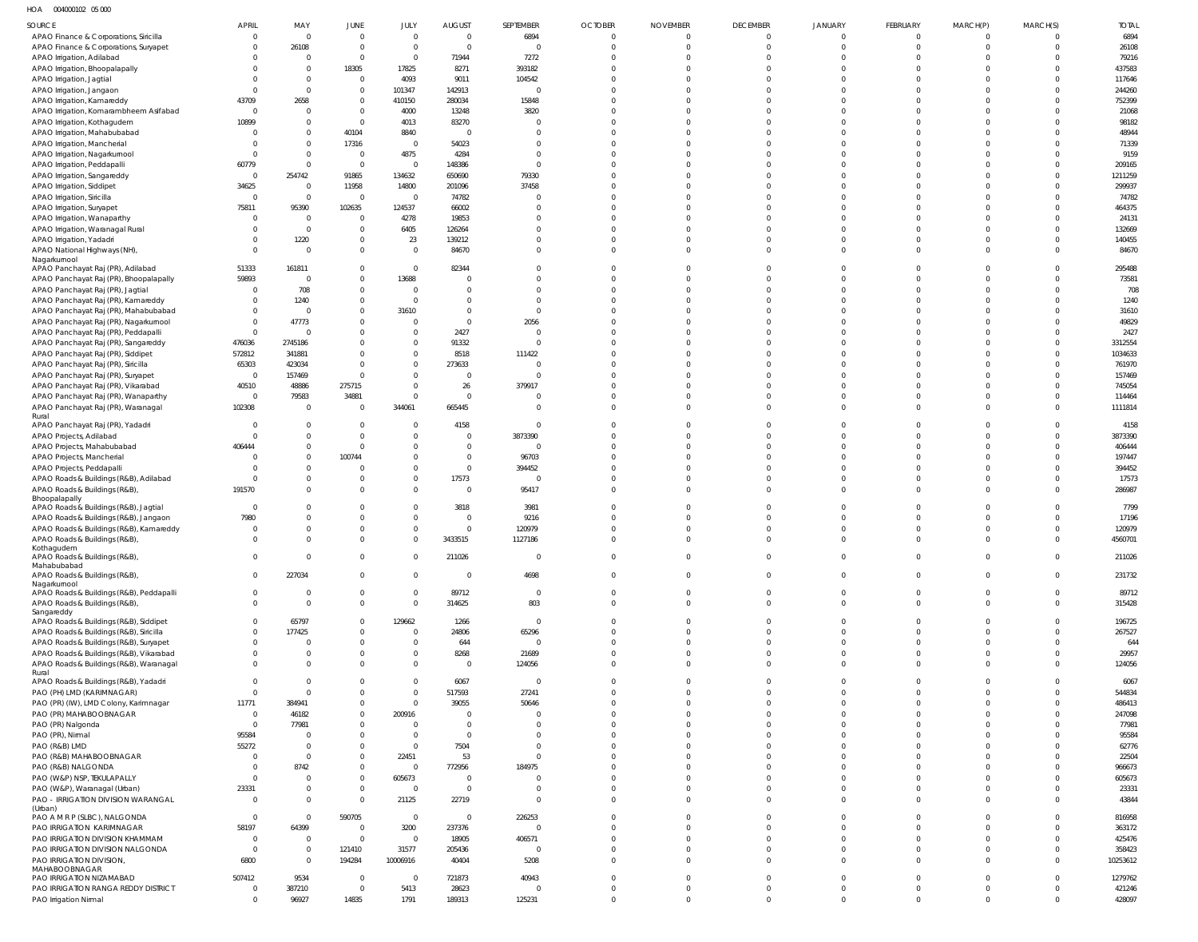HOA 004000102 05 000

| SOURCE                                                                     | <b>APRIL</b>      | MAY                      | JUNE                             | JULY                         | <b>AUGUST</b>              | SEPTEMBER                | <b>OCTOBER</b>             | <b>NOVEMBER</b>         | <b>DECEMBER</b>      | <b>JANUARY</b>       | FEBRUARY             | MARCH(P)             | MARCH(S)             | <b>TOTAL</b>       |
|----------------------------------------------------------------------------|-------------------|--------------------------|----------------------------------|------------------------------|----------------------------|--------------------------|----------------------------|-------------------------|----------------------|----------------------|----------------------|----------------------|----------------------|--------------------|
| APAO Finance & Corporations, Siricilla                                     | $\Omega$          | $\overline{0}$           | $\overline{0}$                   | $\overline{0}$               | $\overline{0}$             | 6894                     | $\overline{0}$             | $\mathbf 0$             | $\mathbf 0$          | $\overline{0}$       | $\mathbf 0$          | $\mathbf{0}$         | $\Omega$             | 6894               |
| APAO Finance & Corporations, Suryapet                                      |                   | 26108                    | $\mathbf 0$                      | $\mathbf 0$                  | $\overline{0}$             | C                        | $\overline{0}$<br>$\Omega$ | $\mathbf 0$<br>$\Omega$ | $\mathbf{0}$         | $\mathbf{0}$         | $\mathbf{0}$         | $\Omega$<br>$\Omega$ | $\mathbf 0$          | 26108              |
| APAO Irrigation, Adilabad<br>APAO Irrigation, Bhoopalapally                |                   | 0<br>$\Omega$            | $\mathbf 0$<br>18305             | $\overline{0}$<br>17825      | 71944<br>8271              | 7272<br>393182           | $\Omega$                   | $\Omega$                | $\Omega$<br>$\Omega$ | $\Omega$<br>$\Omega$ | $\Omega$<br>$\Omega$ | $\Omega$             | $\Omega$<br>$\Omega$ | 79216<br>437583    |
| APAO Irrigation, Jagtial                                                   |                   | $\mathbf{0}$             | $\overline{0}$                   | 4093                         | 9011                       | 104542                   | $\Omega$                   | $\Omega$                |                      | $\Omega$             | $\Omega$             |                      | $\Omega$             | 117646             |
| APAO Irrigation, Jangaon                                                   |                   | $\Omega$                 | $\mathbf 0$                      | 101347                       | 142913                     | C                        | $\Omega$                   | $\Omega$                |                      | $\Omega$             | $\Omega$             | $\Omega$             | $\Omega$             | 244260             |
| APAO Irrigation, Kamareddy                                                 | 43709             | 2658                     | $\mathbf 0$                      | 410150                       | 280034                     | 15848                    | $\Omega$                   | $\Omega$                |                      | $\Omega$             | $\Omega$             |                      | $\Omega$             | 752399             |
| APAO Irrigation, Komarambheem Asifabad<br>APAO Irrigation, Kothagudem      | $\Omega$<br>10899 | $\Omega$<br>$\Omega$     | $\mathbf 0$<br>$\overline{0}$    | 4000<br>4013                 | 13248<br>83270             | 3820<br>C                | $\Omega$<br>$\Omega$       | $\Omega$<br>$\Omega$    |                      | $\Omega$<br>$\Omega$ | $\Omega$<br>$\Omega$ |                      | $\Omega$<br>$\Omega$ | 21068<br>98182     |
| APAO Irrigation, Mahabubabad                                               |                   | $\mathbf 0$              | 40104                            | 8840                         | $\overline{0}$             | $\Omega$                 | $\Omega$                   | $\Omega$                |                      | $\Omega$             | $\Omega$             | $\Omega$             | $\Omega$             | 48944              |
| APAO Irrigation, Mancherial                                                |                   | $\mathbf 0$              | 17316                            | $\overline{0}$               | 54023                      | $\Omega$                 | $\Omega$                   | $\Omega$                |                      | $\Omega$             | $\Omega$             | $\cap$               | $\Omega$             | 71339              |
| APAO Irrigation, Nagarkurnool                                              |                   | $\Omega$                 | $\overline{0}$                   | 4875                         | 4284                       | $\overline{0}$           | $\Omega$                   | $\Omega$                |                      | $\Omega$             | $\Omega$             | $\Omega$             | $\Omega$             | 9159               |
| APAO Irrigation, Peddapalli                                                | 60779<br>$\Omega$ | $\mathbf 0$              | $\mathbf 0$                      | $\overline{0}$               | 148386                     | $\overline{0}$           | $\Omega$<br>$\Omega$       | $\Omega$<br>$\Omega$    |                      | $\Omega$<br>$\Omega$ | $\Omega$<br>$\Omega$ | $\Omega$<br>$\Omega$ | $\Omega$<br>$\Omega$ | 209165             |
| APAO Irrigation, Sangareddy<br>APAO Irrigation, Siddipet                   | 34625             | 254742<br>$\overline{0}$ | 91865<br>11958                   | 134632<br>14800              | 650690<br>201096           | 79330<br>37458           | $\Omega$                   | $\Omega$                |                      | $\Omega$             | $\Omega$             |                      | $\Omega$             | 1211259<br>299937  |
| APAO Irrigation, Siricilla                                                 | $\Omega$          | $\Omega$                 | $\overline{0}$                   | $\overline{0}$               | 74782                      | $\mathsf{C}$             | $\Omega$                   | $\Omega$                |                      | $\Omega$             | $\Omega$             |                      | $\Omega$             | 74782              |
| APAO Irrigation, Suryapet                                                  | 75811             | 95390                    | 102635                           | 124537                       | 66002                      | C                        | $\Omega$                   | $\Omega$                |                      | $\Omega$             | $\Omega$             |                      | $\Omega$             | 464375             |
| APAO Irrigation, Wanaparthy                                                | $\Omega$          | $\overline{0}$           | $\mathbf 0$                      | 4278                         | 19853                      | $\Omega$                 | $\Omega$                   | $\Omega$                |                      | $\Omega$             | $\Omega$             | $\Omega$             | $\Omega$             | 24131              |
| APAO Irrigation, Waranagal Rural                                           |                   | $\Omega$<br>1220         | $\mathbf 0$<br>$\mathbf 0$       | 6405<br>23                   | 126264<br>139212           | $\Omega$<br>$\Omega$     | $\Omega$<br>$\Omega$       | $\Omega$<br>$\Omega$    | $\Omega$             | $\Omega$<br>$\Omega$ | $\Omega$<br>$\Omega$ | $\cap$<br>$\Omega$   | $\Omega$<br>$\Omega$ | 132669<br>140455   |
| APAO Irrigation, Yadadri<br>APAO National Highways (NH),                   | $\Omega$          | $\Omega$                 | $\mathbf 0$                      | $\mathbf 0$                  | 84670                      | $\Omega$                 | $\Omega$                   | $\Omega$                | $\Omega$             | $\Omega$             | $\Omega$             | $\Omega$             | $\Omega$             | 84670              |
| Nagarkurnool                                                               |                   |                          |                                  |                              |                            |                          |                            |                         |                      |                      |                      |                      |                      |                    |
| APAO Panchayat Raj (PR), Adilabad                                          | 51333             | 161811                   | $\mathbf 0$                      | $\overline{0}$               | 82344                      | $\Omega$                 | $\Omega$                   | $\Omega$                |                      | $\Omega$             | $\Omega$             | $\Omega$             | $\Omega$             | 295488             |
| APAO Panchayat Raj (PR), Bhoopalapally<br>APAO Panchayat Raj (PR), Jagtial | 59893<br>- 0      | $\Omega$<br>708          | $\mathbf 0$<br>$\mathbf 0$       | 13688<br>$\overline{0}$      | $\Omega$<br>$\Omega$       | $\Omega$<br>$\Omega$     | $\Omega$<br>$\Omega$       | $\Omega$<br>$\Omega$    | $\Omega$             | $\Omega$<br>$\Omega$ | $\Omega$<br>$\Omega$ | $\Omega$<br>$\Omega$ | $\Omega$<br>$\Omega$ | 73581<br>708       |
| APAO Panchayat Raj (PR), Kamareddy                                         |                   | 1240                     | $\mathbf 0$                      | $\mathbf 0$                  | $\Omega$                   | $\Omega$                 | $\Omega$                   | $\Omega$                |                      | $\Omega$             | $\Omega$             | $\Omega$             | $\Omega$             | 1240               |
| APAO Panchayat Raj (PR), Mahabubabad                                       |                   |                          | $\mathbf 0$                      | 31610                        | $\Omega$                   | $\overline{0}$           | $\Omega$                   | $\Omega$                |                      | $\Omega$             | $\Omega$             | $\Omega$             | $\Omega$             | 31610              |
| APAO Panchayat Raj (PR), Nagarkurnool                                      | $\Omega$          | 47773                    | $\mathbf 0$                      | $\mathbf 0$                  | $\Omega$                   | 2056                     | $\Omega$                   | $\Omega$                |                      | $\Omega$             | $\Omega$             | $\Omega$             | $\Omega$             | 49829              |
| APAO Panchayat Raj (PR), Peddapalli                                        | $\Omega$          |                          | $\overline{0}$                   | $\mathbf{0}$                 | 2427                       | $\overline{0}$           | $\Omega$                   | $\Omega$                |                      | $\Omega$             | $\Omega$             | $\Omega$             | $\Omega$             | 2427               |
| APAO Panchayat Raj (PR), Sangareddy<br>APAO Panchayat Raj (PR), Siddipet   | 476036<br>572812  | 2745186<br>341881        | $\overline{0}$<br>$\overline{0}$ | $\mathbf{0}$<br>$\mathbf{0}$ | 91332<br>8518              | $\mathsf{C}$<br>111422   | $\Omega$<br>$\Omega$       | $\Omega$<br>$\Omega$    |                      | $\Omega$<br>$\Omega$ | $\Omega$<br>$\Omega$ |                      | $\Omega$<br>$\Omega$ | 3312554<br>1034633 |
| APAO Panchayat Raj (PR), Siricilla                                         | 65303             | 423034                   | $\mathbf 0$                      | $\mathbf 0$                  | 273633                     | C                        | $\Omega$                   | $\Omega$                |                      | $\Omega$             | $\Omega$             |                      | $\Omega$             | 761970             |
| APAO Panchayat Raj (PR), Suryapet                                          | $\overline{0}$    | 157469                   | $\overline{0}$                   | $\mathbf 0$                  | $\Omega$                   | C                        | $\Omega$                   | $\Omega$                |                      | $\Omega$             | $\Omega$             | $\Omega$             | $\Omega$             | 157469             |
| APAO Panchayat Raj (PR), Vikarabad                                         | 40510             | 48886                    | 275715                           | $\mathbf 0$                  | 26                         | 379917                   | $\Omega$                   | $\Omega$                |                      | $\Omega$             | $\Omega$             | $\Omega$             | $\Omega$             | 745054             |
| APAO Panchayat Raj (PR), Wanaparthy                                        | $\Omega$          | 79583                    | 34881                            | $\mathbf 0$                  | $\Omega$                   | $\overline{0}$           | $\Omega$                   | $\Omega$                | $\Omega$             | $\Omega$             | $\Omega$             | $\Omega$             | $\Omega$             | 114464             |
| APAO Panchayat Raj (PR), Waranagal<br>Rural                                | 102308            | $\overline{0}$           | $\overline{0}$                   | 344061                       | 665445                     | $\Omega$                 | $\Omega$                   | $\Omega$                | $\Omega$             | $\Omega$             | $\Omega$             | $\Omega$             | $\Omega$             | 1111814            |
| APAO Panchayat Raj (PR), Yadadri                                           | - 0               | $\Omega$                 | $\overline{0}$                   | $\Omega$                     | 4158                       | $\overline{0}$           | $\Omega$                   | $\Omega$                |                      | $\Omega$             | $\Omega$             | $\Omega$             | $\Omega$             | 4158               |
| APAO Projects, Adilabad                                                    |                   | $\Omega$                 | $\mathbf 0$                      | $\mathbf{0}$                 | $\Omega$                   | 3873390                  | $\overline{0}$             | $\Omega$                |                      | $\Omega$             | $\Omega$             | $\Omega$             | $\Omega$             | 3873390            |
| APAO Projects, Mahabubabad                                                 | 406444            | $\Omega$                 | $\overline{0}$                   | $\mathbf{0}$                 | $\Omega$                   | $\overline{0}$           | $\Omega$                   | $\Omega$                | $\Omega$             | $\Omega$             | $\Omega$             | $\Omega$             | $\Omega$             | 406444             |
| APAO Projects, Mancherial<br>APAO Projects, Peddapalli                     |                   | $\Omega$<br>$\Omega$     | 100744<br>$\overline{0}$         | $\mathbf{0}$<br>$\mathbf{0}$ | $\Omega$<br>$\overline{0}$ | 96703<br>394452          | $\Omega$<br>$\Omega$       | $\Omega$<br>$\Omega$    | $\Omega$             | $\Omega$<br>$\Omega$ | $\Omega$<br>$\Omega$ | $\Omega$<br>$\Omega$ | $\Omega$<br>$\Omega$ | 197447<br>394452   |
| APAO Roads & Buildings (R&B), Adilabad                                     |                   | 0                        | $\overline{0}$                   | $\mathbf{0}$                 | 17573                      | $\overline{0}$           | $\Omega$                   | $\Omega$                | $\Omega$             | $\mathbf 0$          | $\mathbf 0$          | $\Omega$             | $\Omega$             | 17573              |
| APAO Roads & Buildings (R&B),                                              | 191570            | $\Omega$                 | $\overline{0}$                   | $\mathbf 0$                  | $\overline{0}$             | 95417                    | $\Omega$                   | $\Omega$                | $\Omega$             | $\Omega$             | $\Omega$             | $\Omega$             | $\Omega$             | 286987             |
| Bhoopalapally<br>APAO Roads & Buildings (R&B), Jagtial                     | $\Omega$          |                          | $\overline{0}$                   | $\Omega$                     | 3818                       | 3981                     | $\Omega$                   | $\Omega$                | $\Omega$             | $\Omega$             | $^{\circ}$           | $\Omega$             | -0                   | 7799               |
| APAO Roads & Buildings (R&B), Jangaon                                      | 7980              | <sup>0</sup>             | $\overline{0}$                   | $\Omega$                     | $\Omega$                   | 9216                     | $\Omega$                   | $\Omega$                | $\Omega$             | $\Omega$             | $\mathbf 0$          | $\Omega$             | $\Omega$             | 17196              |
| APAO Roads & Buildings (R&B), Kamareddy                                    |                   | <sup>0</sup>             | $\overline{0}$                   | $\mathbf{0}$                 | $\Omega$                   | 120979                   | $\Omega$                   | $\Omega$                | $\Omega$             | $^{\circ}$           | $\mathbf 0$          | $\Omega$             | $\Omega$             | 120979             |
| APAO Roads & Buildings (R&B),                                              | $\Omega$          | $\Omega$                 | $\overline{0}$                   | $\Omega$                     | 3433515                    | 1127186                  | $\Omega$                   | $\Omega$                | $\Omega$             | $\Omega$             | $\mathbf 0$          | $\Omega$             | $\Omega$             | 4560701            |
| kothagudem<br>APAO Roads & Buildings (R&B),                                | $\Omega$          | $\Omega$                 | $\overline{0}$                   | $\Omega$                     | 211026                     | $\overline{0}$           | $\overline{0}$             | $\mathbf 0$             | $\Omega$             | $\mathbf 0$          | $\mathbf{0}$         | $\Omega$             | $\Omega$             | 211026             |
| Mahabubabad                                                                |                   |                          |                                  |                              |                            |                          |                            |                         |                      |                      |                      |                      |                      |                    |
| APAO Roads & Buildings (R&B),<br>Nagarkurnool                              | $\Omega$          | 227034                   | $\mathbf 0$                      | $\mathbf{0}$                 | $\Omega$                   | 4698                     | $\overline{0}$             | $\overline{0}$          | $\mathbf 0$          | $\mathbf 0$          | $\mathbf 0$          | $\mathbf 0$          | $\Omega$             | 231732             |
| APAO Roads & Buildings (R&B), Peddapalli                                   | $\overline{0}$    | $\Omega$                 | $\mathbf 0$                      | $\mathbf{0}$                 | 89712                      | $\mathbf 0$              | $\overline{0}$             | $\overline{0}$          | $\mathbf{0}$         | $\mathbf 0$          | $\mathbf 0$          | $\mathbf 0$          | $\mathbf 0$          | 89712              |
| APAO Roads & Buildings (R&B),                                              | $\Omega$          | $\Omega$                 | $\mathbb O$                      | $\Omega$                     | 314625                     | 803                      | $\overline{0}$             | $\overline{0}$          | $\Omega$             | $\mathbf 0$          | $\mathbf 0$          | $\mathbf 0$          | $\overline{0}$       | 315428             |
| Sangareddy<br>APAO Roads & Buildings (R&B), Siddipet                       | $\Omega$          | 65797                    | $\mathbf 0$                      | 129662                       | 1266                       | $\overline{0}$           | $\Omega$                   | $\mathbf 0$             | $\Omega$             | $\mathbf{0}$         | $\overline{0}$       | $\Omega$             | $\Omega$             | 196725             |
| APAO Roads & Buildings (R&B), Siricilla                                    | $\Omega$          | 177425                   | $\mathbf 0$                      | $\mathbf 0$                  | 24806                      | 65296                    | $\Omega$                   | $\Omega$                | $\Omega$             | $\Omega$             | $\mathbf 0$          | $\Omega$             | $\Omega$             | 267527             |
| APAO Roads & Buildings (R&B), Suryapet                                     | $\Omega$          | 0                        | $\overline{0}$                   | $\mathbf 0$                  | 644                        | $\overline{0}$           | $\Omega$                   | $\Omega$                | $\Omega$             | $\Omega$             | $\mathbf 0$          | $\Omega$             | $\Omega$             | 644                |
| APAO Roads & Buildings (R&B), Vikarabad                                    | $\Omega$          | $\Omega$                 | $\mathbf 0$                      | $\mathbf{0}$                 | 8268                       | 21689                    | $\Omega$                   | $\overline{0}$          | $\Omega$             | $\mathbf{0}$         | $\mathbf 0$          | $\Omega$             | $\Omega$             | 29957              |
| APAO Roads & Buildings (R&B), Waranagal<br>Rural                           | $\Omega$          | $\Omega$                 | $\Omega$                         | $\Omega$                     | $\overline{0}$             | 124056                   | $\Omega$                   | $\Omega$                | $\Omega$             | $\Omega$             | $\overline{0}$       | $\Omega$             | $\Omega$             | 124056             |
| APAO Roads & Buildings (R&B), Yadadri                                      | $\Omega$          | $\Omega$                 | $\Omega$                         | $\Omega$                     | 6067                       | $\Omega$                 | $\Omega$                   | $\Omega$                | $\Omega$             | $\Omega$             | $\Omega$             | $\Omega$             | $\Omega$             | 6067               |
| PAO (PH) LMD (KARIMNAGAR)                                                  | $\Omega$          | $\Omega$                 | $\Omega$                         | $\mathbf 0$                  | 517593                     | 27241                    | $\Omega$                   | $\Omega$                | $\Omega$             | $\Omega$             | $\overline{0}$       | $\Omega$             | $\Omega$             | 544834             |
| PAO (PR) (IW), LMD Colony, Karimnagar<br>PAO (PR) MAHABOOBNAGAR            | 11771<br>$\Omega$ | 384941<br>46182          | $\overline{0}$<br>$\mathbf 0$    | $\Omega$<br>200916           | 39055<br>$\Omega$          | 50646<br>$\overline{0}$  | $\Omega$<br>$\Omega$       | $\Omega$<br>$\Omega$    | $\Omega$             | $\Omega$<br>$\Omega$ | $\Omega$<br>$\Omega$ | $\Omega$<br>$\Omega$ | $\Omega$<br>$\Omega$ | 486413<br>247098   |
| PAO (PR) Nalgonda                                                          | $\Omega$          | 77981                    | $\mathbf 0$                      | $\mathbf 0$                  | $\Omega$                   | $\Omega$                 | $\Omega$                   | $\Omega$                |                      | $\Omega$             | $\Omega$             | $\Omega$             | $\Omega$             | 77981              |
| PAO (PR), Nirmal                                                           | 95584             |                          | $\mathbf 0$                      | $\mathbf 0$                  | $\Omega$                   | $\Omega$                 | $\Omega$                   | $\Omega$                |                      | $\Omega$             | $\Omega$             | $\Omega$             | $\Omega$             | 95584              |
| PAO (R&B) LMD                                                              | 55272             | $\Omega$                 | $\mathbf{0}$                     | $\Omega$                     | 7504                       | $\Omega$                 | $\Omega$                   | $\Omega$                |                      | $\Omega$             | $\Omega$             | $\Omega$             | $\Omega$             | 62776              |
| PAO (R&B) MAHABOOBNAGAR                                                    | $\Omega$          | $\Omega$                 | $\mathbf 0$                      | 22451                        | 53                         | $\overline{0}$           | $\Omega$                   | $\Omega$                |                      | $\Omega$             | $\Omega$             | $\Omega$             | $\Omega$             | 22504              |
| PAO (R&B) NALGONDA                                                         | $\Omega$          | 8742                     | $\mathbb O$<br>$\mathbf{0}$      | $\overline{0}$<br>605673     | 772956<br>$\Omega$         | 184975<br>$\Omega$       | $\Omega$<br>$\Omega$       | $\Omega$<br>$\Omega$    | $\Omega$<br>$\Omega$ | $\Omega$<br>$\Omega$ | $\Omega$<br>$\Omega$ | $\Omega$<br>$\Omega$ | $\Omega$<br>$\Omega$ | 966673             |
| PAO (W&P) NSP, TEKULAPALLY<br>PAO (W&P), Waranagal (Urban)                 | $\Omega$<br>23331 | $\Omega$                 | $\overline{0}$                   | $\overline{0}$               | $\Omega$                   | $\overline{0}$           | $\Omega$                   | $\overline{0}$          | $\Omega$             | $\Omega$             | $\Omega$             | $\Omega$             | $\Omega$             | 605673<br>23331    |
| PAO - IRRIGATION DIVISION WARANGAL                                         | $\Omega$          | $\Omega$                 | $\overline{0}$                   | 21125                        | 22719                      | $\Omega$                 | $\Omega$                   | $\Omega$                | $\Omega$             | $\Omega$             | $\Omega$             | $\Omega$             | $\Omega$             | 43844              |
| (Urban)                                                                    |                   |                          |                                  |                              |                            |                          |                            |                         |                      |                      |                      |                      |                      |                    |
| PAO A M R P (SLBC), NALGONDA<br>PAO IRRIGATION KARIMNAGAR                  | $\Omega$<br>58197 | $\Omega$<br>64399        | 590705<br>$\overline{0}$         | $\overline{0}$<br>3200       | $\overline{0}$<br>237376   | 226253<br>$\overline{0}$ | $\Omega$<br>$\Omega$       | $\Omega$<br>$\Omega$    | $\Omega$             | $\Omega$<br>$\Omega$ | $\Omega$<br>$\Omega$ | $\Omega$<br>$\Omega$ | $\Omega$<br>$\Omega$ | 816958<br>363172   |
| PAO IRRIGATION DIVISION KHAMMAM                                            | $\Omega$          | $\overline{0}$           | $\overline{0}$                   | $\overline{0}$               | 18905                      | 406571                   | $\Omega$                   | $\overline{0}$          | $\Omega$             | $\Omega$             | $\mathbf 0$          | $\Omega$             | $\Omega$             | 425476             |
| PAO IRRIGATION DIVISION NALGONDA                                           | $\Omega$          | $\Omega$                 | 121410                           | 31577                        | 205436                     | $\overline{0}$           | $\Omega$                   | $\mathbf 0$             | $\Omega$             | $\Omega$             | $\mathbf 0$          | $\Omega$             | $\Omega$             | 358423             |
| PAO IRRIGATION DIVISION,                                                   | 6800              | $\overline{0}$           | 194284                           | 10006916                     | 40404                      | 5208                     | $\Omega$                   | $\overline{0}$          | $\Omega$             | $\Omega$             | $\mathbf 0$          | $\Omega$             | $\Omega$             | 10253612           |
| MAHABOOBNAGAR<br>PAO IRRIGATION NIZAMABAD                                  | 507412            | 9534                     | $\overline{0}$                   | $\Omega$                     | 721873                     | 40943                    | $\overline{0}$             | $\mathbf 0$             | $\Omega$             | $\mathbf 0$          | $\overline{0}$       | $\Omega$             | $\Omega$             | 1279762            |
| PAO IRRIGATION RANGA REDDY DISTRICT                                        | - 0               | 387210                   | $\overline{0}$                   | 5413                         | 28623                      | C                        | $\overline{0}$             | $\overline{0}$          | $\mathbf 0$          | $\mathbf 0$          | $\mathbf{0}$         | $\overline{0}$       | $\Omega$             | 421246             |
| PAO Irrigation Nirmal                                                      | $\Omega$          | 96927                    | 14835                            | 1791                         | 189313                     | 125231                   | $\overline{0}$             | $\overline{0}$          | $\Omega$             | $\Omega$             | $\Omega$             | $\Omega$             | $\Omega$             | 428097             |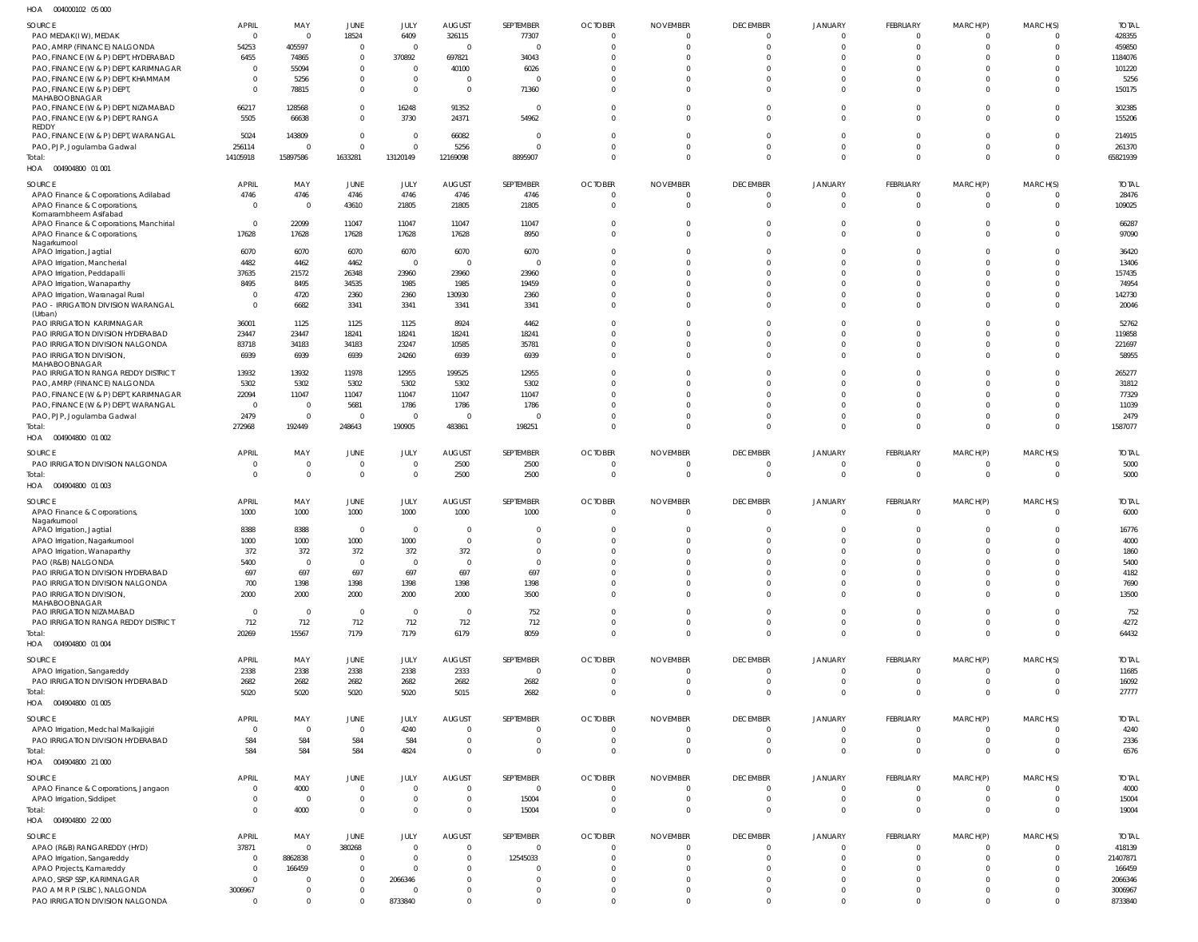004000102 05 000 HOA

| SOURCE<br>PAO MEDAK(IW), MEDAK                                                          | APRIL<br>$\Omega$    | MAY<br>$\Omega$      | JUNE<br>18524                 | JULY<br>6409               | <b>AUGUST</b><br>326115          | SEPTEMBER<br>77307      | <b>OCTOBER</b><br>$\overline{0}$ | <b>NOVEMBER</b><br>0    | <b>DECEMBER</b><br>$\Omega$      | <b>JANUARY</b><br>$\Omega$       | <b>FEBRUARY</b><br>$\Omega$ | MARCH(P)<br>0                | MARCH(S)<br>$\Omega$       | <b>TOTAL</b><br>428355 |
|-----------------------------------------------------------------------------------------|----------------------|----------------------|-------------------------------|----------------------------|----------------------------------|-------------------------|----------------------------------|-------------------------|----------------------------------|----------------------------------|-----------------------------|------------------------------|----------------------------|------------------------|
| PAO, AMRP (FINANCE) NALGONDA                                                            | 54253                | 405597               | $\mathbf 0$                   | $\Omega$                   | $\overline{0}$                   | 0                       | $\Omega$                         | $\Omega$                | $\Omega$                         | $\Omega$                         | $\Omega$                    | $\Omega$                     | $\Omega$                   | 459850                 |
| PAO, FINANCE (W & P) DEPT, HYDERABAD                                                    | 6455                 | 74865                | $\mathbf 0$                   | 370892                     | 697821                           | 34043                   | $\Omega$                         | $\Omega$                | $\Omega$                         | $\Omega$                         | $\Omega$                    | $\Omega$                     | $\Omega$                   | 1184076                |
| PAO, FINANCE (W & P) DEPT, KARIMNAGAR                                                   | $\Omega$             | 55094                | $\mathbf 0$                   | $\Omega$                   | 40100                            | 6026                    | $\Omega$                         | $\Omega$                | $\Omega$                         | $\Omega$                         | $\Omega$                    | $\Omega$                     | $\Omega$                   | 101220                 |
| PAO, FINANCE (W & P) DEPT, KHAMMAM<br>PAO, FINANCE (W & P) DEPT,<br>MAHABOOBNAGAR       | $\Omega$<br>$\Omega$ | 5256<br>78815        | $\mathbf 0$<br>$\overline{0}$ | $\overline{0}$<br>$\Omega$ | $\overline{0}$<br>$\overline{0}$ | 0<br>71360              | $\Omega$<br>$\Omega$             | $\Omega$<br>$\Omega$    | $\Omega$<br>$\Omega$             | $\Omega$<br>$\Omega$             | $\Omega$<br>$\Omega$        | $\Omega$<br>$\Omega$         | $\Omega$<br>$\Omega$       | 5256<br>150175         |
| PAO, FINANCE (W & P) DEPT, NIZAMABAD<br>PAO, FINANCE (W & P) DEPT, RANGA                | 66217<br>5505        | 128568<br>66638      | $\mathbf 0$<br>$\mathbf 0$    | 16248<br>3730              | 91352<br>24371                   | $\overline{0}$<br>54962 | $\mathbf 0$<br>$\Omega$          | $\mathbf 0$<br>$\Omega$ | $\Omega$<br>$\Omega$             | $\overline{0}$<br>$\Omega$       | $\Omega$<br>$\Omega$        | $\mathbf{0}$<br>$\Omega$     | $\Omega$<br>$\Omega$       | 302385<br>155206       |
| REDDY<br>PAO, FINANCE (W & P) DEPT, WARANGAL                                            | 5024                 | 143809               | $\mathbf 0$                   | $\Omega$                   | 66082                            | 0                       | $\Omega$                         | $\Omega$                | $\Omega$                         | $\overline{0}$                   | $\Omega$                    | $\Omega$                     | $\Omega$                   | 214915                 |
| PAO, PJP, Jogulamba Gadwal                                                              | 256114               | $\Omega$             | $\mathbf 0$                   | $\Omega$                   | 5256                             | $\Omega$                | $\Omega$                         | $\Omega$                | $\Omega$                         | $\Omega$                         | $\Omega$                    | $\mathbf{0}$                 | $\Omega$                   | 261370                 |
| Total:<br>HOA  004904800  01  001                                                       | 14105918             | 15897586             | 1633281                       | 13120149                   | 12169098                         | 8895907                 | $\Omega$                         | $\Omega$                | $\Omega$                         | $\Omega$                         | $\Omega$                    | $\mathbf{0}$                 | $\Omega$                   | 65821939               |
| SOURCE                                                                                  | <b>APRIL</b>         | MAY                  | JUNE                          | JULY                       | AUGUST                           | SEPTEMBER               | <b>OCTOBER</b>                   | <b>NOVEMBER</b>         | <b>DECEMBER</b>                  | <b>JANUARY</b>                   | FEBRUARY                    | MARCH(P)                     | MARCH(S)                   | <b>TOTAL</b>           |
| APAO Finance & Corporations, Adilabad                                                   | 4746                 | 4746                 | 4746                          | 4746                       | 4746                             | 4746                    | $\mathbf 0$                      | $\mathbf 0$             | $\Omega$                         | $\Omega$                         | $\Omega$                    | $\mathbf{0}$                 |                            | 28476                  |
| APAO Finance & Corporations,<br>Komarambheem Asifabad                                   | $\Omega$             | $\overline{0}$       | 43610                         | 21805                      | 21805                            | 21805                   | $\mathbf 0$                      | $\mathbf 0$             | $\overline{0}$                   | $\overline{0}$                   | $\Omega$                    | $\overline{0}$               | $\Omega$                   | 109025                 |
| APAO Finance & Corporations, Manchirial<br>APAO Finance & Corporations,<br>Nagarkurnool | $\Omega$<br>17628    | 22099<br>17628       | 11047<br>17628                | 11047<br>17628             | 11047<br>17628                   | 11047<br>8950           | $\mathbf 0$<br>$\Omega$          | 0<br>$\mathbf 0$        | $\Omega$<br>$\Omega$             | $\overline{0}$<br>$\Omega$       | $\Omega$<br>$\Omega$        | $\mathbf{0}$<br>$\Omega$     | $\Omega$<br>$\Omega$       | 66287<br>97090         |
| APAO Irrigation, Jagtial                                                                | 6070                 | 6070                 | 6070                          | 6070                       | 6070                             | 6070                    | $\Omega$                         | $\Omega$                | $\Omega$                         | $\Omega$                         |                             | $\Omega$                     | $\Omega$                   | 36420                  |
| APAO Irrigation, Mancherial                                                             | 4482                 | 4462                 | 4462                          | $\Omega$                   | $\overline{0}$                   | 0                       | $\Omega$                         | $\Omega$                | $\Omega$                         | $\Omega$                         | $\Omega$                    | $\Omega$                     | $\Omega$                   | 13406                  |
| APAO Irrigation, Peddapalli                                                             | 37635                | 21572                | 26348                         | 23960                      | 23960                            | 23960                   | $\Omega$                         | $\Omega$                | $\Omega$                         |                                  | $\Omega$                    | $\Omega$                     | $\Omega$                   | 157435                 |
| APAO Irrigation, Wanaparthy                                                             | 8495                 | 8495                 | 34535                         | 1985                       | 1985                             | 19459                   | $\Omega$                         | $\Omega$                | $\Omega$                         | $\Omega$                         | $\Omega$                    | $\Omega$                     | $\Omega$                   | 74954                  |
| APAO Irrigation, Waranagal Rural                                                        |                      | 4720                 | 2360                          | 2360                       | 130930                           | 2360                    | $\Omega$                         | $\Omega$                |                                  | $\Omega$                         |                             | $\Omega$                     | $\Omega$                   | 142730                 |
| PAO - IRRIGATION DIVISION WARANGAL<br>(Urban)                                           |                      | 6682                 | 3341                          | 3341                       | 3341                             | 3341                    | $\Omega$                         | $\Omega$                | $\Omega$                         | $\Omega$                         | $\Omega$                    | $\Omega$                     | $\Omega$                   | 20046                  |
| PAO IRRIGATION KARIMNAGAR                                                               | 36001                | 1125                 | 1125                          | 1125                       | 8924                             | 4462                    | $\Omega$                         | $\Omega$                | $\Omega$                         | $\Omega$                         |                             | $\Omega$                     | $\Omega$                   | 52762                  |
| PAO IRRIGATION DIVISION HYDERABAD<br>PAO IRRIGATION DIVISION NALGONDA                   | 23447<br>83718       | 23447<br>34183       | 18241<br>34183                | 18241<br>23247             | 18241<br>10585                   | 18241<br>35781          | $\Omega$<br>$\Omega$             | $\Omega$<br>$\Omega$    | $\Omega$<br>$\Omega$             | $\Omega$<br>$\Omega$             | $\Omega$<br>$\Omega$        | $\Omega$<br>$\Omega$         | $\Omega$<br>$\Omega$       | 119858<br>221697       |
| PAO IRRIGATION DIVISION<br>MAHABOOBNAGAR                                                | 6939                 | 6939                 | 6939                          | 24260                      | 6939                             | 6939                    | $\Omega$                         | $\Omega$                | $\Omega$                         | $\Omega$                         | $\Omega$                    | $\Omega$                     | $\Omega$                   | 58955                  |
| PAO IRRIGATION RANGA REDDY DISTRICT                                                     | 13932                | 13932                | 11978                         | 12955                      | 199525                           | 12955                   | $\Omega$                         | $\Omega$                | $\Omega$                         | $\Omega$                         | $\Omega$                    | $\Omega$                     | $\Omega$                   | 265277                 |
| PAO, AMRP (FINANCE) NALGONDA                                                            | 5302                 | 5302                 | 5302                          | 5302                       | 5302                             | 5302                    | $\Omega$                         | $\Omega$                | $\Omega$                         | $\Omega$                         | $\Omega$                    | $\Omega$                     | $\Omega$                   | 31812                  |
| PAO, FINANCE (W & P) DEPT, KARIMNAGAR<br>PAO, FINANCE (W & P) DEPT, WARANGAL            | 22094<br>$\Omega$    | 11047<br>$\mathbf 0$ | 11047<br>5681                 | 11047<br>1786              | 11047<br>1786                    | 11047<br>1786           | $\Omega$<br>$\Omega$             | $\Omega$<br>$\Omega$    | $\Omega$                         | $\Omega$                         | $\Omega$<br>$\Omega$        | $\Omega$<br>$\Omega$         | $\Omega$<br>$\Omega$       | 77329<br>11039         |
| PAO, PJP, Jogulamba Gadwal                                                              | 2479                 | $\overline{0}$       | $\overline{0}$                | $\Omega$                   | $\overline{0}$                   | $\mathcal{L}$           | $\Omega$                         | $\Omega$                | $\Omega$                         | $\Omega$                         | $\Omega$                    | $\mathbf{0}$                 | $\Omega$                   | 2479                   |
| Total:                                                                                  | 272968               | 192449               | 248643                        | 190905                     | 483861                           | 198251                  | $\Omega$                         | $\Omega$                | $\Omega$                         | $\Omega$                         | $\Omega$                    | $\Omega$                     | $\Omega$                   | 1587077                |
| HOA  004904800  01 002                                                                  |                      |                      |                               |                            |                                  |                         |                                  |                         |                                  |                                  |                             |                              |                            |                        |
| SOURCE                                                                                  | <b>APRIL</b>         | MAY                  | JUNE                          | JULY                       | <b>AUGUST</b>                    | SEPTEMBER               | <b>OCTOBER</b>                   | <b>NOVEMBER</b>         | <b>DECEMBER</b>                  | <b>JANUARY</b>                   | FEBRUARY                    | MARCH(P)                     | MARCH(S)                   | <b>TOTAL</b>           |
| PAO IRRIGATION DIVISION NALGONDA                                                        |                      | $\mathbf 0$          | $\mathbf 0$                   | - 0                        | 2500                             | 2500                    | 0                                | $\mathbf 0$             | $\Omega$                         | $\overline{0}$                   | $\Omega$                    | $\overline{0}$               | $\Omega$                   | 5000                   |
| Total:<br>HOA  004904800  01 003                                                        | $\Omega$             | $\overline{0}$       | $\mathbf 0$                   | $\Omega$                   | 2500                             | 2500                    | $\overline{0}$                   | $\overline{0}$          | $\overline{0}$                   | $\overline{0}$                   | $\overline{0}$              | $\overline{0}$               | $\overline{0}$             | 5000                   |
|                                                                                         |                      |                      |                               |                            |                                  |                         |                                  |                         |                                  |                                  |                             |                              |                            |                        |
| SOURCE                                                                                  | <b>APRIL</b>         | MAY                  | <b>JUNE</b>                   | JULY                       | AUGUST                           | SEPTEMBER               | <b>OCTOBER</b>                   | <b>NOVEMBER</b>         | <b>DECEMBER</b>                  | <b>JANUARY</b>                   | FEBRUARY                    | MARCH(P)                     | MARCH(S)                   | <b>TOTAL</b>           |
| APAO Finance & Corporations,<br>Nagarkurnool                                            | 1000                 | 1000                 | 1000                          | 1000                       | 1000                             | 1000                    | $\overline{0}$                   | $\mathbf 0$             | $\Omega$                         | $\Omega$                         | $\Omega$                    | $\overline{0}$               | $\overline{0}$             | 6000                   |
| APAO Irrigation, Jagtial                                                                | 8388                 | 8388                 | $\mathbf{0}$                  | $\Omega$                   | $\overline{0}$                   | 0                       | 0                                | 0                       | $\overline{0}$                   | $\overline{0}$                   | $\Omega$                    | $\overline{0}$               | $\Omega$                   | 16776                  |
| APAO Irrigation, Nagarkurnool                                                           | 1000                 | 1000                 | 1000                          | 1000                       | $\overline{0}$                   | $\Omega$                | $\Omega$                         | $\Omega$                | $\Omega$                         | $\Omega$                         | $\Omega$                    | $\Omega$                     | $\Omega$                   | 4000                   |
| APAO Irrigation, Wanaparthy                                                             | 372                  | 372                  | 372                           | 372                        | 372                              | -0                      | -0                               | -0                      | $\Omega$                         |                                  | $\Omega$                    | 0                            | 0                          | 1860                   |
| PAO (R&B) NALGONDA                                                                      | 5400                 | $\Omega$             | $\mathbf 0$                   | $\Omega$                   | $\overline{0}$                   | 0                       | $\Omega$                         | $\Omega$                | $\overline{0}$                   | $\Omega$                         | $\Omega$                    | $\Omega$                     | $\Omega$                   | 5400                   |
| PAO IRRIGATION DIVISION HYDERABAD<br>PAO IRRIGATION DIVISION NALGONDA                   | 697<br>700           | 697<br>1398          | 697<br>1398                   | 697<br>1398                | 697<br>1398                      | 697<br>1398             | 0<br>0                           | $\Omega$<br>0           | $\Omega$<br>$\overline{0}$       | $\Omega$<br>$\overline{0}$       | $\Omega$<br>$\Omega$        | $\mathbf{0}$<br>$\mathbf{0}$ | $\Omega$<br>$\Omega$       | 4182<br>7690           |
| PAO IRRIGATION DIVISION,<br>MAHABOOBNAGAR                                               | 2000                 | 2000                 | 2000                          | 2000                       | 2000                             | 3500                    | $\Omega$                         | $\mathbf 0$             | $\Omega$                         | $\Omega$                         | $\Omega$                    | $\mathbf 0$                  | $\Omega$                   | 13500                  |
| PAO IRRIGATION NIZAMABAD                                                                | $\Omega$             | $\Omega$             | $\mathbf 0$                   | $\Omega$                   | $\overline{0}$                   | 752                     | $\Omega$                         | $\Omega$                | $\Omega$                         | $\Omega$                         | $\Omega$                    | $\Omega$                     | $\Omega$                   | 752                    |
| PAO IRRIGATION RANGA REDDY DISTRICT                                                     | 712                  | 712                  | 712                           | 712                        | 712                              | 712                     | 0                                | $\Omega$                | $\overline{0}$                   | $\overline{0}$                   | $\Omega$                    | $\mathbf{0}$                 | $\Omega$                   | 4272                   |
| Total:<br>HOA  004904800  01 004                                                        | 20269                | 15567                | 7179                          | 7179                       | 6179                             | 8059                    | $\mathbf 0$                      | $\mathbf 0$             | $\overline{0}$                   | $\overline{0}$                   | $\overline{0}$              | $\mathbf{0}$                 | $\Omega$                   | 64432                  |
| SOURCE                                                                                  | APRIL                | MAY                  | JUNE                          | JULY                       | <b>AUGUST</b>                    | SEPTEMBER               | <b>OCTOBER</b>                   | <b>NOVEMBER</b>         | <b>DECEMBER</b>                  | <b>JANUARY</b>                   | FEBRUARY                    | MARCH(P)                     | MARCH(S)                   | <b>TOTAL</b>           |
| APAO Irrigation, Sangareddy                                                             | 2338                 | 2338                 | 2338                          | 2338                       | 2333                             | 0                       | $\overline{0}$                   | $\mathbf 0$             | $\overline{0}$                   | $\overline{0}$                   | $\overline{0}$              | 0                            |                            | 11685                  |
| PAO IRRIGATION DIVISION HYDERABAD<br>Total:                                             | 2682<br>5020         | 2682<br>5020         | 2682<br>5020                  | 2682<br>5020               | 2682<br>5015                     | 2682<br>2682            | 0<br>$\overline{0}$              | 0<br>$\mathbf 0$        | $\overline{0}$<br>$\overline{0}$ | $\overline{0}$<br>$\overline{0}$ | $\overline{0}$<br>$\Omega$  | 0<br>$\overline{0}$          | $\overline{0}$<br>$\Omega$ | 16092<br>27777         |
| HOA  004904800  01  005                                                                 |                      |                      |                               |                            |                                  |                         |                                  |                         |                                  |                                  |                             |                              |                            |                        |
| SOURCE                                                                                  | APRIL                | MAY                  | <b>JUNE</b>                   | JULY                       | <b>AUGUST</b>                    | SEPTEMBER               | <b>OCTOBER</b>                   | <b>NOVEMBER</b>         | <b>DECEMBER</b>                  | <b>JANUARY</b>                   | FEBRUARY                    | MARCH(P)                     | MARCH(S)                   | <b>TOTAL</b>           |
| APAO Irrigation, Medchal Malkajigiri                                                    |                      | $\Omega$             | $\mathbf 0$                   | 4240                       | $\overline{0}$                   | 0                       | 0                                | 0                       | $\Omega$                         | $\Omega$                         | - 0                         | $\mathbf{0}$                 |                            | 4240                   |
| PAO IRRIGATION DIVISION HYDERABAD                                                       | 584                  | 584                  | 584                           | 584                        | $\overline{0}$                   | 0                       | 0                                | 0                       | $\overline{0}$                   | $\overline{0}$                   | $\overline{0}$              | 0                            | $\mathbf 0$                | 2336                   |
| Total:<br>HOA  004904800  21 000                                                        | 584                  | 584                  | 584                           | 4824                       | $\overline{0}$                   | $\overline{0}$          | $\overline{0}$                   | $\overline{0}$          | $\overline{0}$                   | $\overline{0}$                   | $\overline{0}$              | $\overline{0}$               | $\Omega$                   | 6576                   |
| SOURCE                                                                                  | <b>APRIL</b>         | MAY                  | <b>JUNE</b>                   | JULY                       | <b>AUGUST</b>                    | SEPTEMBER               | <b>OCTOBER</b>                   | <b>NOVEMBER</b>         | <b>DECEMBER</b>                  | <b>JANUARY</b>                   | FEBRUARY                    | MARCH(P)                     | MARCH(S)                   | <b>TOTAL</b>           |
| APAO Finance & Corporations, Jangaon                                                    | $\Omega$             | 4000                 | $\mathbf 0$                   | $\Omega$                   | $\overline{0}$                   | 0                       | $\overline{0}$                   | 0                       | $\Omega$                         | $\Omega$                         | $\Omega$                    | 0                            | $\Omega$                   | 4000                   |
| APAO Irrigation, Siddipet                                                               |                      | $\overline{0}$       | $\mathbf 0$                   | $\Omega$                   | $\overline{0}$                   | 15004                   | 0                                | 0                       | $\overline{0}$                   | $\overline{0}$                   | $\overline{0}$              | $\overline{0}$               | $\mathbf 0$                | 15004                  |
| Total:                                                                                  |                      | 4000                 | $\mathbf 0$                   | $\Omega$                   | $\overline{0}$                   | 15004                   | 0                                | $\mathbf 0$             | $\overline{0}$                   | $\overline{0}$                   | $\Omega$                    | $\overline{0}$               | $\Omega$                   | 19004                  |
| HOA  004904800  22 000                                                                  |                      |                      |                               |                            |                                  |                         |                                  |                         |                                  |                                  |                             |                              |                            |                        |
| SOURCE                                                                                  | <b>APRIL</b>         | MAY                  | JUNE                          | JULY                       | AUGUST                           | SEPTEMBER               | <b>OCTOBER</b>                   | <b>NOVEMBER</b>         | <b>DECEMBER</b>                  | <b>JANUARY</b>                   | FEBRUARY                    | MARCH(P)                     | MARCH(S)                   | <b>TOTAL</b>           |
| APAO (R&B) RANGAREDDY (HYD)                                                             | 37871                | 0                    | 380268                        | $\Omega$                   | $\overline{0}$                   | 0                       | $\overline{0}$                   | 0                       | $\Omega$                         | $\Omega$                         | $\Omega$                    | 0                            | $\mathbf 0$                | 418139                 |
| APAO Irrigation, Sangareddy<br>APAO Projects, Kamareddy                                 |                      | 8862838<br>166459    | $\overline{0}$<br>$\mathbf 0$ | $\Omega$<br>$\Omega$       | $\overline{0}$<br>$\Omega$       | 12545033<br>0           | 0<br>$\Omega$                    | 0<br>$\Omega$           | $\Omega$<br>$\Omega$             | $\Omega$<br>$\Omega$             | $\Omega$                    | 0<br>$\Omega$                | $\Omega$                   | 21407871<br>166459     |
| APAO, SRSP SSP, KARIMNAGAR                                                              |                      |                      | $\mathbf 0$                   | 2066346                    | $\overline{0}$                   | $\Omega$                | $\Omega$                         | $\Omega$                | $\Omega$                         |                                  | $\Omega$                    | $\Omega$                     |                            | 2066346                |
| PAO A M R P (SLBC), NALGONDA                                                            | 3006967              | 0                    | $\mathbf 0$                   |                            | $\overline{0}$                   | 0                       | 0                                | 0                       | $\mathbf{0}$                     | $\overline{0}$                   | $\overline{0}$              | $\mathbf{0}$                 |                            | 3006967                |
| PAO IRRIGATION DIVISION NALGONDA                                                        |                      | $\Omega$             | $\mathbf 0$                   | 8733840                    | $\overline{0}$                   | $\mathbf 0$             | $\mathbf 0$                      | $\mathbf 0$             | $\Omega$                         | $\Omega$                         | $\Omega$                    | $\mathbf 0$                  | $\Omega$                   | 8733840                |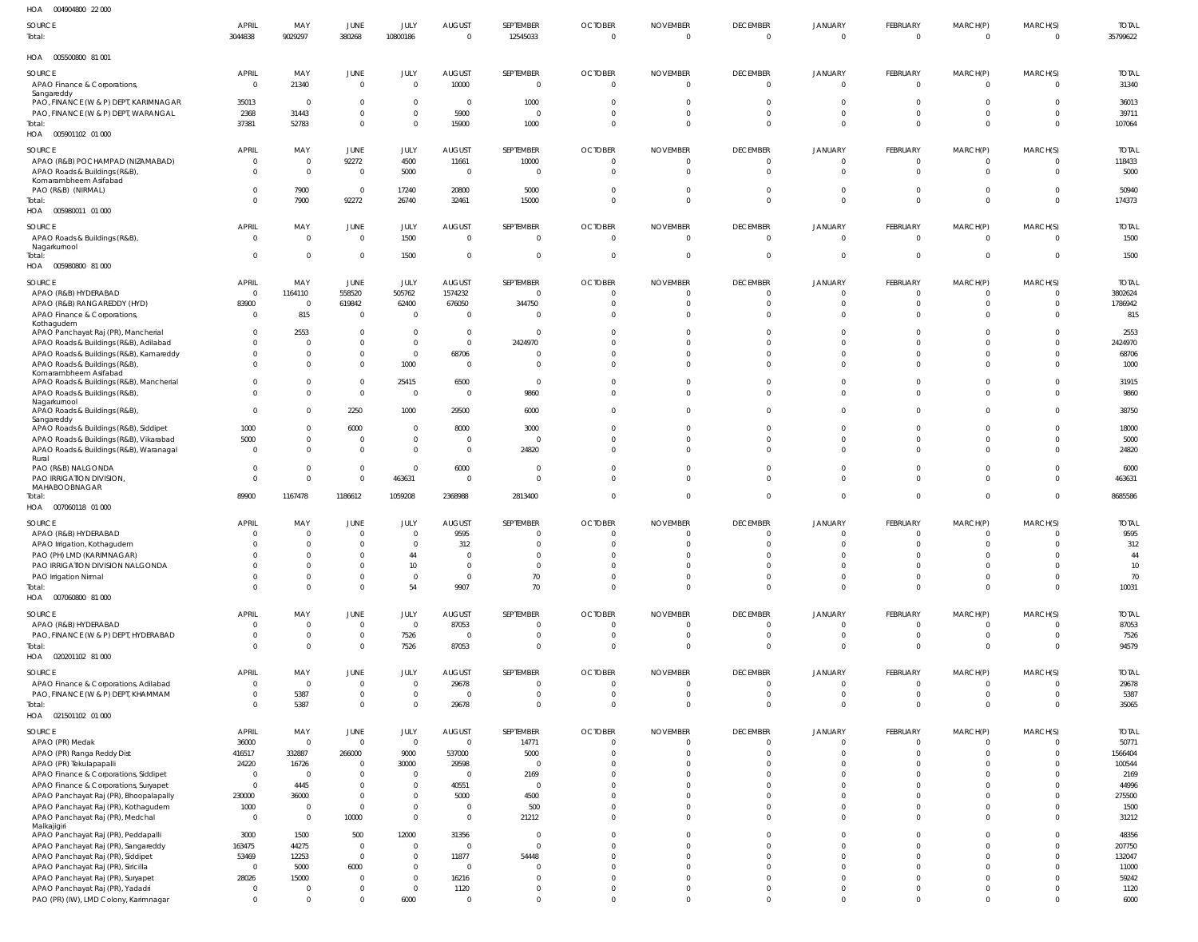| SOURCE                                                                            | <b>APRIL</b>          | MAY                                | JUNE                           | JULY                       | <b>AUGUST</b>              | SEPTEMBER                      | <b>OCTOBER</b>          | <b>NOVEMBER</b>            | <b>DECEMBER</b>      | <b>JANUARY</b>          | FEBRUARY                      | MARCH(P)                         | MARCH(S)             | <b>TOTAL</b>       |
|-----------------------------------------------------------------------------------|-----------------------|------------------------------------|--------------------------------|----------------------------|----------------------------|--------------------------------|-------------------------|----------------------------|----------------------|-------------------------|-------------------------------|----------------------------------|----------------------|--------------------|
| Total:                                                                            | 3044838               | 9029297                            | 380268                         | 10800186                   | $\overline{0}$             | 12545033                       | $\mathbf 0$             | $\mathbf 0$                | $\Omega$             | $\Omega$                | $\mathbf{0}$                  | $\overline{0}$                   | $\Omega$             | 35799622           |
| HOA<br>005500800 81 001                                                           |                       |                                    |                                |                            |                            |                                |                         |                            |                      |                         |                               |                                  |                      |                    |
| SOURCE                                                                            | <b>APRIL</b>          | MAY                                | JUNE                           | JULY                       | AUGUST                     | SEPTEMBER                      | <b>OCTOBER</b>          | <b>NOVEMBER</b>            | <b>DECEMBER</b>      | JANUARY                 | FEBRUARY                      | MARCH(P)                         | MARCH(S)             | <b>TOTAL</b>       |
| APAO Finance & Corporations,<br>Sangareddy                                        | $\mathbf{0}$          | 21340                              | $\mathbf 0$                    | $\Omega$                   | 10000                      | $\overline{0}$                 | 0                       | $\mathbf 0$                | $\Omega$             | $\overline{0}$          | $\mathbf{0}$                  | $\overline{0}$                   | $\Omega$             | 31340              |
| PAO, FINANCE (W & P) DEPT, KARIMNAGAR                                             | 35013                 | $\overline{0}$                     | $\overline{0}$                 | $\overline{0}$             | $\overline{0}$             | 1000                           | 0                       | $\mathbf 0$                |                      | 0                       | 0                             | $\overline{\mathbf{0}}$          | $\Omega$             | 36013              |
| PAO, FINANCE (W & P) DEPT, WARANGAL<br>Total:                                     | 2368<br>37381         | 31443<br>52783                     | $\mathbf 0$<br>$\mathbf 0$     | $\overline{0}$<br>$\Omega$ | 5900<br>15900              | $\overline{0}$<br>1000         | $\Omega$<br>$\mathbf 0$ | $\mathbf 0$<br>$\mathbf 0$ | $\Omega$<br>$\Omega$ | $\mathbf 0$<br>$\Omega$ | $\mathbf{0}$<br>$\Omega$      | $\overline{0}$<br>$\overline{0}$ | $\Omega$<br>$\Omega$ | 39711<br>107064    |
| HOA   005901102   01   000                                                        |                       |                                    |                                |                            |                            |                                |                         |                            |                      |                         |                               |                                  |                      |                    |
| <b>SOURCE</b>                                                                     | <b>APRIL</b>          | MAY                                | JUNE                           | JULY                       | <b>AUGUST</b>              | SEPTEMBER                      | <b>OCTOBER</b>          | <b>NOVEMBER</b>            | <b>DECEMBER</b>      | <b>JANUARY</b>          | FEBRUARY                      | MARCH(P)                         | MARCH(S)             | <b>TOTAL</b>       |
| APAO (R&B) POCHAMPAD (NIZAMABAD)                                                  | 0                     | $\overline{0}$                     | 92272                          | 4500                       | 11661                      | 10000                          | 0                       | $\Omega$                   |                      | $\Omega$                | 0                             | $\Omega$                         |                      | 118433             |
| APAO Roads & Buildings (R&B),                                                     |                       | $\overline{0}$                     | $\mathbf 0$                    | 5000                       | $\overline{0}$             | $\Omega$                       | $\Omega$                | $\Omega$                   |                      | $\Omega$                | $\Omega$                      | $\Omega$                         |                      | 5000               |
| Komarambheem Asifabad<br>PAO (R&B) (NIRMAL)                                       |                       | 7900                               | $\mathbf 0$                    | 17240                      | 20800                      | 5000                           | $\Omega$                | $\mathbf 0$                | $\Omega$             | $\Omega$                | $\mathbf 0$                   | $\overline{0}$                   | $\Omega$             | 50940              |
| Total:                                                                            |                       | 7900                               | 92272                          | 26740                      | 32461                      | 15000                          | $\Omega$                | $\Omega$                   | $\Omega$             | $\Omega$                | $\Omega$                      | $\Omega$                         | $\Omega$             | 174373             |
| HOA   005980011   01   000                                                        |                       |                                    |                                |                            |                            |                                |                         |                            |                      |                         |                               |                                  |                      |                    |
| SOURCE                                                                            | <b>APRIL</b>          | MAY                                | JUNE                           | JULY                       | <b>AUGUST</b>              | SEPTEMBER                      | <b>OCTOBER</b>          | <b>NOVEMBER</b>            | <b>DECEMBER</b>      | <b>JANUARY</b>          | FEBRUARY                      | MARCH(P)                         | MARCH(S)             | <b>TOTAL</b>       |
| APAO Roads & Buildings (R&B),<br>Nagarkurnool                                     | $\Omega$              | $\overline{0}$                     | $\mathbf 0$                    | 1500                       | $\overline{0}$             | $\overline{0}$                 | $\mathbf 0$             | $\overline{0}$             | $\Omega$             | $\overline{0}$          | $\mathbf{0}$                  | $\overline{0}$                   | $\Omega$             | 1500               |
| Total:                                                                            | $\Omega$              | $\mathbf 0$                        | $\mathbf 0$                    | 1500                       | $\overline{0}$             | $\mathbf 0$                    | $\mathbf 0$             | $\mathbf 0$                | $\Omega$             | $\mathbf 0$             | $\mathbf{0}$                  | $\overline{0}$                   | $\mathbf{0}$         | 1500               |
| HOA   005980800   81   000                                                        |                       |                                    |                                |                            |                            |                                |                         |                            |                      |                         |                               |                                  |                      |                    |
| SOURCE                                                                            | <b>APRIL</b>          | MAY                                | JUNE                           | JULY                       | AUGUST                     | SEPTEMBER                      | <b>OCTOBER</b>          | <b>NOVEMBER</b>            | <b>DECEMBER</b>      | JANUARY                 | FEBRUARY                      | MARCH(P)                         | MARCH(S)             | <b>TOTAL</b>       |
| APAO (R&B) HYDERABAD<br>APAO (R&B) RANGAREDDY (HYD)                               | $\mathbf{0}$<br>83900 | 1164110<br>$\overline{\mathbf{0}}$ | 558520<br>619842               | 505762<br>62400            | 1574232<br>676050          | $\overline{0}$<br>344750       | $\mathbf 0$<br>$\Omega$ | $\Omega$<br>$\Omega$       |                      | $\Omega$<br>$\Omega$    | $\Omega$<br>$\Omega$          | $\Omega$<br>$\Omega$             |                      | 3802624<br>1786942 |
| APAO Finance & Corporations,                                                      | $\Omega$              | 815                                | $\overline{0}$                 | $\Omega$                   | $\overline{0}$             | $\Omega$                       | $\Omega$                | $\Omega$                   |                      | $\Omega$                | $\Omega$                      | $\Omega$                         |                      | 815                |
| Kothagudem                                                                        |                       | 2553                               | $\overline{0}$                 | $\Omega$                   | $\overline{0}$             | $\Omega$                       | <sup>0</sup>            | $\Omega$                   |                      | $\Omega$                |                               | $\Omega$                         |                      | 2553               |
| APAO Panchayat Raj (PR), Mancherial<br>APAO Roads & Buildings (R&B), Adilabad     |                       | $\Omega$                           | $\overline{0}$                 | $\overline{0}$             | $\overline{0}$             | 2424970                        | <sup>0</sup>            | $\Omega$                   |                      |                         |                               | $\Omega$                         |                      | 2424970            |
| APAO Roads & Buildings (R&B), Kamareddy                                           |                       | $\Omega$                           | $\overline{0}$                 | $\overline{0}$             | 68706                      | $\Omega$                       | <sup>0</sup>            | $\Omega$                   |                      |                         |                               | $\Omega$                         |                      | 68706              |
| APAO Roads & Buildings (R&B),                                                     |                       | $\Omega$                           | $\overline{0}$                 | 1000                       | $\overline{0}$             | $\Omega$                       | $\Omega$                | $\Omega$                   |                      | $\Omega$                |                               | $\Omega$                         | $\Omega$             | 1000               |
| Komarambheem Asifabad<br>APAO Roads & Buildings (R&B), Mancherial                 |                       | $\Omega$                           | $\mathbf 0$                    | 25415                      | 6500                       | $\overline{0}$                 | <sup>0</sup>            | $\Omega$                   |                      | $\Omega$                |                               | $\Omega$                         |                      | 31915              |
| APAO Roads & Buildings (R&B),                                                     |                       | $\Omega$                           | $\mathbf{0}$                   | $\overline{0}$             | $\overline{0}$             | 9860                           | $\Omega$                | $\Omega$                   |                      | $\Omega$                | $\Omega$                      | $\Omega$                         |                      | 9860               |
| Nagarkurnool<br>APAO Roads & Buildings (R&B),                                     | $\Omega$              | $\mathbf 0$                        | 2250                           | 1000                       | 29500                      | 6000                           | $\Omega$                | $\Omega$                   | <sup>0</sup>         | $\Omega$                | $\Omega$                      | $\Omega$                         | $\Omega$             | 38750              |
| Sangareddy                                                                        |                       | $\Omega$                           |                                | $\Omega$                   |                            |                                |                         | $\Omega$                   |                      | $\Omega$                |                               | $\Omega$                         |                      |                    |
| APAO Roads & Buildings (R&B), Siddipet<br>APAO Roads & Buildings (R&B), Vikarabad | 1000<br>5000          | $\mathbf 0$                        | 6000<br>$\overline{0}$         | $\overline{0}$             | 8000<br>$\overline{0}$     | 3000<br>$\Omega$               |                         | $\Omega$                   |                      | $\Omega$                |                               | $\Omega$                         |                      | 18000<br>5000      |
| APAO Roads & Buildings (R&B), Waranagal                                           | $\Omega$              | $\Omega$                           | $\mathbf{0}$                   | $\Omega$                   | $\overline{0}$             | 24820                          | $\Omega$                | $\Omega$                   |                      | $\Omega$                | $\Omega$                      | $\Omega$                         | $\Omega$             | 24820              |
| Rural<br>PAO (R&B) NALGONDA                                                       |                       | $\Omega$                           | $\overline{0}$                 | $\Omega$                   | 6000                       | $\Omega$                       | <sup>0</sup>            | $\Omega$                   |                      | $\Omega$                |                               | $\Omega$                         |                      | 6000               |
| PAO IRRIGATION DIVISION,                                                          |                       | $\Omega$                           | $\Omega$                       | 463631                     | $\overline{0}$             | $\Omega$                       | $\Omega$                | $\Omega$                   |                      | $\Omega$                | $\Omega$                      | $\Omega$                         |                      | 463631             |
| MAHABOOBNAGAR<br>Total:                                                           | 89900                 | 1167478                            | 1186612                        | 1059208                    | 2368988                    | 2813400                        | $\Omega$                | $\Omega$                   | 0                    | $\Omega$                | $\Omega$                      | $\Omega$                         | $\Omega$             | 8685586            |
| HOA   007060118   01   000                                                        |                       |                                    |                                |                            |                            |                                |                         |                            |                      |                         |                               |                                  |                      |                    |
| SOURCE                                                                            | <b>APRIL</b>          | MAY                                | JUNE                           | JULY                       | <b>AUGUST</b>              | SEPTEMBER                      | <b>OCTOBER</b>          | <b>NOVEMBER</b>            | <b>DECEMBER</b>      | <b>JANUARY</b>          | FEBRUARY                      | MARCH(P)                         | MARCH(S)             | <b>TOTAL</b>       |
| APAO (R&B) HYDERABAD                                                              | $\Omega$              | $\mathbf 0$                        | $\overline{0}$                 | $\Omega$                   | 9595                       | $\mathbf{0}$                   | 0                       | $\Omega$                   |                      | $\Omega$                | 0                             | $\Omega$                         |                      | 9595               |
| APAO Irrigation, Kothagudem                                                       | $\Omega$              | $\Omega$                           | $\overline{0}$                 | $\Omega$                   | 312                        | $\Omega$                       | $\Omega$                | $\Omega$                   |                      |                         | $\Omega$                      | $\Omega$                         |                      | 312                |
| PAO (PH) LMD (KARIMNAGAR)<br>PAO IRRIGATION DIVISION NALGONDA                     |                       | $\Omega$<br>$\Omega$               | $\overline{0}$<br>$\mathbf{0}$ | 44<br>10 <sup>10</sup>     | $\Omega$<br>$\overline{0}$ | $\overline{0}$<br>$\mathbf{0}$ | $\Omega$<br>$\Omega$    | $\Omega$<br>$\Omega$       | <sup>0</sup>         | $\Omega$<br>$\Omega$    | $\Omega$<br>$\Omega$          | $\Omega$<br>$\Omega$             | $\Omega$             | 44<br>10           |
| PAO Irrigation Nirmal                                                             |                       | $\Omega$                           | $\mathbf 0$                    | $\overline{0}$             | $\overline{0}$             | 70                             | $\Omega$                | $\Omega$                   | $\Omega$             | $\mathbf 0$             | $\mathbf 0$                   | $\overline{0}$                   |                      | 70                 |
| Total:                                                                            |                       | $\Omega$                           | $\mathbf{0}$                   | 54                         | 9907                       | 70                             | $\Omega$                | $\Omega$                   | $\Omega$             | $\Omega$                | $\Omega$                      | $\Omega$                         | $\Omega$             | 10031              |
| HOA   007060800   81   000                                                        |                       |                                    |                                |                            |                            |                                |                         |                            |                      |                         |                               |                                  |                      |                    |
| SOURCE                                                                            | APRIL                 | MAY                                | JUNE                           | JULY                       | <b>AUGUST</b>              | SEPTEMBER                      | <b>OCTOBER</b>          | <b>NOVEMBER</b>            | <b>DECEMBER</b>      | <b>JANUARY</b>          | FEBRUARY                      | MARCH(P)                         | MARCH(S)             | <b>TOTAL</b>       |
| APAO (R&B) HYDERABAD<br>PAO, FINANCE (W & P) DEPT, HYDERABAD                      |                       | $\mathbf 0$<br>$\Omega$            | $\mathbf 0$<br>$\mathbf{0}$    | $\Omega$<br>7526           | 87053<br>$\overline{0}$    | $\mathbf 0$<br>$\mathbf 0$     | 0<br>$\Omega$           | $\mathbf 0$<br>$\Omega$    | $\Omega$<br>$\Omega$ | $\Omega$<br>$\Omega$    | 0<br>$\Omega$                 | $\Omega$<br>$\overline{0}$       |                      | 87053<br>7526      |
| Total:                                                                            |                       | $\Omega$                           | $\mathbf 0$                    | 7526                       | 87053                      | $\mathbf{0}$                   | $\Omega$                | $\Omega$                   |                      | $\Omega$                | $\Omega$                      | $\Omega$                         |                      | 94579              |
| HOA   020201102   81   000                                                        |                       |                                    |                                |                            |                            |                                |                         |                            |                      |                         |                               |                                  |                      |                    |
| SOURCE                                                                            | <b>APRIL</b>          | MAY                                | JUNE                           | JULY                       | AUGUST                     | SEPTEMBER                      | <b>OCTOBER</b>          | <b>NOVEMBER</b>            | <b>DECEMBER</b>      | <b>JANUARY</b>          | FEBRUARY                      | MARCH(P)                         | MARCH(S)             | <b>TOTAL</b>       |
| APAO Finance & Corporations, Adilabad                                             | $\Omega$              | $\overline{0}$                     | $\mathbb O$                    | $\Omega$                   | 29678                      | $\mathbf 0$                    | $\mathbf 0$             | $\mathbf 0$                | $\Omega$             | $\mathbf 0$             | $\mathbf{0}$                  | $\overline{0}$                   |                      | 29678              |
| PAO, FINANCE (W & P) DEPT, KHAMMAM<br>Total:                                      |                       | 5387<br>5387                       | $\mathbf 0$<br>$\mathbb O$     | $\overline{0}$<br>$\Omega$ | $\overline{0}$<br>29678    | $\mathbb O$<br>$\mathbf 0$     | $\mathbf 0$<br>$\Omega$ | $\mathbf 0$<br>$\mathbf 0$ | $\Omega$<br>$\Omega$ | $\mathbf 0$<br>$\Omega$ | $\overline{0}$<br>$\mathbf 0$ | $\overline{0}$<br>$\Omega$       | $\Omega$             | 5387<br>35065      |
| HOA  021501102  01  000                                                           |                       |                                    |                                |                            |                            |                                |                         |                            |                      |                         |                               |                                  |                      |                    |
| SOURCE                                                                            | <b>APRIL</b>          | MAY                                | JUNE                           | JULY                       | AUGUST                     | SEPTEMBER                      | <b>OCTOBER</b>          | <b>NOVEMBER</b>            | <b>DECEMBER</b>      | <b>JANUARY</b>          | FEBRUARY                      | MARCH(P)                         | MARCH(S)             | <b>TOTAL</b>       |
| APAO (PR) Medak                                                                   | 36000                 | $\overline{0}$                     | $\mathbf{0}$                   | $\Omega$                   | $\overline{0}$             | 14771                          | $\Omega$                | $\Omega$                   |                      | $\Omega$                | $\Omega$                      | $\Omega$                         |                      | 50771              |
| APAO (PR) Ranga Reddy Dist                                                        | 416517                | 332887                             | 266000                         | 9000                       | 537000                     | 5000                           | $\Omega$                | $\Omega$                   |                      | $\Omega$                | $\Omega$                      | $\Omega$                         |                      | 1566404            |
| APAO (PR) Tekulapapalli<br>APAO Finance & Corporations, Siddipet                  | 24220<br>$\Omega$     | 16726<br>$\overline{0}$            | $\overline{0}$<br>$\mathbf{0}$ | 30000<br>$\Omega$          | 29598<br>$\overline{0}$    | $\Omega$<br>2169               |                         | $\Omega$<br>$\Omega$       |                      |                         | $\Omega$                      | $\Omega$<br>$\Omega$             |                      | 100544<br>2169     |
| APAO Finance & Corporations, Suryapet                                             | $\Omega$              | 4445                               | $\mathbf{0}$                   | $\Omega$                   | 40551                      | $\overline{0}$                 |                         | $\Omega$                   |                      |                         |                               | $\Omega$                         |                      | 44996              |
| APAO Panchayat Raj (PR), Bhoopalapally                                            | 230000                | 36000                              | $\mathbf{0}$                   | $\Omega$                   | 5000                       | 4500                           |                         | $\Omega$                   |                      |                         | $\Omega$                      | $\Omega$                         |                      | 275500             |
| APAO Panchayat Raj (PR), Kothagudem                                               | 1000                  | $\mathbf 0$                        | $\mathbf{0}$                   | $\Omega$                   | $\overline{0}$             | 500                            |                         | $\Omega$                   |                      |                         | $\Omega$                      | $\Omega$                         |                      | 1500               |
| APAO Panchayat Raj (PR), Medchal<br>Malkajigiri                                   | $\Omega$              | $\overline{0}$                     | 10000                          | $\overline{0}$             | $\overline{0}$             | 21212                          | $\Omega$                | $\Omega$                   |                      |                         | $\Omega$                      | $\Omega$                         |                      | 31212              |
| APAO Panchayat Raj (PR), Peddapalli                                               | 3000                  | 1500                               | 500                            | 12000                      | 31356                      | $\overline{0}$                 |                         | $\Omega$                   |                      |                         | $\Omega$                      | $\Omega$                         |                      | 48356              |
| APAO Panchayat Raj (PR), Sangareddy<br>APAO Panchayat Raj (PR), Siddipet          | 163475<br>53469       | 44275<br>12253                     | $\mathbf 0$<br>$\mathbf 0$     | $\Omega$<br>$\Omega$       | $\overline{0}$<br>11877    | $\Omega$<br>54448              |                         | $\Omega$<br>$\Omega$       |                      |                         | $\Omega$                      | $\Omega$<br>$\Omega$             |                      | 207750<br>132047   |
| APAO Panchayat Raj (PR), Siricilla                                                | $\Omega$              | 5000                               | 6000                           | $\Omega$                   | $\overline{0}$             | $\Omega$                       |                         | $\Omega$                   |                      |                         | $\Omega$                      | $\Omega$                         |                      | 11000              |
| APAO Panchayat Raj (PR), Suryapet                                                 | 28026                 | 15000                              | $\overline{0}$                 | $\Omega$                   | 16216                      | $\Omega$                       |                         | $\Omega$                   |                      |                         | $\Omega$                      | $\Omega$                         |                      | 59242              |
| APAO Panchayat Raj (PR), Yadadri                                                  | $\Omega$              | $\mathbf 0$                        | $\mathbf{0}$                   | $\overline{0}$             | 1120                       | $\mathbf 0$                    | 0                       | $\Omega$                   |                      |                         | $\Omega$                      | $\Omega$                         |                      | 1120               |
| PAO (PR) (IW), LMD Colony, Karimnagar                                             | $\Omega$              | $\mathbf 0$                        | $\Omega$                       | 6000                       | $\overline{0}$             | $\mathbf 0$                    | $\Omega$                | $\Omega$                   | $\Omega$             | $\Omega$                | $\Omega$                      | $\Omega$                         |                      | 6000               |

004904800 22 000 HOA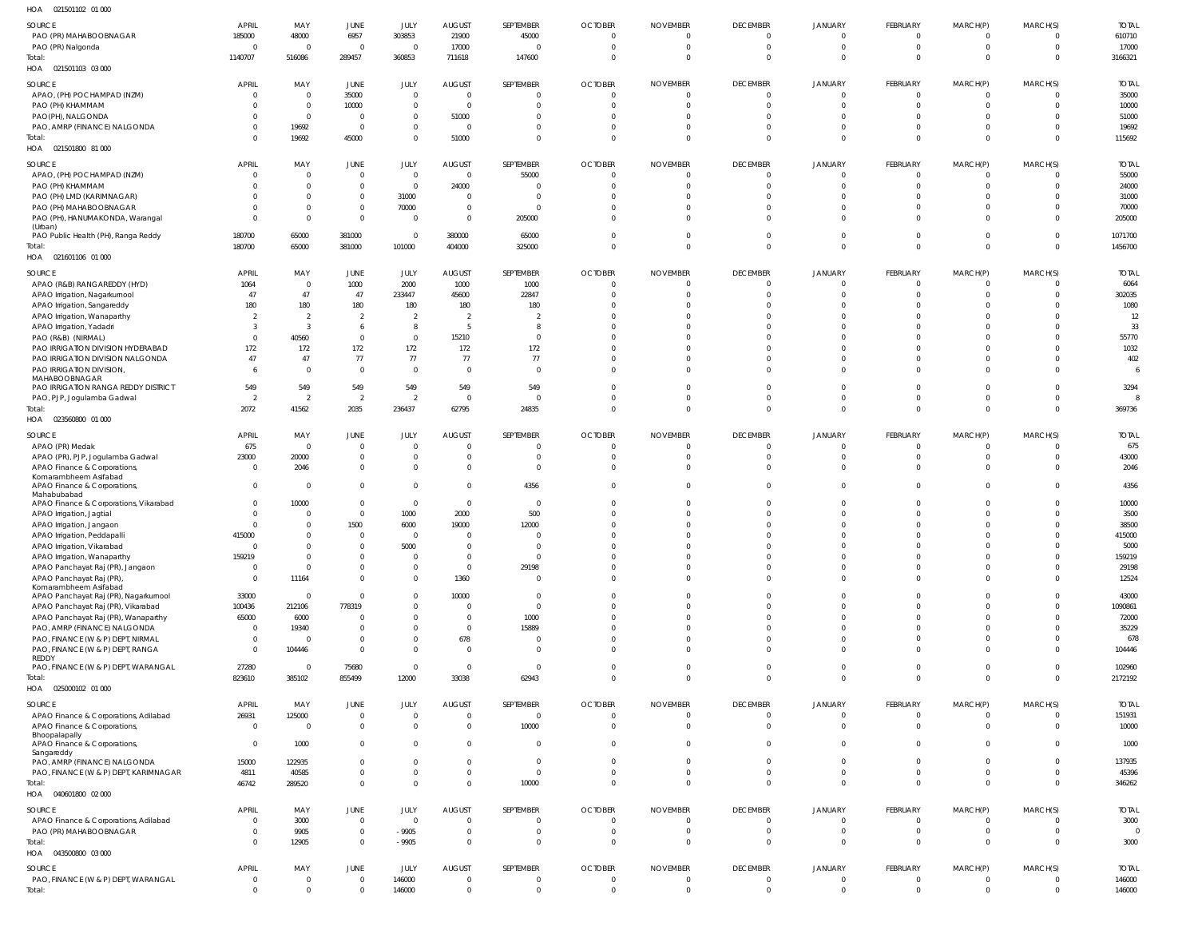| $H \cap \Delta$ | 021501102 01 000 |  |
|-----------------|------------------|--|

| HOA<br>021501102 01 000                                           |                               |                          |                                  |                            |                                  |                         |                                  |                                  |                            |                           |                                  |                               |                           |                        |
|-------------------------------------------------------------------|-------------------------------|--------------------------|----------------------------------|----------------------------|----------------------------------|-------------------------|----------------------------------|----------------------------------|----------------------------|---------------------------|----------------------------------|-------------------------------|---------------------------|------------------------|
| SOURCE                                                            | <b>APRIL</b>                  | MAY                      | JUNE                             | JULY                       | <b>AUGUST</b>                    | SEPTEMBER               | <b>OCTOBER</b>                   | <b>NOVEMBER</b>                  | <b>DECEMBER</b>            | <b>JANUARY</b>            | FEBRUARY                         | MARCH(P)                      | MARCH(S)                  | <b>TOTAL</b>           |
| PAO (PR) MAHABOOBNAGAR                                            | 185000                        | 48000                    | 6957                             | 303853                     | 21900                            | 45000                   | $\overline{0}$                   | $\overline{0}$                   | - 0                        | 0                         | $\overline{0}$                   | $\mathbf{0}$                  | $\Omega$                  | 610710                 |
| PAO (PR) Nalgonda<br>Total:                                       | $\Omega$<br>1140707           | $\overline{0}$<br>516086 | $\overline{0}$<br>289457         | $\Omega$<br>360853         | 17000<br>711618                  | $\Omega$<br>147600      | $\overline{0}$<br>0              | $\overline{0}$<br>$\overline{0}$ | $\Omega$<br>$\Omega$       | 0<br>$\Omega$             | $\overline{0}$<br>$\Omega$       | $\mathbf{0}$<br>$\Omega$      | $^{\circ}$<br>$\Omega$    | 17000<br>3166321       |
| HOA  021501103  03  000                                           |                               |                          |                                  |                            |                                  |                         |                                  |                                  |                            |                           |                                  |                               |                           |                        |
| SOURCE                                                            | <b>APRIL</b>                  | MAY                      | JUNE                             | JULY                       | AUGUST                           | SEPTEMBER               | <b>OCTOBER</b>                   | <b>NOVEMBER</b>                  | <b>DECEMBER</b>            | JANUARY                   | FEBRUARY                         | MARCH(P)                      | MARCH(S)                  | <b>TOTAL</b>           |
| APAO, (PH) POCHAMPAD (NZM)                                        | $\overline{0}$                | $\mathbf 0$              | 35000                            | $\Omega$                   | $\overline{0}$                   | 0                       | $\overline{0}$                   | $\overline{0}$                   | $\Omega$                   | $\mathbf 0$               | $\mathbf 0$                      | 0                             | 0                         | 35000                  |
| PAO (PH) KHAMMAM                                                  | $\Omega$                      | $\mathbf 0$              | 10000                            | $\Omega$                   | $\overline{0}$                   | $\Omega$                | $\overline{0}$                   | $\overline{0}$                   | $\Omega$                   | $\mathbf 0$               | $\overline{0}$                   | $\Omega$                      | 0                         | 10000                  |
| PAO(PH), NALGONDA<br>PAO, AMRP (FINANCE) NALGONDA                 | <sup>0</sup><br>0             | $\mathbf{0}$<br>19692    | $\mathbf 0$<br>$\overline{0}$    | $\overline{0}$<br>$\Omega$ | 51000<br>$\overline{\mathbf{0}}$ | $\Omega$<br>- 0         | $\Omega$<br>$\overline{0}$       | $\Omega$<br>$\overline{0}$       | $\Omega$                   | $\Omega$<br>$\mathbf 0$   | $\mathbf 0$<br>$\overline{0}$    | $\Omega$<br>$\mathbf{0}$      | -0<br>$^{\circ}$          | 51000<br>19692         |
| Total:                                                            | $\Omega$                      | 19692                    | 45000                            | $\Omega$                   | 51000                            | $\overline{0}$          | $\overline{0}$                   | $\overline{0}$                   | $\Omega$                   | $\mathbf 0$               | $\overline{0}$                   | $\Omega$                      | $\Omega$                  | 115692                 |
| HOA  021501800  81  000                                           |                               |                          |                                  |                            |                                  |                         |                                  |                                  |                            |                           |                                  |                               |                           |                        |
| SOURCE                                                            | <b>APRIL</b>                  | MAY                      | JUNE                             | JULY                       | <b>AUGUST</b>                    | SEPTEMBER               | <b>OCTOBER</b>                   | <b>NOVEMBER</b>                  | <b>DECEMBER</b>            | <b>JANUARY</b>            | FEBRUARY                         | MARCH(P)                      | MARCH(S)                  | <b>TOTAL</b>           |
| APAO, (PH) POCHAMPAD (NZM)                                        | $\Omega$                      | $\overline{0}$           | $\overline{0}$                   | $\Omega$                   | $\Omega$                         | 55000                   | $\overline{0}$                   | $\Omega$                         |                            |                           | $\Omega$                         | $\Omega$                      | $\Omega$                  | 55000                  |
| PAO (PH) KHAMMAM                                                  |                               | $\Omega$                 | $\mathbf 0$                      | $\Omega$                   | 24000                            | $\Omega$                | $\Omega$                         | $\Omega$                         |                            |                           | $\mathbf 0$                      | $\Omega$                      | $^{\circ}$                | 24000                  |
| PAO (PH) LMD (KARIMNAGAR)<br>PAO (PH) MAHABOOBNAGAR               |                               | 0<br>0                   | $\mathbf 0$<br>$\mathbf 0$       | 31000<br>70000             | $\overline{0}$<br>$\overline{0}$ | $\Omega$<br>- 0         | $\Omega$<br>$\Omega$             | $\Omega$<br>$\Omega$             |                            | $\Omega$                  | $\Omega$<br>$\Omega$             | $\Omega$<br>$\Omega$          | $\Omega$<br>$^{\circ}$    | 31000<br>70000         |
| PAO (PH), HANUMAKONDA, Warangal                                   | $\Omega$                      | $\overline{0}$           | $\mathbf{0}$                     | $\overline{0}$             | $\Omega$                         | 205000                  | $\Omega$                         | $\Omega$                         |                            | $\Omega$                  | $\Omega$                         | $\Omega$                      | $\Omega$                  | 205000                 |
| (Urban)                                                           | 180700                        | 65000                    | 381000                           | $\Omega$                   | 380000                           | 65000                   | $\overline{0}$                   | $\overline{0}$                   |                            | $\mathbf 0$               | $^{\circ}$                       | $\Omega$                      | $^{\circ}$                | 1071700                |
| PAO Public Health (PH), Ranga Reddy<br>Total:                     | 180700                        | 65000                    | 381000                           | 101000                     | 404000                           | 325000                  | $\overline{0}$                   | $\overline{0}$                   | $\Omega$                   | $\Omega$                  | $\mathbf 0$                      | $\Omega$                      | $\Omega$                  | 1456700                |
| HOA  021601106  01  000                                           |                               |                          |                                  |                            |                                  |                         |                                  |                                  |                            |                           |                                  |                               |                           |                        |
| SOURCE                                                            | <b>APRIL</b>                  | MAY                      | JUNE                             | JULY                       | <b>AUGUST</b>                    | SEPTEMBER               | <b>OCTOBER</b>                   | <b>NOVEMBER</b>                  | <b>DECEMBER</b>            | JANUARY                   | FEBRUARY                         | MARCH(P)                      | MARCH(S)                  | <b>TOTAL</b>           |
| APAO (R&B) RANGAREDDY (HYD)                                       | 1064                          | $\mathbf 0$              | 1000                             | 2000                       | 1000                             | 1000                    | $\overline{0}$                   | $\overline{0}$                   | $\Omega$                   | $\mathbf 0$               | $\overline{0}$                   | $\mathbf{0}$                  | 0                         | 6064                   |
| APAO Irrigation, Nagarkurnool                                     | 47                            | 47                       | 47                               | 233447                     | 45600                            | 22847                   | $\overline{0}$                   | $\Omega$                         | $\Omega$                   | $\Omega$                  | $\overline{0}$                   | $\Omega$                      | $\Omega$                  | 302035                 |
| APAO Irrigation, Sangareddy<br>APAO Irrigation, Wanaparthy        | 180<br>- 2                    | 180<br>$\overline{2}$    | 180<br>2                         | 180<br>$\overline{2}$      | 180<br>$\overline{2}$            | 180<br>2                | $\Omega$<br>$\Omega$             | $\Omega$<br>$\Omega$             |                            | $\Omega$<br>$\Omega$      | $\Omega$<br>$\Omega$             | $\Omega$<br>$\Omega$          | $\Omega$<br>-0            | 1080<br>12             |
| APAO Irrigation, Yadadri                                          | -3                            | $\overline{3}$           | 6                                | -8                         | - 5                              | 8                       | $\Omega$                         | $\Omega$                         |                            | $\Omega$                  | $\Omega$                         | $\Omega$                      | $\Omega$                  | 33                     |
| PAO (R&B) (NIRMAL)                                                | $\Omega$                      | 40560                    | $\overline{0}$                   | $\overline{0}$             | 15210                            | $\overline{0}$          | C                                | $\Omega$                         |                            | $\Omega$                  | $\Omega$                         | $\Omega$                      | $\Omega$                  | 55770                  |
| PAO IRRIGATION DIVISION HYDERABAD                                 | 172                           | 172                      | 172                              | 172                        | 172                              | 172                     | $\Omega$                         | $\Omega$                         |                            | $\Omega$                  | $\Omega$                         | $\Omega$                      | $\Omega$                  | 1032                   |
| PAO IRRIGATION DIVISION NALGONDA<br>PAO IRRIGATION DIVISION,      | 47<br>6                       | 47<br>$\mathbf{0}$       | 77<br>$\mathbf 0$                | 77<br>$\Omega$             | 77<br>$\overline{0}$             | 77<br>$\overline{0}$    | $\Omega$<br>$\Omega$             | $\overline{0}$<br>$\Omega$       | $\Omega$                   | $\mathbf 0$<br>$\Omega$   | $\mathbf 0$<br>$\Omega$          | $\Omega$<br>$\Omega$          | $\Omega$<br>$\Omega$      | 402<br>6               |
| MAHABOOBNAGAR                                                     |                               |                          |                                  |                            |                                  |                         |                                  |                                  |                            |                           |                                  |                               |                           |                        |
| PAO IRRIGATION RANGA REDDY DISTRICT                               | 549                           | 549                      | 549                              | 549                        | 549                              | 549                     | $\overline{0}$                   | $\overline{0}$                   | $\Omega$                   | $^{\circ}$                | $\mathbf 0$                      | $\mathbf{0}$                  | $\Omega$                  | 3294                   |
| PAO, PJP, Jogulamba Gadwal<br>Total:                              | - 2<br>2072                   | $\overline{2}$<br>41562  | $\overline{2}$<br>2035           | $\overline{2}$<br>236437   | $\overline{0}$<br>62795          | $\overline{0}$<br>24835 | $\overline{0}$<br>$\overline{0}$ | $\overline{0}$<br>$\overline{0}$ | $\Omega$<br>$\Omega$       | $\mathbf{0}$<br>$\Omega$  | $\overline{0}$<br>$\overline{0}$ | $\mathbf{0}$<br>$\Omega$      | $\mathbf 0$<br>$\Omega$   | 8<br>369736            |
| HOA<br>023560800 01 000                                           |                               |                          |                                  |                            |                                  |                         |                                  |                                  |                            |                           |                                  |                               |                           |                        |
| SOURCE                                                            | <b>APRIL</b>                  | MAY                      | JUNE                             | JULY                       | <b>AUGUST</b>                    | SEPTEMBER               | <b>OCTOBER</b>                   | <b>NOVEMBER</b>                  | <b>DECEMBER</b>            | <b>JANUARY</b>            | FEBRUARY                         | MARCH(P)                      | MARCH(S)                  | <b>TOTAL</b>           |
| APAO (PR) Medak                                                   | 675                           | $\overline{0}$           | $\overline{0}$                   | $\Omega$                   | $\Omega$                         | - 0                     | $\overline{0}$                   | $\Omega$                         |                            |                           | $\Omega$                         | 0                             | -0                        | 675                    |
| APAO (PR), PJP, Jogulamba Gadwal                                  | 23000                         | 20000                    | $\mathbf 0$                      | $\Omega$                   | $\overline{\mathbf{0}}$          | - 0                     | $\overline{0}$                   | $\overline{0}$                   |                            | 0                         | $\mathbf 0$                      | $\Omega$                      | $^{\circ}$                | 43000                  |
| APAO Finance & Corporations<br>Komarambheem Asifabad              | $\Omega$                      | 2046                     | $\overline{0}$                   | $\Omega$                   | $\Omega$                         | $\overline{0}$          | $\Omega$                         | $\Omega$                         | $\Omega$                   | $\Omega$                  | $\Omega$                         | $\Omega$                      | $\Omega$                  | 2046                   |
| APAO Finance & Corporations,                                      | $\Omega$                      | $\overline{0}$           | $\overline{0}$                   | $\Omega$                   | $\Omega$                         | 4356                    | $\overline{0}$                   | $\Omega$                         | - 0                        | $\Omega$                  | $\Omega$                         | $\Omega$                      | $\Omega$                  | 4356                   |
| Mahabubabad<br>APAO Finance & Corporations, Vikarabad             | $\Omega$                      | 10000                    | $\overline{0}$                   | $\Omega$                   | $\overline{0}$                   | $\overline{0}$          | $\Omega$                         | $\Omega$                         |                            |                           | $\Omega$                         |                               | $\Omega$                  | 10000                  |
| APAO Irrigation, Jagtial                                          |                               | 0                        | $\overline{0}$                   | 1000                       | 2000                             | 500                     | $\Omega$                         | $\Omega$                         |                            |                           | $\Omega$                         |                               | -0                        | 3500                   |
| APAO Irrigation, Jangaon                                          | <sup>0</sup>                  | $\Omega$                 | 1500                             | 6000                       | 19000                            | 12000                   | $\Omega$                         | $\Omega$                         |                            |                           | $\Omega$                         | <sup>0</sup>                  |                           | 38500                  |
| APAO Irrigation, Peddapalli                                       | 415000<br>$\Omega$            | $\Omega$<br>0            | $\Omega$<br>$\overline{0}$       | $\Omega$<br>5000           | $\Omega$<br>$\overline{0}$       | $\Omega$<br>- 0         | $\Omega$<br>$\mathbf{0}$         | $\Omega$<br>$\Omega$             |                            |                           | $\Omega$<br>$^{\circ}$           | $\Omega$<br>$\Omega$          | $\Omega$<br>$\Omega$      | 415000<br>5000         |
| APAO Irrigation, Vikarabad<br>APAO Irrigation, Wanaparthy         | 159219                        | $\Omega$                 | $\overline{0}$                   | $\Omega$                   | $\overline{0}$                   | $\Omega$                | $\Omega$                         | $\Omega$                         | $\Omega$                   | $\Omega$                  | $\mathbf 0$                      | $\Omega$                      | $\Omega$                  | 159219                 |
| APAO Panchayat Raj (PR), Jangaon                                  | $\mathbf{0}$                  | $\Omega$                 | $\overline{0}$                   | $\Omega$                   | $\overline{0}$                   | 29198                   | $\Omega$                         | $\Omega$                         | $\Omega$                   | $\Omega$                  | $\mathbf 0$                      | $\Omega$                      | $\Omega$                  | 29198                  |
| APAO Panchayat Raj (PR),                                          | $\overline{0}$                | 11164                    | $\overline{0}$                   | $\Omega$                   | 1360                             | $\overline{0}$          | $\Omega$                         | $\Omega$                         | $\Omega$                   | $\Omega$                  | $\mathbf{0}$                     | $\Omega$                      | $\Omega$                  | 12524                  |
| Komarambheem Asifabad<br>APAO Panchayat Raj (PR), Nagarkurnool    | 33000                         | $\overline{0}$           | $\overline{0}$                   | $\Omega$                   | 10000                            | $\overline{0}$          | $\Omega$                         | $\overline{0}$                   |                            | $\Omega$                  | $\Omega$                         | $\Omega$                      | $\Omega$                  | 43000                  |
| APAO Panchayat Raj (PR), Vikarabad                                | 100436                        | 212106                   | 778319                           | $\Omega$                   | $\overline{0}$                   | $\overline{0}$          | $\Omega$                         | $\Omega$                         |                            | $\Omega$                  | $\Omega$                         | $\Omega$                      | $\Omega$                  | 1090861                |
| APAO Panchayat Raj (PR), Wanaparthy                               | 65000                         | 6000                     | $\overline{0}$                   | $\Omega$                   | $\Omega$                         | 1000                    | $\Omega$                         | $\Omega$                         |                            | $\Omega$                  | $\Omega$                         | $\Omega$<br>$\Omega$          | $\Omega$                  | 72000                  |
| PAO, AMRP (FINANCE) NALGONDA<br>PAO, FINANCE (W & P) DEPT, NIRMAL | $\overline{0}$<br>$\mathbf 0$ | 19340<br>$\overline{0}$  | $\overline{0}$<br>$\overline{0}$ | $\Omega$<br>$\Omega$       | $\overline{0}$<br>678            | 15889<br>$\overline{0}$ | $\Omega$<br>$\Omega$             | $\Omega$<br>$\Omega$             |                            | $\Omega$<br>$\Omega$      | $\Omega$<br>$\Omega$             | $\Omega$                      | $\Omega$<br>-0            | 35229<br>678           |
| PAO, FINANCE (W & P) DEPT, RANGA                                  | $\Omega$                      | 104446                   | $\mathbf{0}$                     | $\Omega$                   | $\overline{0}$                   | - 0                     | $\Omega$                         | $\Omega$                         | $\Omega$                   | $\Omega$                  | $\Omega$                         | $\Omega$                      | $\Omega$                  | 104446                 |
| REDDY<br>PAO, FINANCE (W & P) DEPT, WARANGAL                      | 27280                         | $\mathbf{0}$             | 75680                            | $\Omega$                   | $\overline{0}$                   | $\overline{0}$          | $\overline{0}$                   | $\overline{0}$                   | $\Omega$                   | $\mathbf 0$               | $\overline{0}$                   | $\mathbf 0$                   | $\Omega$                  | 102960                 |
| Total:                                                            | 823610                        | 385102                   | 855499                           | 12000                      | 33038                            | 62943                   | $\overline{0}$                   | $\overline{0}$                   | $\Omega$                   | $\Omega$                  | $\Omega$                         | $\Omega$                      | $\Omega$                  | 2172192                |
| HOA  025000102  01 000                                            |                               |                          |                                  |                            |                                  |                         |                                  |                                  |                            |                           |                                  |                               |                           |                        |
| SOURCE                                                            | <b>APRIL</b>                  | MAY                      | JUNE                             | JULY                       | AUGUST                           | SEPTEMBER               | <b>OCTOBER</b>                   | <b>NOVEMBER</b>                  | <b>DECEMBER</b>            | JANUARY                   | FEBRUARY                         | MARCH(P)                      | MARCH(S)                  | <b>TOTAL</b>           |
| APAO Finance & Corporations, Adilabad                             | 26931                         | 125000                   | $\mathbf 0$                      | $\overline{0}$             | $\overline{0}$                   | $\overline{0}$          | $\overline{0}$                   | $\overline{0}$                   | $\overline{0}$             | $\mathbf 0$               | $\mathbf 0$                      | $\mathbf 0$                   | 0                         | 151931                 |
| APAO Finance & Corporations,<br>Bhoopalapally                     | $\overline{0}$                | $\mathbf 0$              | $\mathbf 0$                      | $\mathbf{0}$               | $\overline{0}$                   | 10000                   | $\overline{0}$                   | $\overline{0}$                   | $\mathbf 0$                | $\mathbf 0$               | $\mathbf 0$                      | $\mathbf 0$                   | $\overline{0}$            | 10000                  |
| APAO Finance & Corporations,                                      | $\overline{0}$                | 1000                     | $\overline{0}$                   | $\Omega$                   | $\overline{0}$                   | $\overline{0}$          | $\overline{0}$                   | $\overline{0}$                   | $\Omega$                   | $\mathbf{0}$              | $\mathbf 0$                      | $\Omega$                      | $\Omega$                  | 1000                   |
| Sangareddy<br>PAO, AMRP (FINANCE) NALGONDA                        | 15000                         | 122935                   | $\overline{0}$                   | $\Omega$                   | $\overline{0}$                   | $\overline{0}$          | $\mathbf 0$                      | $\overline{0}$                   | $\Omega$                   | $\mathbf{0}$              | $\mathbf 0$                      | $\mathbf 0$                   | $\overline{0}$            | 137935                 |
| PAO, FINANCE (W & P) DEPT, KARIMNAGAR                             | 4811                          | 40585                    | $\mathbf 0$                      | $\overline{0}$             | $\overline{0}$                   | $\overline{0}$          | $\overline{0}$                   | $\overline{0}$                   | $\mathbf{0}$               | $\overline{0}$            | $\mathbf 0$                      | $\mathbf 0$                   | $^{\circ}$                | 45396                  |
| Total:<br>HOA  040601800  02  000                                 | 46742                         | 289520                   | $\mathbb O$                      | $\Omega$                   | $\overline{0}$                   | 10000                   | $\Omega$                         | $\overline{0}$                   | $\Omega$                   | $\mathbf 0$               | $\mathbf 0$                      | $\mathbf 0$                   | $\Omega$                  | 346262                 |
| SOURCE                                                            | <b>APRIL</b>                  | MAY                      | JUNE                             | JULY                       | <b>AUGUST</b>                    | SEPTEMBER               | <b>OCTOBER</b>                   | <b>NOVEMBER</b>                  | <b>DECEMBER</b>            | <b>JANUARY</b>            | FEBRUARY                         | MARCH(P)                      | MARCH(S)                  | <b>TOTAL</b>           |
| APAO Finance & Corporations, Adilabad                             | $\overline{0}$                | 3000                     | $\mathbf 0$                      | $\Omega$                   | $\overline{0}$                   | $\overline{0}$          | $\mathbf 0$                      | $\overline{0}$                   | $\Omega$                   | $^{\circ}$                | $\overline{0}$                   | $\mathbf 0$                   | $\Omega$                  | 3000                   |
| PAO (PR) MAHABOOBNAGAR<br>Total:                                  | 0<br>$\Omega$                 | 9905<br>12905            | $\mathbf 0$<br>$\mathbf 0$       | $-9905$<br>$-9905$         | $\overline{0}$<br>$\overline{0}$ | 0<br>$\overline{0}$     | $\overline{0}$<br>$\overline{0}$ | $\overline{0}$<br>$\overline{0}$ | $\Omega$<br>$\overline{0}$ | $^{\circ}$<br>$\mathbf 0$ | $\overline{0}$<br>$\mathbf 0$    | $\mathbf 0$<br>$\overline{0}$ | $^{\circ}$<br>$\mathbf 0$ | $\overline{0}$<br>3000 |
| HOA  043500800  03  000                                           |                               |                          |                                  |                            |                                  |                         |                                  |                                  |                            |                           |                                  |                               |                           |                        |
| SOURCE                                                            | APRIL                         | MAY                      | JUNE                             | JULY                       | AUGUST                           | SEPTEMBER               | <b>OCTOBER</b>                   | <b>NOVEMBER</b>                  | <b>DECEMBER</b>            | JANUARY                   | FEBRUARY                         | MARCH(P)                      | MARCH(S)                  | <b>TOTAL</b>           |
| PAO, FINANCE (W & P) DEPT, WARANGAL                               | 0                             | $\mathbf 0$              | $\mathbf 0$                      | 146000                     | $\overline{0}$                   | $\overline{0}$          | $\overline{0}$                   | $\overline{0}$                   | $\mathbf{0}$               | $\mathbf 0$               | $\mathbf 0$                      | $\mathbf 0$                   |                           | 146000                 |
| Total:                                                            | $\mathbf{0}$                  | $\mathbf 0$              | $\mathbf 0$                      | 146000                     | $\overline{0}$                   | $\overline{0}$          | $\overline{0}$                   | $\overline{0}$                   | $\mathbf{0}$               | $\mathbf 0$               | $\mathbf 0$                      | $\mathbf 0$                   | $\mathbf 0$               | 146000                 |
|                                                                   |                               |                          |                                  |                            |                                  |                         |                                  |                                  |                            |                           |                                  |                               |                           |                        |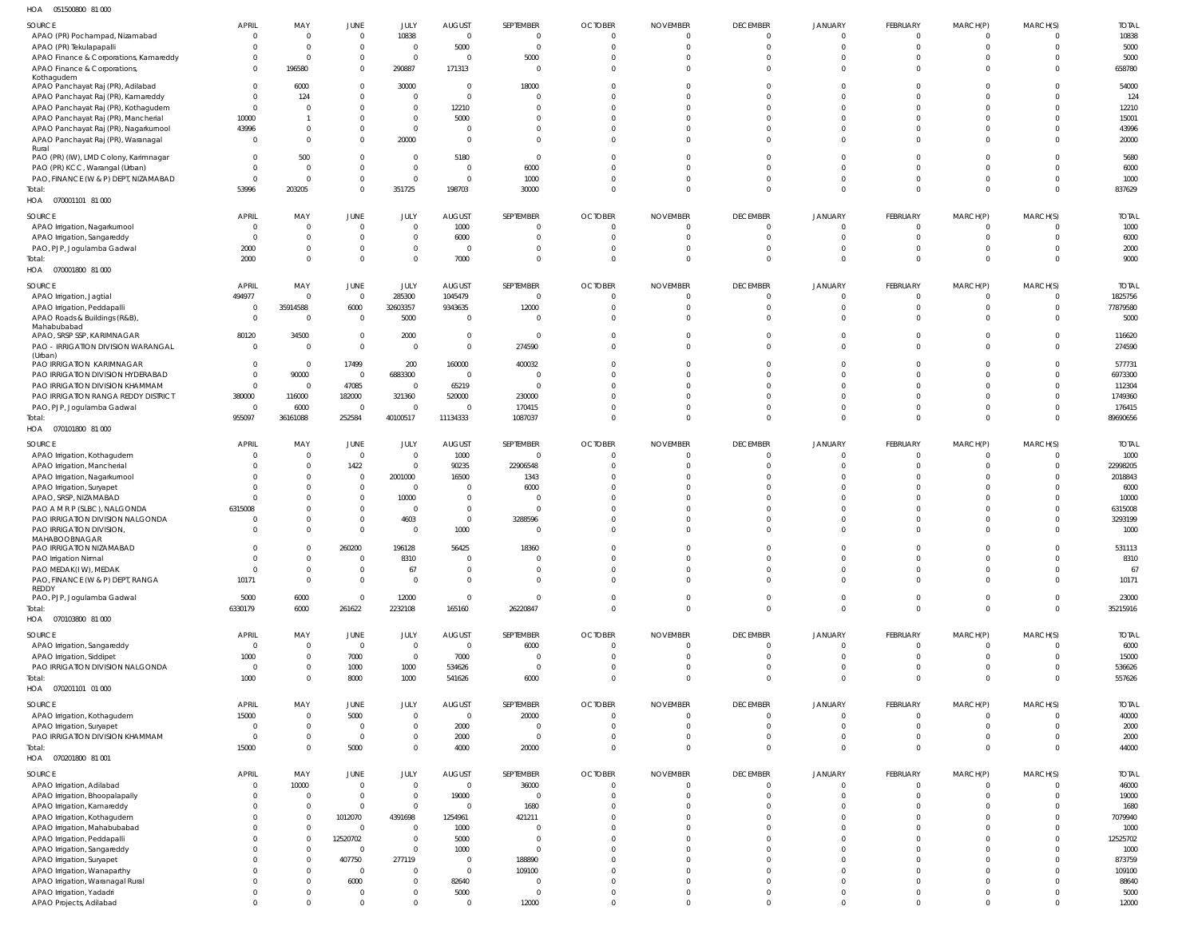051500800 81 000 HOA

| $\cdots$<br><b>OUTDOODOO UT OUG</b>    |                                |                 |                        |                     |                                 |                           |                |                             |                                |                           |                            |                      |                      |                      |
|----------------------------------------|--------------------------------|-----------------|------------------------|---------------------|---------------------------------|---------------------------|----------------|-----------------------------|--------------------------------|---------------------------|----------------------------|----------------------|----------------------|----------------------|
| SOURCE                                 | APRIL                          | MAY             | JUNE                   | JULY                | <b>AUGUST</b>                   | SEPTEMBER                 | <b>OCTOBER</b> | <b>NOVEMBER</b>             | <b>DECEMBER</b>                | <b>JANUARY</b>            | FEBRUARY                   | MARCH(P)             | MARCH(S)             | <b>TOTAL</b>         |
| APAO (PR) Pochampad, Nizamabad         | $\Omega$                       | -C              | $\overline{0}$         | 10838               | $\overline{0}$                  | $\Omega$                  | $\Omega$       | $\Omega$                    | $\Omega$                       | $\Omega$                  | $\Omega$                   | $\Omega$             | $\Omega$             | 10838                |
| APAO (PR) Tekulapapalli                | $\Omega$                       |                 | $\overline{0}$         | $\mathbf 0$         | 5000                            | $\overline{0}$            | $\Omega$       | $\Omega$                    | $\mathbf 0$                    | $\mathbf{0}$              | $\Omega$                   | $\Omega$             | $\Omega$             | 5000                 |
| APAO Finance & Corporations, Kamareddy | $\Omega$                       | -C              | $\overline{0}$         | $\overline{0}$      | $\Omega$                        | 5000                      | <sup>0</sup>   |                             | $\Omega$                       | $\Omega$                  | $\Omega$                   | $\Omega$             | $\Omega$             | 5000                 |
| APAO Finance & Corporations,           | $\Omega$                       | 196580          | $\overline{0}$         | 290887              | 171313                          | $\overline{0}$            | $\Omega$       | $\Omega$                    | $\Omega$                       | $\Omega$                  | $\Omega$                   | $\Omega$             | $\Omega$             | 658780               |
| Kothagudem                             |                                |                 |                        |                     |                                 |                           |                |                             |                                |                           |                            |                      |                      |                      |
| APAO Panchayat Raj (PR), Adilabad      | $\Omega$                       | 6000            | $\Omega$               | 30000               | $\Omega$                        | 18000                     | <sup>0</sup>   |                             | $\Omega$                       | $\Omega$                  | $\Omega$                   | $\Omega$             | $\Omega$             | 54000                |
| APAO Panchayat Raj (PR), Kamareddy     | $\Omega$                       | 124             | $\Omega$               | $\Omega$            | $\Omega$                        | $\Omega$                  |                |                             | $\Omega$                       | $\Omega$                  | $\Omega$                   |                      | $\Omega$             | 124                  |
| APAO Panchayat Raj (PR), Kothagudem    | $\Omega$                       |                 | $\Omega$               | $\mathbf 0$         | 12210                           | $\Omega$                  | <sup>0</sup>   |                             | $\Omega$                       | $\Omega$                  | $\Omega$                   |                      | $\Omega$             | 12210                |
| APAO Panchayat Raj (PR), Mancherial    | 10000                          |                 | $\Omega$               | $\Omega$            | 5000                            | $\Omega$                  |                |                             | $\Omega$                       | $\Omega$                  | $\Omega$                   |                      | $\Omega$             | 15001                |
| APAO Panchayat Raj (PR), Nagarkurnool  | 43996                          |                 | $\mathbf{0}$           | $\mathbf 0$         | - 0                             | $\Omega$                  | <sup>0</sup>   |                             | $\Omega$                       | $\Omega$                  | $\Omega$                   |                      | $\Omega$             | 43996                |
| APAO Panchayat Raj (PR), Waranagal     | $\Omega$                       |                 | $\Omega$               | 20000               | $\Omega$                        | $\Omega$                  | 0              | <sup>0</sup>                | $\Omega$                       | $\Omega$                  | $\Omega$                   | $\Omega$             | $\Omega$             | 20000                |
| Rural                                  |                                |                 |                        |                     |                                 |                           |                |                             |                                |                           |                            |                      |                      |                      |
| PAO (PR) (IW), LMD Colony, Karimnagar  | $\Omega$                       | 500             | $\Omega$               | $\Omega$            | 5180                            | $\Omega$                  | 0              | <sup>0</sup>                | $\Omega$                       | $\Omega$                  | $\Omega$                   | $\Omega$             | $\Omega$             | 5680                 |
| PAO (PR) KCC, Warangal (Urban)         | $\Omega$                       |                 | $\Omega$               | $\mathbf 0$         | $\Omega$                        | 6000                      | <sup>0</sup>   |                             | $\Omega$                       | $\Omega$                  | $\Omega$                   |                      | $\Omega$             | 6000                 |
| PAO, FINANCE (W & P) DEPT, NIZAMABAD   | $\Omega$                       | $\mathsf{C}$    | $\overline{0}$         | $\mathbf 0$         | $\Omega$                        | 1000                      | 0              | <sup>0</sup>                | $\Omega$                       | $\Omega$                  | $\Omega$                   |                      | $\Omega$             | 1000                 |
| Total:                                 | 53996                          | 203205          | $\overline{0}$         | 351725              | 198703                          | 30000                     | $\Omega$       | $\Omega$                    | $\Omega$                       | $\Omega$                  | $\Omega$                   | $\Omega$             | $\Omega$             | 837629               |
| HOA  070001101  81 000                 |                                |                 |                        |                     |                                 |                           |                |                             |                                |                           |                            |                      |                      |                      |
| SOURCE                                 | <b>APRIL</b>                   | MAY             | JUNE                   | JULY                | <b>AUGUST</b>                   | SEPTEMBER                 | <b>OCTOBER</b> | <b>NOVEMBER</b>             | <b>DECEMBER</b>                | <b>JANUARY</b>            | FEBRUARY                   | MARCH(P)             | MARCH(S)             | <b>TOTAL</b>         |
| APAO Irrigation, Nagarkurnool          | $\overline{0}$                 | $\Omega$        | $\overline{0}$         | $\mathbf 0$         | 1000                            | $\mathbf 0$               | $\Omega$       | $\Omega$                    | $\Omega$                       | $\overline{0}$            | $\Omega$                   | - 0                  | $\Omega$             | 1000                 |
| APAO Irrigation, Sangareddy            | $\overline{0}$                 | $\Omega$        | $\overline{0}$         | $\mathbf 0$         | 6000                            | $\mathbf{0}$              | $\Omega$       | $\Omega$                    | $\Omega$                       | $\overline{0}$            | $\Omega$                   | - 0                  | $\Omega$             | 6000                 |
| PAO, PJP, Jogulamba Gadwal             | 2000                           | $\Omega$        | $\overline{0}$         | $\mathbf 0$         | $\overline{0}$                  | $\mathbf{0}$              | 0              | 0                           | $\Omega$                       | $\overline{0}$            | $\Omega$                   | - 0                  | $\Omega$             | 2000                 |
| Total:                                 | 2000                           | $\Omega$        | $\overline{0}$         | $\mathbf 0$         | 7000                            | $\mathbf{0}$              | $\Omega$       | $\Omega$                    | $\overline{0}$                 | $\overline{0}$            | $\Omega$                   | - 0                  | $\Omega$             | 9000                 |
| HOA  070001800  81 000                 |                                |                 |                        |                     |                                 |                           |                |                             |                                |                           |                            |                      |                      |                      |
|                                        |                                |                 |                        |                     |                                 |                           |                |                             |                                |                           |                            |                      |                      |                      |
| SOURCE                                 | APRIL                          | MAY             | JUNE                   | JULY                | <b>AUGUST</b>                   | SEPTEMBER                 | <b>OCTOBER</b> | <b>NOVEMBER</b>             | <b>DECEMBER</b>                | <b>JANUARY</b>            | FEBRUARY                   | MARCH(P)             | MARCH(S)             | <b>TOTAL</b>         |
| APAO Irrigation, Jagtial               | 494977                         | $\Omega$        | $\overline{0}$         | 285300              | 1045479                         | $\Omega$                  | $\Omega$       | $\Omega$                    | $\Omega$                       | $\mathbf{0}$              | $\Omega$                   | - 0                  | $\Omega$             | 1825756              |
| APAO Irrigation, Peddapalli            | $\Omega$                       | 35914588        | 6000                   | 32603357            | 9343635                         | 12000                     | 0              | $\Omega$                    | $\Omega$                       | $\Omega$                  | $\Omega$                   | $\Omega$             | $\Omega$             | 77879580             |
| APAO Roads & Buildings (R&B),          | $\Omega$                       | $\Omega$        | $\overline{0}$         | 5000                | 0                               | $\Omega$                  | 0              | $\Omega$                    | $\Omega$                       | $\Omega$                  | $\Omega$                   | $\Omega$             | $\Omega$             | 5000                 |
| Mahabubabad                            |                                |                 |                        |                     |                                 |                           |                |                             |                                |                           |                            |                      |                      |                      |
| APAO, SRSP SSP, KARIMNAGAR             | 80120                          | 34500           | $\overline{0}$         | 2000                | - 0                             | $\Omega$                  | 0              |                             | $\Omega$                       | $\Omega$                  | $\Omega$                   |                      | $\Omega$             | 116620               |
| PAO - IRRIGATION DIVISION WARANGAL     | $\overline{0}$                 | $\Omega$        | $\overline{0}$         | $\mathbf 0$         | $\Omega$                        | 274590                    | $\Omega$       | $\Omega$                    | $\Omega$                       | $\Omega$                  | $\Omega$                   | $\Omega$             | $\Omega$             | 274590               |
| (Urban)<br>PAO IRRIGATION KARIMNAGAR   | $\Omega$                       | $\Omega$        | 17499                  | 200                 | 160000                          | 400032                    | 0              | <sup>0</sup>                | $\Omega$                       | $\Omega$                  | $\Omega$                   |                      | $\Omega$             | 577731               |
|                                        | $\Omega$                       |                 |                        |                     |                                 |                           |                |                             | $\Omega$                       | $\Omega$                  | $\Omega$                   |                      | $\Omega$             |                      |
| PAO IRRIGATION DIVISION HYDERABAD      |                                | 90000           | $\overline{0}$         | 6883300             | $\overline{0}$                  | $\Omega$                  |                |                             |                                |                           |                            |                      |                      | 6973300              |
| PAO IRRIGATION DIVISION KHAMMAM        | $\Omega$                       | $\Omega$        | 47085                  | $\overline{0}$      | 65219                           | $\Omega$                  |                |                             | $\Omega$                       | $\Omega$                  | $\Omega$                   |                      | $\Omega$             | 112304               |
| PAO IRRIGATION RANGA REDDY DISTRICT    | 380000                         | 116000          | 182000                 | 321360              | 520000                          | 230000                    |                |                             | $\Omega$                       | $\Omega$                  | $\Omega$                   |                      | $\Omega$             | 1749360              |
| PAO, PJP, Jogulamba Gadwal             | $\Omega$                       | 6000            | $\Omega$               | $\mathbf 0$         | - 0                             | 170415                    | U              |                             | $\Omega$                       | $\Omega$                  | $\Omega$                   |                      | $\Omega$             | 176415               |
| Total:                                 | 955097                         | 36161088        | 252584                 | 40100517            | 11134333                        | 1087037                   | 0              | $\Omega$                    | $\Omega$                       | $\Omega$                  | $\Omega$                   | $\Omega$             | $\Omega$             | 89690656             |
| HOA  070101800  81 000                 |                                |                 |                        |                     |                                 |                           |                |                             |                                |                           |                            |                      |                      |                      |
| SOURCE                                 | <b>APRIL</b>                   | MAY             | JUNE                   | JULY                | <b>AUGUST</b>                   | SEPTEMBER                 | <b>OCTOBER</b> | <b>NOVEMBER</b>             | <b>DECEMBER</b>                | <b>JANUARY</b>            | FEBRUARY                   | MARCH(P)             | MARCH(S)             | <b>TOTAL</b>         |
| APAO Irrigation, Kothagudem            | $\mathbf{0}$                   | $\Omega$        | $\overline{0}$         | $\overline{0}$      | 1000                            | $\overline{0}$            | $\Omega$       | $\Omega$                    | $\Omega$                       | $\overline{0}$            | $\Omega$                   | - 0                  | $\Omega$             | 1000                 |
| APAO Irrigation, Mancherial            | $\Omega$                       | $\Omega$        | 1422                   | $\mathbf 0$         | 90235                           | 22906548                  | $\Omega$       |                             | $\Omega$                       | $\Omega$                  | $\Omega$                   | $\Omega$             | $\Omega$             | 22998205             |
| APAO Irrigation, Nagarkurnool          | $\Omega$                       | $\Omega$        | $\overline{0}$         | 2001000             | 16500                           | 1343                      | <sup>0</sup>   |                             | $\Omega$                       | $\Omega$                  | $\Omega$                   |                      | $\Omega$             | 2018843              |
| APAO Irrigation, Suryapet              | $\Omega$                       |                 | $\overline{0}$         | $\mathbf 0$         | $\Omega$                        | 6000                      |                |                             | $\Omega$                       | $\Omega$                  | $\Omega$                   |                      | $\Omega$             | 6000                 |
| APAO, SRSP, NIZAMABAD                  |                                | $\Omega$        | $\overline{0}$         | 10000               | - 0                             | $\Omega$                  |                |                             | $\Omega$                       | $\Omega$                  | $\Omega$                   |                      | $\Omega$             | 10000                |
| PAO A M R P (SLBC), NALGONDA           | 6315008                        |                 | $\overline{0}$         | $\Omega$            | $\Omega$                        | $\overline{0}$            |                |                             | $\Omega$                       | $\Omega$                  | $\Omega$                   |                      | $\Omega$             | 6315008              |
| PAO IRRIGATION DIVISION NALGONDA       | - 0                            |                 | $\overline{0}$         |                     | $\overline{0}$                  |                           | 0              |                             | $\Omega$                       | $\overline{0}$            | $\Omega$                   |                      | $\Omega$             |                      |
| PAO IRRIGATION DIVISION,               | $\Omega$                       | $\Omega$        | $\overline{0}$         | 4603<br>$\mathbf 0$ | 1000                            | 3288596<br>$\overline{0}$ | $\Omega$       | $\Omega$                    | $\Omega$                       | $\Omega$                  | $\Omega$                   | $\Omega$             | $\Omega$             | 3293199<br>1000      |
| MAHABOOBNAGAR                          |                                |                 |                        |                     |                                 |                           |                |                             |                                |                           |                            |                      |                      |                      |
| PAO IRRIGATION NIZAMABAD               | $\Omega$                       |                 | 260200                 | 196128              | 56425                           | 18360                     |                |                             | -0                             |                           |                            |                      | $\Omega$             | 531113               |
| PAO Irrigation Nirmal                  | $\overline{0}$                 | $\Omega$        | $\mathbf 0$            | 8310                | $\overline{0}$                  | $\overline{0}$            | $\Omega$       | $\Omega$                    | $\Omega$                       | $\Omega$                  | $\Omega$                   | $\Omega$             | $\Omega$             | 8310                 |
| PAO MEDAK(IW), MEDAK                   | $\overline{0}$                 | $\Omega$        | $\overline{0}$         | 67                  | $\overline{0}$                  | $\mathbf 0$               | $\mathbf 0$    | $\mathbf 0$                 | $\overline{0}$                 | $\overline{0}$            | $\overline{0}$             | $\Omega$             | $\mathbf 0$          | 67                   |
| PAO, FINANCE (W & P) DEPT, RANGA       | 10171                          | $\Omega$        | $\mathbf 0$            | $\Omega$            | $\Omega$                        | $\mathbf{0}$              | $\Omega$       | $\Omega$                    | $\Omega$                       | $\Omega$                  | $\Omega$                   | $\Omega$             | $\Omega$             | 10171                |
| REDDY                                  |                                |                 |                        |                     |                                 |                           |                |                             |                                |                           |                            |                      |                      |                      |
| PAO, PJP, Jogulamba Gadwal             | 5000                           | 6000            | $\overline{0}$         | 12000               | $\overline{0}$                  | $\mathbf{0}$              | $\mathbf{0}$   | $\mathbf{0}$                | $\overline{0}$                 | $\overline{0}$            | $\overline{0}$             | $\Omega$             | $\Omega$             | 23000                |
| Total:                                 | 6330179                        | 6000            | 261622                 | 2232108             | 165160                          | 26220847                  | $\Omega$       | $\Omega$                    | $\overline{0}$                 | $\overline{0}$            | $\Omega$                   | $\Omega$             | $\overline{0}$       | 35215916             |
| HOA  070103800  81 000                 |                                |                 |                        |                     |                                 |                           |                |                             |                                |                           |                            |                      |                      |                      |
|                                        |                                |                 |                        |                     |                                 |                           | <b>OCTOBER</b> |                             |                                |                           |                            |                      |                      |                      |
| SOURCE<br>APAO Irrigation, Sangareddy  | <b>APRIL</b><br>$\overline{0}$ | MAY<br>$\Omega$ | JUNE<br>$\overline{0}$ | JULY<br>$\mathbf 0$ | <b>AUGUST</b><br>$\overline{0}$ | SEPTEMBER                 | $\overline{0}$ | <b>NOVEMBER</b><br>$\Omega$ | <b>DECEMBER</b><br>$\mathbf 0$ | JANUARY<br>$\overline{0}$ | FEBRUARY<br>$\overline{0}$ | MARCH(P)<br>$\Omega$ | MARCH(S)<br>$\Omega$ | <b>TOTAL</b><br>6000 |
|                                        | 1000                           | $\Omega$        | 7000                   | $\overline{0}$      | 7000                            | 6000<br>$\overline{0}$    | $\Omega$       | $\Omega$                    | $\Omega$                       | $\overline{0}$            | $\mathbf 0$                | $\Omega$             | $\Omega$             | 15000                |
| APAO Irrigation, Siddipet              | $\overline{0}$                 | $\Omega$        |                        |                     |                                 | $\mathbf{0}$              | $\Omega$       | $\Omega$                    | $\overline{0}$                 | $\overline{0}$            | $\mathbf 0$                | $\Omega$             | $\Omega$             |                      |
| PAO IRRIGATION DIVISION NALGONDA       | 1000                           | $\Omega$        | 1000<br>8000           | 1000                | 534626                          | 6000                      | $\Omega$       | $\Omega$                    | $\Omega$                       | $\Omega$                  | $\Omega$                   | $\Omega$             | $\Omega$             | 536626               |
| Total:<br>HOA  070201101  01  000      |                                |                 |                        | 1000                | 541626                          |                           |                |                             |                                |                           |                            |                      |                      | 557626               |
|                                        |                                |                 |                        |                     |                                 |                           |                |                             |                                |                           |                            |                      |                      |                      |
| SOURCE                                 | <b>APRIL</b>                   | MAY             | JUNE                   | JULY                | <b>AUGUST</b>                   | SEPTEMBER                 | <b>OCTOBER</b> | <b>NOVEMBER</b>             | <b>DECEMBER</b>                | <b>JANUARY</b>            | FEBRUARY                   | MARCH(P)             | MARCH(S)             | <b>TOTAL</b>         |
| APAO Irrigation, Kothagudem            | 15000                          | $\Omega$        | 5000                   | $\overline{0}$      | $\overline{0}$                  | 20000                     | $\overline{0}$ | 0                           | $\overline{0}$                 | $\overline{0}$            | $\overline{0}$             | $\Omega$             | $\Omega$             | 40000                |
| APAO Irrigation, Suryapet              | $\overline{0}$                 | $\Omega$        | $\overline{0}$         | $\mathbf 0$         | 2000                            | $\overline{0}$            | $\mathbf 0$    | $\mathbf 0$                 | $\overline{0}$                 | $\overline{0}$            | $\overline{0}$             | $\Omega$             | $\overline{0}$       | 2000                 |
| PAO IRRIGATION DIVISION KHAMMAM        | $\overline{0}$                 | $\Omega$        | $\mathbb O$            | $\mathbf 0$         | 2000                            | $\overline{0}$            | 0              | $\mathbf{0}$                | $\overline{0}$                 | $\overline{0}$            | $\overline{0}$             | $\Omega$             | $\overline{0}$       | 2000                 |
| Total:                                 | 15000                          | $\Omega$        | 5000                   | $\mathbf{0}$        | 4000                            | 20000                     | $\Omega$       | $\Omega$                    | $\overline{0}$                 | $\Omega$                  | $\Omega$                   | $\Omega$             | $\Omega$             | 44000                |
| HOA  070201800  81 001                 |                                |                 |                        |                     |                                 |                           |                |                             |                                |                           |                            |                      |                      |                      |
|                                        |                                |                 |                        |                     |                                 |                           |                |                             |                                |                           |                            |                      |                      |                      |
| SOURCE                                 | APRIL                          | MAY             | JUNE                   | JULY                | <b>AUGUST</b>                   | SEPTEMBER                 | <b>OCTOBER</b> | <b>NOVEMBER</b>             | <b>DECEMBER</b>                | <b>JANUARY</b>            | FEBRUARY                   | MARCH(P)             | MARCH(S)             | <b>TOTAL</b>         |
| APAO Irrigation, Adilabad              | $\Omega$                       | 10000           | $\mathbf 0$            | $\mathbf 0$         | $\overline{0}$                  | 36000                     | $\Omega$       | $\Omega$                    | $\Omega$                       | $\Omega$                  | $\mathbf 0$                | $\Omega$             | $\Omega$             | 46000                |
| APAO Irrigation, Bhoopalapally         | $\Omega$                       | - 0             | $\overline{0}$         | $\mathbf 0$         | 19000                           | $\Omega$                  | $\Omega$       | $\Omega$                    | $\mathbf 0$                    | $\overline{0}$            | $\mathbf 0$                | - 0                  | $\Omega$             | 19000                |
| APAO Irrigation, Kamareddy             | $\Omega$                       | $\Omega$        | $\Omega$               | $\mathbf 0$         | $\Omega$                        | 1680                      | 0              | $\Omega$                    | $\Omega$                       | $\Omega$                  | $\Omega$                   | $\Omega$             | $\Omega$             | 1680                 |
| APAO Irrigation, Kothagudem            | $\Omega$                       | $\Omega$        | 1012070                | 4391698             | 1254961                         | 421211                    | $\Omega$       | <sup>0</sup>                | $\Omega$                       | $\Omega$                  | $\Omega$                   | $\Omega$             | $\Omega$             | 7079940              |
| APAO Irrigation, Mahabubabad           |                                | $\Omega$        | $\Omega$               | $\mathbf 0$         | 1000                            | $\Omega$                  | $\Omega$       | <sup>0</sup>                | $\Omega$                       | $\Omega$                  | $\Omega$                   | $\Omega$             | $\Omega$             | 1000                 |
| APAO Irrigation, Peddapalli            |                                | $\Omega$        | 12520702               | $\Omega$            | 5000                            | $\overline{0}$            | $\Omega$       | <sup>0</sup>                | $\Omega$                       | $\Omega$                  | $\Omega$                   | $\Omega$             | $\Omega$             | 12525702             |
| APAO Irrigation, Sangareddy            |                                | $\Omega$        | $\Omega$               | $\mathbf 0$         | 1000                            | $\mathbf{0}$              | $\Omega$       | <sup>0</sup>                | $\Omega$                       | $\Omega$                  | $\Omega$                   |                      | $\Omega$             | 1000                 |
| APAO Irrigation, Suryapet              |                                |                 | 407750                 | 277119              | - 0                             | 188890                    | $\Omega$       | <sup>0</sup>                | $\Omega$                       | $\Omega$                  | $\Omega$                   | $\Omega$             | $\Omega$             | 873759               |
| APAO Irrigation, Wanaparthy            |                                | $\Omega$        | $\Omega$               | $\mathbf 0$         | - 0                             | 109100                    | $\Omega$       | <sup>0</sup>                | $\Omega$                       | $\Omega$                  | $\Omega$                   |                      | $\Omega$             | 109100               |
| APAO Irrigation, Waranagal Rural       |                                |                 | 6000                   | $\mathbf 0$         | 82640                           | $\overline{0}$            | $\Omega$       | 0                           | $\Omega$                       | $\Omega$                  | $\Omega$                   | $\Omega$             | $\Omega$             | 88640                |
| APAO Irrigation, Yadadri               | $\Omega$                       |                 | $\overline{0}$         | $\mathbf 0$         | 5000                            | $\Omega$                  | $\Omega$       | $\Omega$                    | $\Omega$                       | $\Omega$                  | $\Omega$                   | $\Omega$             | $\Omega$             | 5000                 |
| APAO Projects, Adilabad                | $\Omega$                       | $\Omega$        | $\overline{0}$         | $\Omega$            | $\overline{0}$                  | 12000                     | $\Omega$       | $\Omega$                    | $\Omega$                       | $\Omega$                  | $\Omega$                   | $\Omega$             | $\Omega$             | 12000                |
|                                        |                                |                 |                        |                     |                                 |                           |                |                             |                                |                           |                            |                      |                      |                      |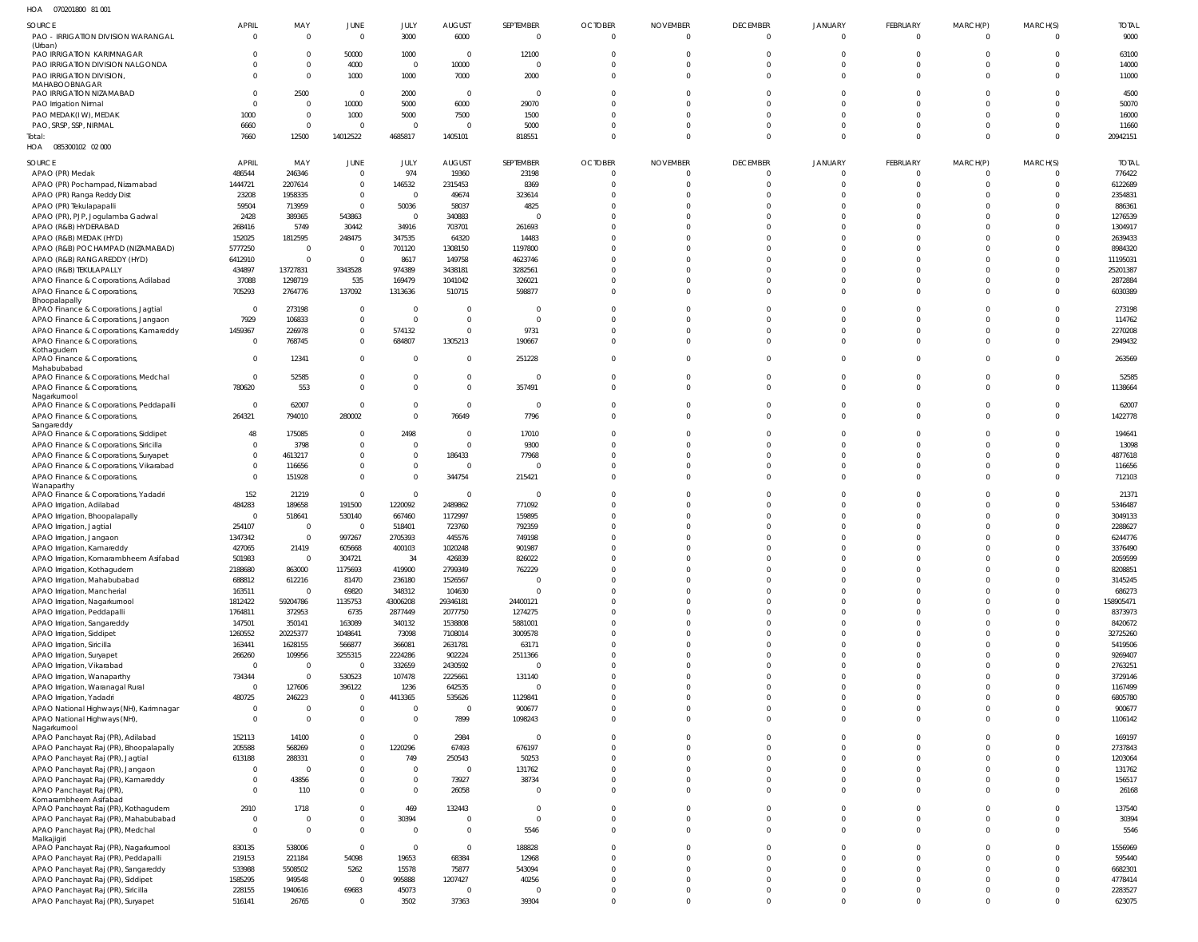070201800 81 001 HOA

| SOURCE                                                                          | <b>APRIL</b>           | MAY                        | JUNE                         | JULY                         | <b>AUGUST</b>           | SEPTEMBER                        | <b>OCTOBER</b>                 | <b>NOVEMBER</b>             | <b>DECEMBER</b>               | <b>JANUARY</b>          | FEBRUARY             | MARCH(P)             | MARCH(S)             | <b>TOTAL</b>           |
|---------------------------------------------------------------------------------|------------------------|----------------------------|------------------------------|------------------------------|-------------------------|----------------------------------|--------------------------------|-----------------------------|-------------------------------|-------------------------|----------------------|----------------------|----------------------|------------------------|
| PAO - IRRIGATION DIVISION WARANGAL                                              | $\Omega$               | $\Omega$                   | $\mathbf{0}$                 | 3000                         | 6000                    | $\overline{0}$                   | $\overline{0}$                 | $\Omega$                    | $\overline{0}$                | $\overline{0}$          | $\mathbf 0$          | $\Omega$             | $\Omega$             | 9000                   |
| (Urban)<br>PAO IRRIGATION KARIMNAGAR                                            |                        | $\Omega$                   | 50000                        | 1000                         | $\overline{0}$          | 12100                            | $\Omega$                       | $\Omega$                    | $\mathbf 0$                   | $\mathbf 0$             | $\mathbf 0$          | $\Omega$             | $\Omega$             | 63100                  |
| PAO IRRIGATION DIVISION NALGONDA                                                |                        | $\Omega$                   | 4000                         | $\overline{0}$               | 10000                   | $\Omega$                         | $\Omega$                       | $\Omega$                    | $\mathbf 0$                   | $\mathbf 0$             | $\Omega$             | $\Omega$             | $\Omega$             | 14000                  |
| PAO IRRIGATION DIVISION,<br>MAHABOOBNAGAR                                       |                        | $\Omega$                   | 1000                         | 1000                         | 7000                    | 2000                             | $\Omega$                       | $\Omega$                    | $\mathbf 0$                   | $\mathbf 0$             | $\Omega$             | $\Omega$             | $\Omega$             | 11000                  |
| PAO IRRIGATION NIZAMABAD                                                        |                        | 2500                       | $\mathbf 0$                  | 2000                         | $\overline{0}$          | $\overline{0}$                   | $\Omega$                       | $\Omega$                    | $\mathbf 0$                   | $\mathbf 0$             | $\Omega$             | $\Omega$             | $\Omega$             | 4500                   |
| PAO Irrigation Nirmal<br>PAO MEDAK(IW), MEDAK                                   | 1000                   | $\Omega$<br>$\overline{0}$ | 10000<br>1000                | 5000<br>5000                 | 6000<br>7500            | 29070<br>1500                    | $\Omega$<br>$\Omega$           | $\Omega$<br>$\Omega$        | $\Omega$<br>$\Omega$          | $\Omega$<br>$\Omega$    | $\Omega$<br>$\Omega$ | $\Omega$<br>$\Omega$ | $\Omega$<br>$\Omega$ | 50070<br>16000         |
| PAO, SRSP, SSP, NIRMAL                                                          | 6660                   | $\Omega$                   | $\mathbf 0$                  | $\overline{0}$               | $\Omega$                | 5000                             | $\Omega$                       | $\Omega$                    | $\mathbf 0$                   | $\mathbf 0$             | $\Omega$             | $\Omega$             | $\Omega$             | 11660                  |
| Total:                                                                          | 7660                   | 12500                      | 14012522                     | 4685817                      | 1405101                 | 818551                           | $\Omega$                       | $\Omega$                    | $\Omega$                      | $\Omega$                | $\Omega$             | $\Omega$             | $\Omega$             | 20942151               |
| HOA  085300102  02  000                                                         |                        |                            |                              |                              |                         |                                  |                                |                             |                               |                         |                      |                      |                      |                        |
| SOURCE                                                                          | <b>APRIL</b><br>486544 | MAY<br>246346              | JUNE<br>$\mathbf{0}$         | JULY<br>974                  | <b>AUGUST</b><br>19360  | SEPTEMBER<br>23198               | <b>OCTOBER</b><br>$\mathbf{0}$ | <b>NOVEMBER</b><br>$\Omega$ | <b>DECEMBER</b><br>$^{\circ}$ | JANUARY<br>$\Omega$     | FEBRUARY<br>$\Omega$ | MARCH(P)<br>$\Omega$ | MARCH(S)<br>$\Omega$ | <b>TOTAL</b><br>776422 |
| APAO (PR) Medak<br>APAO (PR) Pochampad, Nizamabad                               | 1444721                | 2207614                    | $\mathbf{0}$                 | 146532                       | 2315453                 | 8369                             | $\Omega$                       | $\Omega$                    | $\Omega$                      | $\Omega$                | $\Omega$             | $\Omega$             | $\Omega$             | 6122689                |
| APAO (PR) Ranga Reddy Dist                                                      | 23208                  | 1958335                    | $\mathbf{0}$                 | $\Omega$                     | 49674                   | 323614                           | $\Omega$                       |                             | $\Omega$                      | $\Omega$                | $\Omega$             | $\Omega$             | $\Omega$             | 2354831                |
| APAO (PR) Tekulapapalli<br>APAO (PR), PJP, Jogulamba Gadwal                     | 59504<br>2428          | 713959<br>389365           | $\mathbf{0}$<br>543863       | 50036<br>- 0                 | 58037<br>340883         | 4825                             | $\Omega$<br>$\Omega$           | $\Omega$<br>U               | $\Omega$<br>$\Omega$          | $\Omega$<br>$\Omega$    | $\Omega$<br>$\Omega$ | $\Omega$<br>$\Omega$ | $\Omega$<br>$\Omega$ | 886361<br>1276539      |
| APAO (R&B) HYDERABAD                                                            | 268416                 | 5749                       | 30442                        | 34916                        | 703701                  | 261693                           | $\Omega$                       |                             | $\Omega$                      | $\Omega$                | $\Omega$             |                      | $\Omega$             | 1304917                |
| APAO (R&B) MEDAK (HYD)                                                          | 152025                 | 1812595                    | 248475                       | 347535                       | 64320                   | 14483                            | $\Omega$                       | U                           | $\Omega$                      | $\Omega$                | $\Omega$             | $\Omega$             | $\Omega$             | 2639433                |
| APAO (R&B) POCHAMPAD (NIZAMABAD)<br>APAO (R&B) RANGAREDDY (HYD)                 | 5777250<br>6412910     | $\Omega$<br>$\Omega$       | $\mathbf 0$<br>$\mathbf 0$   | 701120<br>8617               | 1308150<br>149758       | 1197800<br>4623746               | $\Omega$<br>$\Omega$           | $\Omega$                    | $\Omega$<br>$\Omega$          | $\Omega$<br>$\Omega$    | $\Omega$<br>$\Omega$ | $\Omega$             | $\Omega$<br>$\Omega$ | 8984320<br>11195031    |
| APAO (R&B) TEKULAPALLY                                                          | 434897                 | 13727831                   | 3343528                      | 974389                       | 3438181                 | 3282561                          |                                |                             | $\Omega$                      | $\Omega$                | $\Omega$             |                      | $\Omega$             | 25201387               |
| APAO Finance & Corporations, Adilabad                                           | 37088                  | 1298719                    | 535                          | 169479                       | 1041042                 | 326021                           | $\Omega$                       | $\Omega$                    | $\Omega$                      | $\Omega$                | $\Omega$             | $\Omega$             | $\Omega$             | 2872884                |
| APAO Finance & Corporations,<br>Bhoopalapally                                   | 705293                 | 2764776                    | 137092                       | 1313636                      | 510715                  | 598877                           | $\Omega$                       | $\Omega$                    | $\Omega$                      | $\Omega$                | $\Omega$             | $\Omega$             | $\Omega$             | 6030389                |
| APAO Finance & Corporations, Jagtial                                            | $\Omega$               | 273198                     | $\mathbf{0}$                 | $\Omega$                     | $\Omega$                | $\Omega$                         | $\Omega$                       | $\Omega$                    | $\Omega$                      | $\Omega$                | $\Omega$             | $\Omega$             | $\Omega$             | 273198                 |
| APAO Finance & Corporations, Jangaon                                            | 7929<br>1459367        | 106833<br>226978           | $\mathbf 0$<br>$\mathbf 0$   | $\Omega$<br>574132           | $\Omega$<br>$\Omega$    | $\Omega$<br>9731                 | $\Omega$<br>$\Omega$           | $\Omega$                    | $\Omega$<br>$\Omega$          | $\Omega$<br>$\Omega$    | $\Omega$<br>$\Omega$ | $\Omega$<br>$\Omega$ | $\Omega$<br>$\Omega$ | 114762<br>2270208      |
| APAO Finance & Corporations, Kamareddy<br>APAO Finance & Corporations,          | $\Omega$               | 768745                     | $\mathbf 0$                  | 684807                       | 1305213                 | 190667                           | $\Omega$                       | $\Omega$                    | $\Omega$                      | $\Omega$                | $\Omega$             | $\Omega$             | $\Omega$             | 2949432                |
| Kothagudem<br>APAO Finance & Corporations,                                      | $\Omega$               | 12341                      | $\mathbf 0$                  | $\Omega$                     | $\Omega$                | 251228                           | $\Omega$                       | $\Omega$                    | $\Omega$                      | $\Omega$                | $\Omega$             | $\Omega$             | $\Omega$             | 263569                 |
| Mahabubabad                                                                     |                        |                            |                              |                              |                         |                                  |                                |                             |                               |                         |                      |                      |                      |                        |
| APAO Finance & Corporations, Medchal<br>APAO Finance & Corporations,            | $\Omega$<br>780620     | 52585<br>553               | $\mathbf{0}$<br>$\Omega$     | $\Omega$<br>$\Omega$         | $\Omega$<br>$\Omega$    | $\overline{0}$<br>357491         | $\Omega$<br>$\Omega$           | $\Omega$<br>$\Omega$        | $\Omega$<br>$\Omega$          | $\mathbf 0$<br>$\Omega$ | $\Omega$<br>$\Omega$ | $\Omega$<br>$\Omega$ | $\Omega$<br>$\Omega$ | 52585<br>1138664       |
| Nagarkurnool                                                                    |                        |                            |                              |                              |                         |                                  |                                |                             |                               |                         |                      |                      |                      |                        |
| APAO Finance & Corporations, Peddapalli                                         | $\Omega$               | 62007                      | $\Omega$                     | $\Omega$<br>$\Omega$         | $\Omega$                | $\overline{0}$                   | $\Omega$<br>$\Omega$           | $\Omega$<br>$\Omega$        | $\Omega$<br>$\Omega$          | $\Omega$<br>$\Omega$    | $\Omega$<br>$\Omega$ | $\Omega$<br>$\Omega$ | $\Omega$<br>$\Omega$ | 62007                  |
| APAO Finance & Corporations,<br>Sangareddy                                      | 264321                 | 794010                     | 280002                       |                              | 76649                   | 7796                             |                                |                             |                               |                         |                      |                      |                      | 1422778                |
| APAO Finance & Corporations, Siddipet                                           | 48<br>$\Omega$         | 175085                     | $\mathbf{0}$<br>$\mathbf{0}$ | 2498<br>$\Omega$             | $\Omega$<br>$\Omega$    | 17010<br>9300                    | $\Omega$<br>$\Omega$           | $\Omega$                    | $\Omega$<br>$\Omega$          | $\Omega$<br>$\Omega$    | $\Omega$<br>$\Omega$ | $\Omega$<br>$\Omega$ | $\Omega$<br>$\Omega$ | 194641<br>13098        |
| APAO Finance & Corporations, Siricilla<br>APAO Finance & Corporations, Suryapet |                        | 3798<br>4613217            | $\mathbf{0}$                 | $\Omega$                     | 186433                  | 77968                            | $\Omega$                       | $\Omega$                    | $\Omega$                      | $\Omega$                | $\Omega$             | $\Omega$             | $\Omega$             | 4877618                |
| APAO Finance & Corporations, Vikarabad                                          |                        | 116656                     | $\mathbf{0}$                 | $\Omega$                     | $\Omega$                |                                  | $\Omega$                       | $\Omega$                    | $\Omega$                      | $\Omega$                | $\Omega$             | $\Omega$             | $\Omega$             | 116656                 |
| APAO Finance & Corporations,<br>Wanaparthy                                      |                        | 151928                     | $\mathbf{0}$                 | $\Omega$                     | 344754                  | 215421                           | $\Omega$                       | $\Omega$                    | $\Omega$                      | $\Omega$                | $\Omega$             | $\Omega$             | $\Omega$             | 712103                 |
| APAO Finance & Corporations, Yadadri                                            | 152                    | 21219                      | $\mathbf{0}$                 | $\Omega$                     | $\Omega$                | $\Omega$                         | $\Omega$                       | U                           | $\Omega$                      | $\Omega$                | $\Omega$             | $\Omega$             | $\Omega$             | 21371                  |
| APAO Irrigation, Adilabad                                                       | 484283                 | 189658                     | 191500                       | 1220092                      | 2489862                 | 771092                           | $\Omega$<br>$\Omega$           | U                           | $\Omega$<br>$\Omega$          | $\Omega$<br>$\Omega$    | $\Omega$<br>$\Omega$ | $\Omega$<br>$\Omega$ | $\Omega$<br>$\Omega$ | 5346487<br>3049133     |
| APAO Irrigation, Bhoopalapally<br>APAO Irrigation, Jagtial                      | 254107                 | 518641<br>$\Omega$         | 530140<br>$\Omega$           | 667460<br>518401             | 1172997<br>723760       | 159895<br>792359                 |                                |                             | $\Omega$                      | $\Omega$                | $\Omega$             |                      |                      | 2288627                |
| APAO Irrigation, Jangaon                                                        | 1347342                | $\Omega$                   | 997267                       | 2705393                      | 445576                  | 749198                           | $\Omega$                       | $\Omega$                    | $\Omega$                      | $\Omega$                | $\Omega$             | $\Omega$             | $\Omega$             | 6244776                |
| APAO Irrigation, Kamareddy<br>APAO Irrigation, Komarambheem Asifabad            | 427065<br>501983       | 21419<br>$\Omega$          | 605668<br>304721             | 400103<br>34                 | 1020248<br>426839       | 901987<br>826022                 | $\Omega$                       |                             | $\Omega$                      | $\Omega$                | $\Omega$             | $\Omega$             | $\Omega$             | 3376490<br>2059599     |
| APAO Irrigation, Kothagudem                                                     | 2188680                | 863000                     | 1175693                      | 419900                       | 2799349                 | 762229                           | $\Omega$                       | $\Omega$                    | $\Omega$                      | $\Omega$                | $\Omega$             | $\Omega$             | $\Omega$             | 8208851                |
| APAO Irrigation, Mahabubabad                                                    | 688812                 | 612216                     | 81470                        | 236180                       | 1526567                 | $\Omega$                         | $\Omega$                       | $\Omega$                    | $\Omega$                      | $\Omega$                | $\Omega$             | $\Omega$             | $\Omega$             | 3145245                |
| APAO Irrigation, Mancherial<br>APAO Irrigation, Nagarkurnool                    | 163511<br>1812422      | $\Omega$<br>59204786       | 69820<br>1135753             | 348312<br>43006208           | 104630<br>29346181      | $\Omega$<br>24400121             | $\Omega$<br>$\Omega$           | $\Omega$<br>$\Omega$        | $\Omega$<br>$\Omega$          | $\Omega$<br>$\Omega$    | $\Omega$<br>$\Omega$ | $\Omega$<br>$\Omega$ | $\Omega$<br>$\Omega$ | 686273<br>158905471    |
| APAO Irrigation, Peddapalli                                                     | 1764811                | 372953                     | 6735                         | 2877449                      | 2077750                 | 1274275                          | $\Omega$                       | $\Omega$                    | $\Omega$                      | $\Omega$                | $\Omega$             | $\Omega$             | $\Omega$             | 8373973                |
| APAO Irrigation, Sangareddy                                                     | 147501                 | 350141                     | 163089                       | 340132                       | 1538808                 | 5881001                          | $\Omega$                       | $\Omega$                    | $\Omega$                      | $\Omega$                | $\Omega$             | $\Omega$             | $\Omega$             | 8420672                |
| APAO Irrigation, Siddipet<br>APAO Irrigation, Siricilla                         | 1260552<br>163441      | 20225377<br>1628155        | 1048641<br>566877            | 73098<br>366081              | 7108014<br>2631781      | 3009578<br>63171                 | $\Omega$<br>$\Omega$           | $\Omega$<br>$\Omega$        | $\Omega$<br>$\Omega$          | $\Omega$<br>$\Omega$    | $\Omega$<br>$\Omega$ | $\Omega$<br>$\Omega$ | $\Omega$<br>$\Omega$ | 32725260<br>5419506    |
| APAO Irrigation, Suryapet                                                       | 266260                 | 109956                     | 3255315                      | 2224286                      | 902224                  | 2511366                          | $\Omega$                       | $\Omega$                    | $\Omega$                      | $\Omega$                | $\Omega$             | $\Omega$             | $\Omega$             | 9269407                |
| APAO Irrigation, Vikarabad                                                      | $\Omega$               | $\Omega$                   | $\overline{0}$               | 332659                       | 2430592                 | $\Omega$                         | $\Omega$                       | $\Omega$                    | $\Omega$                      | $\Omega$                | $\Omega$             | $\Omega$             | $\Omega$             | 2763251                |
| APAO Irrigation, Wanaparthy<br>APAO Irrigation, Waranagal Rural                 | 734344<br>$\Omega$     | $\Omega$<br>127606         | 530523<br>396122             | 107478<br>1236               | 2225661<br>642535       | 131140<br>$\Omega$               | $\Omega$<br>$\Omega$           | $\Omega$<br>$\Omega$        | $\Omega$<br>$\Omega$          | $\Omega$<br>$\Omega$    | $\Omega$<br>$\Omega$ | $\Omega$<br>$\Omega$ | $\Omega$<br>$\Omega$ | 3729146<br>1167499     |
| APAO Irrigation, Yadadri                                                        | 480725                 | 246223                     | $\mathbf{0}$                 | 4413365                      | 535626                  | 1129841                          | $\Omega$                       | $\Omega$                    | $\Omega$                      | $\Omega$                | $\Omega$             | $\Omega$             | $\Omega$             | 6805780                |
| APAO National Highways (NH), Karimnagar                                         | 0                      | $\Omega$                   | $\mathbf{0}$                 | $\overline{0}$               | $\Omega$                | 900677                           | $\Omega$                       | $\Omega$                    | $\Omega$                      | $\Omega$                | $\Omega$             | $\Omega$             | $\Omega$             | 900677                 |
| APAO National Highways (NH),<br>Nagarkurnool                                    | $\Omega$               | $\Omega$                   | $\mathbf{0}$                 | $\overline{0}$               | 7899                    | 1098243                          | $\Omega$                       | $\Omega$                    | $\Omega$                      | $\Omega$                | $\Omega$             | $\Omega$             | $\Omega$             | 1106142                |
| APAO Panchayat Raj (PR), Adilabad                                               | 152113                 | 14100                      | $\mathbf{0}$                 | $\Omega$                     | 2984                    | $\Omega$                         | $\Omega$<br>$\Omega$           | $\Omega$                    | $\Omega$                      | $\Omega$                | $\Omega$             | $\Omega$             | $\Omega$             | 169197                 |
| APAO Panchayat Raj (PR), Bhoopalapally<br>APAO Panchayat Raj (PR), Jagtial      | 205588<br>613188       | 568269<br>288331           | $\mathbf{0}$<br>$\mathbf{0}$ | 1220296<br>749               | 67493<br>250543         | 676197<br>50253                  | $\Omega$                       | $\Omega$<br>$\Omega$        | $\Omega$<br>$\Omega$          | $\Omega$<br>$\Omega$    | $\Omega$<br>$\Omega$ | $\Omega$<br>$\Omega$ | $\Omega$<br>$\Omega$ | 2737843<br>1203064     |
| APAO Panchayat Raj (PR), Jangaon                                                | $\Omega$               | $\Omega$                   | $\Omega$                     | $\Omega$                     | $\Omega$                | 131762                           | $\Omega$                       | $\Omega$                    | $\Omega$                      | $\Omega$                | $\Omega$             | $\Omega$             | $\Omega$             | 131762                 |
| APAO Panchayat Raj (PR), Kamareddy                                              |                        | 43856<br>110               | $\mathbf{0}$<br>$\mathbf{0}$ | $\mathbf{0}$<br>$\mathbf{0}$ | 73927<br>26058          | 38734<br>$\overline{0}$          | $\Omega$<br>$\Omega$           | $\Omega$<br>$\Omega$        | $\Omega$<br>$\Omega$          | $\Omega$<br>$\Omega$    | $\Omega$<br>$\Omega$ | $\Omega$<br>$\Omega$ | $\Omega$<br>$\Omega$ | 156517<br>26168        |
| APAO Panchayat Raj (PR),<br>Komarambheem Asifabad                               |                        |                            |                              |                              |                         |                                  |                                |                             |                               |                         |                      |                      |                      |                        |
| APAO Panchayat Raj (PR), Kothagudem                                             | 2910                   | 1718<br><sup>0</sup>       | $\Omega$<br>$\mathbf{0}$     | 469<br>30394                 | 132443<br>$\Omega$      | $\overline{0}$<br>$\overline{0}$ | $\Omega$<br>$\Omega$           | $\Omega$<br>$\Omega$        | $\Omega$<br>$\Omega$          | $\Omega$<br>$\Omega$    | $\Omega$<br>$\Omega$ | $\Omega$<br>$\Omega$ | $\Omega$<br>$\Omega$ | 137540<br>30394        |
| APAO Panchayat Raj (PR), Mahabubabad<br>APAO Panchayat Raj (PR), Medchal        | $\Omega$               | $\Omega$                   | $\mathbf{0}$                 | $\overline{0}$               | $\Omega$                | 5546                             | $\Omega$                       | $\Omega$                    | $\Omega$                      | $\Omega$                | $\Omega$             | $\Omega$             | $\Omega$             | 5546                   |
| Malkajigiri<br>APAO Panchayat Raj (PR), Nagarkurnool                            | 830135                 | 538006                     | $\mathbf 0$                  | $\overline{0}$               | $\Omega$                | 188828                           | $\Omega$                       | $\Omega$                    | $\Omega$                      | $\Omega$                | $\Omega$             | $\Omega$             | $\Omega$             | 1556969                |
| APAO Panchayat Raj (PR), Peddapalli                                             | 219153                 | 221184                     | 54098                        | 19653                        | 68384                   | 12968                            | $\Omega$                       | $\Omega$                    | $\Omega$                      | $\Omega$                | $\Omega$             | $\Omega$             | $\Omega$             | 595440                 |
| APAO Panchayat Raj (PR), Sangareddy                                             | 533988                 | 5508502                    | 5262                         | 15578                        | 75877                   | 543094                           | $\Omega$                       | $\Omega$                    | $\Omega$                      | $\Omega$                | $\Omega$             | $\Omega$             | $\Omega$             | 6682301                |
| APAO Panchayat Raj (PR), Siddipet<br>APAO Panchayat Raj (PR), Siricilla         | 1585295<br>228155      | 949548<br>1940616          | $\mathbf 0$<br>69683         | 995888<br>45073              | 1207427<br>$\mathbf{0}$ | 40256<br>$\Omega$                | $\Omega$<br>$\Omega$           | $\Omega$<br>$\mathbf 0$     | $\Omega$<br>$\mathbf 0$       | $\Omega$<br>$\mathbf 0$ | $\Omega$<br>$\Omega$ | $\Omega$<br>$\Omega$ | $\Omega$<br>$\Omega$ | 4778414<br>2283527     |
| APAO Panchayat Raj (PR), Suryapet                                               | 516141                 | 26765                      | $\mathbf 0$                  | 3502                         | 37363                   | 39304                            | $\mathbf{0}$                   | $\Omega$                    | $\Omega$                      | $\Omega$                | $\Omega$             | $\Omega$             | $\Omega$             | 623075                 |
|                                                                                 |                        |                            |                              |                              |                         |                                  |                                |                             |                               |                         |                      |                      |                      |                        |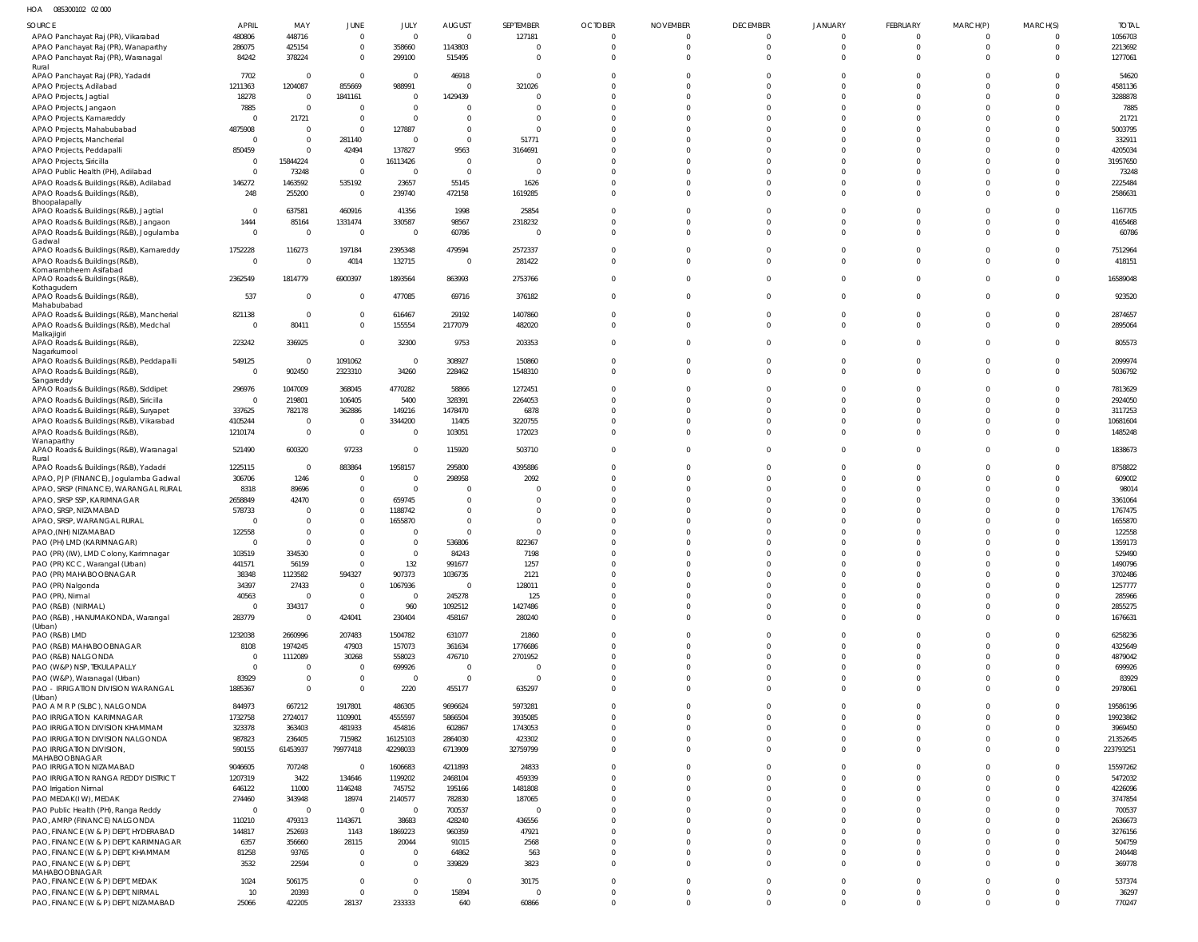HOA 085300102 02 000

| <b>SOURCE</b>                                               | <b>APRIL</b>             | MAY                | JUNE                       | JULY               | <b>AUGUST</b>     | SEPTEMBER          | <b>OCTOBER</b>       | <b>NOVEMBER</b>      | <b>DECEMBER</b>      | <b>JANUARY</b>       | FEBRUARY             | MARCH(P)             | MARCH(S) | <b>TOTAL</b>       |
|-------------------------------------------------------------|--------------------------|--------------------|----------------------------|--------------------|-------------------|--------------------|----------------------|----------------------|----------------------|----------------------|----------------------|----------------------|----------|--------------------|
| APAO Panchayat Raj (PR), Vikarabad                          | 480806                   | 448716             | $\mathbf{0}$               | $\Omega$           | $\Omega$          | 127181             | $\overline{0}$       | $\Omega$             | $\Omega$             | $\Omega$             | $\Omega$             | $\Omega$             | $\Omega$ | 1056703            |
| APAO Panchayat Raj (PR), Wanaparthy                         | 286075                   | 425154             | $\mathbf 0$                | 358660             | 1143803           | $\Omega$           | $\Omega$             | $\Omega$             | $\Omega$             | $\Omega$             | $\Omega$             | $\Omega$             |          | 2213692            |
| APAO Panchayat Raj (PR), Waranagal                          | 84242                    | 378224             | $\overline{0}$             | 299100             | 515495            | $\Omega$           | $\Omega$             | $\Omega$             | $\Omega$             | $\Omega$             | $\Omega$             | $\Omega$             |          | 1277061            |
| Rural                                                       |                          |                    |                            |                    |                   |                    |                      |                      |                      |                      |                      |                      |          |                    |
| APAO Panchayat Raj (PR), Yadadri<br>APAO Projects, Adilabad | 7702<br>1211363          | - 0<br>1204087     | $\overline{0}$<br>855669   | $\Omega$<br>988991 | 46918<br>$\Omega$ | $\Omega$<br>321026 | $\Omega$<br>$\Omega$ | $\Omega$<br>$\Omega$ | $\Omega$             |                      | $\Omega$             | $\Omega$<br>$\Omega$ |          | 54620<br>4581136   |
| APAO Projects, Jagtial                                      | 18278                    | $\Omega$           | 1841161                    | $\Omega$           | 1429439           | $\Omega$           | $\Omega$             | $\Omega$             |                      |                      |                      | $\Omega$             |          | 3288878            |
| APAO Projects, Jangaon                                      | 7885                     | $\Omega$           | $\Omega$                   | $\Omega$           |                   | $\Omega$           | $\Omega$             | $\Omega$             |                      |                      |                      | $\Omega$             |          | 7885               |
| APAO Projects, Kamareddy                                    | $\Omega$                 | 21721              | $\mathbf 0$                | $\Omega$           | $\Omega$          | $\Omega$           | $\Omega$             | $\Omega$             |                      |                      |                      | $\Omega$             |          | 21721              |
| APAO Projects, Mahabubabad                                  | 4875908                  | $\Omega$           | $\Omega$                   | 127887             | $\Omega$          | $\Omega$           | $\Omega$             | $\Omega$             |                      |                      |                      | $\Omega$             |          | 5003795            |
| APAO Projects, Mancherial                                   | $\overline{0}$           | $\Omega$           | 281140                     | $\Omega$           | $\Omega$          | 51771              | $\Omega$             | $\Omega$             |                      |                      |                      |                      |          | 332911             |
| APAO Projects, Peddapalli                                   | 850459                   | $\Omega$           | 42494                      | 137827             | 9563              | 3164691            | $\Omega$             | $\Omega$             |                      |                      |                      | $\Omega$             |          | 4205034            |
| APAO Projects, Siricilla                                    | $\Omega$                 | 15844224           | $\Omega$                   | 16113426           | $\Omega$          | $\Omega$           | $\Omega$             | $\Omega$             |                      |                      |                      | $\Omega$             |          | 31957650           |
| APAO Public Health (PH), Adilabad                           | $\Omega$                 | 73248              | $\Omega$                   | $\Omega$           | $\Omega$          | $\Omega$           | $\Omega$             | $\Omega$             |                      |                      |                      | $\Omega$             |          | 73248              |
| APAO Roads & Buildings (R&B), Adilabad                      | 146272                   | 1463592            | 535192                     | 23657              | 55145             | 1626               | $\Omega$             | $\Omega$             |                      |                      |                      | $\Omega$             |          | 2225484            |
| APAO Roads & Buildings (R&B)                                | 248                      | 255200             | $\overline{0}$             | 239740             | 472158            | 1619285            | $\Omega$             | $\Omega$             |                      | $\Omega$             | $\Omega$             | $\Omega$             |          | 2586631            |
| Bhoopalapally                                               |                          |                    |                            |                    |                   |                    |                      |                      |                      |                      |                      |                      |          |                    |
| APAO Roads & Buildings (R&B), Jagtial                       | $\overline{0}$           | 637581             | 460916                     | 41356              | 1998              | 25854              | $\Omega$             | $\Omega$             |                      | $\Omega$             |                      | $\Omega$             |          | 1167705            |
| APAO Roads & Buildings (R&B), Jangaon                       | 1444                     | 85164              | 1331474                    | 330587             | 98567             | 2318232            | $\Omega$             | $\Omega$             |                      | $\Omega$             | $\Omega$             | $\Omega$             |          | 4165468            |
| APAO Roads & Buildings (R&B), Jogulamba<br>Gadwal           | $\overline{0}$           | $\Omega$           | $\overline{0}$             | 0                  | 60786             | $\Omega$           | $\Omega$             | $\Omega$             |                      | $\Omega$             | $\Omega$             | $\Omega$             |          | 60786              |
| APAO Roads & Buildings (R&B), Kamareddy                     | 1752228                  | 116273             | 197184                     | 2395348            | 479594            | 2572337            | $\Omega$             | $\Omega$             |                      |                      |                      | $\Omega$             |          | 7512964            |
| APAO Roads & Buildings (R&B)                                | $\overline{0}$           | $\Omega$           | 4014                       | 132715             | $\Omega$          | 281422             | $\Omega$             | $\Omega$             | $\Omega$             | $\Omega$             | $\Omega$             | $\Omega$             |          | 418151             |
| Komarambheem Asifabad                                       |                          |                    |                            |                    |                   |                    |                      |                      |                      |                      |                      |                      |          |                    |
| APAO Roads & Buildings (R&B)                                | 2362549                  | 1814779            | 6900397                    | 1893564            | 863993            | 2753766            | $\Omega$             | $\Omega$             | $\Omega$             | $\Omega$             | $\Omega$             | $\Omega$             | $\Omega$ | 16589048           |
| Kothagudem<br>APAO Roads & Buildings (R&B),                 | 537                      | $\Omega$           | $\Omega$                   | 477085             | 69716             | 376182             | $\Omega$             | $\Omega$             | $\Omega$             | $\Omega$             | $\Omega$             | $\Omega$             | $\Omega$ | 923520             |
| Mahabubabad                                                 |                          |                    |                            |                    |                   |                    |                      |                      |                      |                      |                      |                      |          |                    |
| APAO Roads & Buildings (R&B), Mancherial                    | 821138                   | - 0                | $\mathbf 0$                | 616467             | 29192             | 1407860            | $\Omega$             | $\Omega$             |                      |                      | $\Omega$             | $\Omega$             |          | 2874657            |
| APAO Roads & Buildings (R&B), Medchal                       | $\overline{0}$           | 80411              | $\mathbf 0$                | 155554             | 2177079           | 482020             | $\Omega$             | $\Omega$             | $\Omega$             | $\Omega$             | $\Omega$             | $\Omega$             | $\Omega$ | 2895064            |
| Malkajigiri                                                 |                          |                    |                            |                    |                   |                    |                      |                      |                      |                      |                      |                      |          |                    |
| APAO Roads & Buildings (R&B),<br>Nagarkurnool               | 223242                   | 336925             | $\Omega$                   | 32300              | 9753              | 203353             | $\Omega$             | $\Omega$             |                      |                      |                      | $\Omega$             |          | 805573             |
| APAO Roads & Buildings (R&B), Peddapalli                    | 549125                   |                    | 1091062                    | 0                  | 308927            | 150860             | $\Omega$             | $\Omega$             | $\Omega$             | $\Omega$             | $\Omega$             | $\Omega$             |          | 2099974            |
| APAO Roads & Buildings (R&B),                               | $\overline{0}$           | 902450             | 2323310                    | 34260              | 228462            | 1548310            | $\Omega$             | $\Omega$             | $\Omega$             | $\Omega$             | $\Omega$             | $\Omega$             |          | 5036792            |
| Sangareddy                                                  |                          |                    |                            |                    |                   |                    |                      |                      |                      |                      |                      |                      |          |                    |
| APAO Roads & Buildings (R&B), Siddipet                      | 296976                   | 1047009            | 368045                     | 4770282            | 58866             | 1272451            | $\Omega$             | $\Omega$             | $\Omega$             | $\Omega$             | $\Omega$             | $\Omega$             |          | 7813629            |
| APAO Roads & Buildings (R&B), Siricilla                     | $\overline{0}$           | 219801             | 106405                     | 5400               | 328391            | 2264053            | $\Omega$             | $\Omega$             |                      |                      | $\cap$               | $\Omega$             |          | 2924050            |
| APAO Roads & Buildings (R&B), Suryapet                      | 337625                   | 782178             | 362886                     | 149216             | 1478470           | 6878               | $\Omega$             | $\Omega$             |                      |                      |                      | $\Omega$             |          | 3117253            |
| APAO Roads & Buildings (R&B), Vikarabad                     | 4105244                  | $\Omega$           | $\overline{0}$             | 3344200            | 11405             | 3220755            | $\Omega$             | $\Omega$             |                      |                      | $\Omega$             | $\Omega$             |          | 10681604           |
| APAO Roads & Buildings (R&B),                               | 1210174                  | $\Omega$           | $\overline{0}$             | 0                  | 103051            | 172023             | $\Omega$             | $\Omega$             | $\Omega$             | $\Omega$             | $\Omega$             | $\Omega$             |          | 1485248            |
| Wanaparthy<br>APAO Roads & Buildings (R&B), Waranagal       | 521490                   | 600320             | 97233                      | 0                  | 115920            | 503710             | $\Omega$             | $\Omega$             | $\Omega$             | $\Omega$             | $\Omega$             | $\Omega$             |          | 1838673            |
| Rural                                                       |                          |                    |                            |                    |                   |                    |                      |                      |                      |                      |                      |                      |          |                    |
| APAO Roads & Buildings (R&B), Yadadri                       | 1225115                  | - 0                | 883864                     | 1958157            | 295800            | 4395886            | $\Omega$             | $\Omega$             |                      |                      |                      | $\Omega$             |          | 8758822            |
| APAO, PJP (FINANCE), Jogulamba Gadwal                       | 306706                   | 1246               | $\overline{0}$             | $\mathbf 0$        | 298958            | 2092               | $\Omega$             | $\Omega$             |                      |                      |                      | $\Omega$             |          | 609002             |
| APAO, SRSP (FINANCE), WARANGAL RURAL                        | 8318                     | 89696              | $\mathbf 0$                | $\mathbf 0$        |                   |                    | $\Omega$             | $\Omega$             |                      |                      |                      | $\Omega$             |          | 98014              |
| APAO, SRSP SSP, KARIMNAGAR                                  | 2658849                  | 42470              | $\mathbf 0$                | 659745             | $\Omega$          | $\Omega$           | $\Omega$             | $\Omega$             |                      |                      |                      | $\Omega$             |          | 3361064            |
| APAO, SRSP, NIZAMABAD                                       | 578733                   |                    | $\mathbf 0$                | 1188742            | $\Omega$          | $\Omega$           | $\Omega$             | $\Omega$             |                      |                      |                      | $\Omega$             |          | 1767475            |
| APAO, SRSP, WARANGAL RURAL                                  | $\mathbf 0$              |                    | $\Omega$                   | 1655870            | $\Omega$          | $\Omega$           | $\Omega$             | $\Omega$             |                      |                      |                      | $\Omega$             |          | 1655870            |
| APAO, (NH) NIZAMABAD                                        | 122558                   |                    | $\mathbf 0$                |                    | $\Omega$          | $\Omega$           | $\Omega$             | $\Omega$             |                      |                      |                      | $\Omega$             |          | 122558             |
| PAO (PH) LMD (KARIMNAGAR)                                   | $\Omega$                 |                    | $\Omega$                   | $\Omega$           | 536806            | 822367             | $\Omega$             | $\Omega$             | $\Omega$             | $\Omega$             | $\Omega$             | $\Omega$             |          | 1359173            |
| PAO (PR) (IW), LMD Colony, Karimnagar                       | 103519                   | 334530             | 0                          | $\Omega$           | 84243             | 7198               | -0                   | -0                   |                      |                      |                      | -0                   |          | 529490             |
| PAO (PR) KCC, Warangal (Urban)                              | 441571                   | 56159              | $\Omega$                   | 132                | 991677            | 1257               | $\Omega$             | $\Omega$             | $\Omega$             | $\Omega$             | $\Omega$             | $\Omega$             |          | 1490796            |
| PAO (PR) MAHABOOBNAGAR                                      | 38348                    | 1123582            | 594327                     | 907373             | 1036735           | 2121               | $\Omega$             | $\Omega$             | $\Omega$             | $\Omega$             | $\Omega$             | $\Omega$             |          | 3702486            |
| PAO (PR) Nalgonda                                           | 34397                    | 27433              | $\overline{0}$             | 1067936            | $\mathbf{0}$      | 128011             | $\Omega$             | $\Omega$             | $\Omega$             | $\Omega$<br>$\Omega$ | $\Omega$<br>$\Omega$ | $\Omega$             |          | 1257777            |
| PAO (PR), Nirmal                                            | 40563                    | $\Omega$           | $\overline{0}$<br>$\Omega$ | $\mathbf 0$        | 245278            | 125<br>1427486     | $\Omega$<br>$\Omega$ | $\Omega$<br>$\Omega$ | $\Omega$<br>$\Omega$ | $\Omega$             | $\Omega$             | $\Omega$<br>$\Omega$ |          | 285966             |
| PAO (R&B) (NIRMAL)                                          | $\overline{0}$<br>283779 | 334317<br>$\Omega$ | 424041                     | 960<br>230404      | 1092512<br>458167 | 280240             | $\Omega$             | $\Omega$             | $\Omega$             | $\Omega$             | $\Omega$             | $\Omega$             |          | 2855275<br>1676631 |
| PAO (R&B), HANUMAKONDA, Warangal<br>(Urban)                 |                          |                    |                            |                    |                   |                    |                      |                      |                      |                      |                      |                      |          |                    |
| PAO (R&B) LMD                                               | 1232038                  | 2660996            | 207483                     | 1504782            | 631077            | 21860              | $\Omega$             | $\Omega$             | $\Omega$             | $\Omega$             | $\Omega$             | $\Omega$             |          | 6258236            |
| PAO (R&B) MAHABOOBNAGAR                                     | 8108                     | 1974245            | 47903                      | 157073             | 361634            | 1776686            | $\Omega$             | $\Omega$             | $\Omega$             | $\Omega$             | $\Omega$             | $\Omega$             |          | 4325649            |
| PAO (R&B) NALGONDA                                          | $\overline{0}$           | 1112089            | 30268                      | 558023             | 476710            | 2701952            | $\Omega$             | $\Omega$             | $\Omega$             | $\Omega$             | $\Omega$             | $\Omega$             |          | 4879042            |
| PAO (W&P) NSP, TEKULAPALLY                                  | $\overline{0}$           | - 0                | $\overline{0}$             | 699926             | $\mathbf{0}$      | $\Omega$           | $\Omega$             | $\Omega$             | $\Omega$             | $\Omega$             | $\Omega$             | $\Omega$             |          | 699926             |
| PAO (W&P), Waranagal (Urban)                                | 83929                    | $\Omega$           | $\mathbf{0}$               | $\overline{0}$     | $\mathbf 0$       | $\overline{0}$     | $\Omega$             | $\Omega$             | $\Omega$             | $\Omega$             | $\Omega$             | $\Omega$             |          | 83929              |
| PAO - IRRIGATION DIVISION WARANGAL                          | 1885367                  | $\Omega$           | $\mathbf{0}$               | 2220               | 455177            | 635297             | $\Omega$             | $\Omega$             | $\Omega$             | $\Omega$             | $\Omega$             | $\Omega$             |          | 2978061            |
| (Urban)<br>PAO A M R P (SLBC), NALGONDA                     | 844973                   | 667212             | 1917801                    | 486305             | 9696624           | 5973281            | $\Omega$             | $\Omega$             | $\Omega$             | $\Omega$             | $\Omega$             | $\Omega$             |          | 19586196           |
| PAO IRRIGATION KARIMNAGAR                                   | 1732758                  | 2724017            | 1109901                    | 4555597            | 5866504           | 3935085            | $\Omega$             | $\Omega$             | $\Omega$             | $\Omega$             | $\Omega$             | $\Omega$             |          | 19923862           |
| PAO IRRIGATION DIVISION KHAMMAM                             | 323378                   | 363403             | 481933                     | 454816             | 602867            | 1743053            | $\Omega$             | $\Omega$             | $\Omega$             | $\Omega$             | $\Omega$             | $\Omega$             |          | 3969450            |
| PAO IRRIGATION DIVISION NALGONDA                            | 987823                   | 236405             | 715982                     | 16125103           | 2864030           | 423302             | $\Omega$             | $\Omega$             | $\Omega$             | $\Omega$             | $\Omega$             | $\overline{0}$       |          | 21352645           |
| PAO IRRIGATION DIVISION,                                    | 590155                   | 61453937           | 79977418                   | 42298033           | 6713909           | 32759799           | $\Omega$             | $\Omega$             | $\Omega$             | $\Omega$             | $\Omega$             | $\Omega$             |          | 223793251          |
| MAHABOOBNAGAR                                               |                          |                    |                            |                    |                   |                    |                      |                      |                      |                      |                      |                      |          |                    |
| PAO IRRIGATION NIZAMABAD                                    | 9046605                  | 707248             | $\Omega$                   | 1606683            | 4211893           | 24833              | $\Omega$             | $\Omega$             | $\Omega$             | $\Omega$             | $\Omega$             | $\Omega$             |          | 15597262           |
| PAO IRRIGATION RANGA REDDY DISTRICT                         | 1207319                  | 3422               | 134646                     | 1199202            | 2468104           | 459339             | $\Omega$             | $\Omega$             | $\Omega$             | $\Omega$             | $\Omega$             | $\Omega$             |          | 5472032            |
| PAO Irrigation Nirmal                                       | 646122                   | 11000              | 1146248                    | 745752             | 195166            | 1481808            | $\Omega$             | $\Omega$             | $\Omega$             | $\Omega$             | $\Omega$             | $\Omega$             |          | 4226096            |
| PAO MEDAK(IW), MEDAK                                        | 274460                   | 343948             | 18974                      | 2140577            | 782830            | 187065             | $\Omega$             | $\Omega$             | $\Omega$             | $\Omega$             | $\Omega$             | $\Omega$             |          | 3747854            |
| PAO Public Health (PH), Ranga Reddy                         | $\overline{0}$           | $\Omega$           | $\overline{0}$             | $\overline{0}$     | 700537            | $\Omega$           | $\Omega$             | $\Omega$             | $\Omega$             | $\Omega$             | $\Omega$             | $\Omega$             |          | 700537             |
| PAO, AMRP (FINANCE) NALGONDA                                | 110210                   | 479313             | 1143671                    | 38683              | 428240            | 436556             | $\Omega$             | $\Omega$             |                      | $\Omega$             | $\Omega$             | $\Omega$             |          | 2636673            |
| PAO, FINANCE (W & P) DEPT, HYDERABAD                        | 144817                   | 252693             | 1143                       | 1869223            | 960359            | 47921              | $\Omega$             | $\Omega$             |                      | $\Omega$             | $\Omega$             | $\Omega$             |          | 3276156            |
| PAO, FINANCE (W & P) DEPT, KARIMNAGAR                       | 6357                     | 356660             | 28115                      | 20044              | 91015             | 2568               | $\Omega$             | $\Omega$             | $\Omega$             | $\Omega$             | $\Omega$             | $\Omega$             |          | 504759             |
| PAO, FINANCE (W & P) DEPT, KHAMMAM                          | 81258                    | 93765              | $\mathbf{0}$               | $\Omega$           | 64862             | 563                | $\Omega$             | $\Omega$             | $\Omega$             | $\Omega$             | $\Omega$             | $\overline{0}$       |          | 240448             |
| PAO, FINANCE (W & P) DEPT<br>MAHABOOBNAGAR                  | 3532                     | 22594              | $\mathbf{0}$               | $\overline{0}$     | 339829            | 3823               | $\Omega$             | $\Omega$             | $\Omega$             | $\Omega$             | $\Omega$             | $\Omega$             |          | 369778             |
| PAO, FINANCE (W & P) DEPT, MEDAK                            | 1024                     | 506175             | $\mathbf{0}$               | $\mathbf 0$        | $\Omega$          | 30175              | $\Omega$             | $\Omega$             | $\Omega$             | $\Omega$             | $\Omega$             | $\Omega$             |          | 537374             |
| PAO, FINANCE (W & P) DEPT, NIRMAL                           | $10$                     | 20393              | $\mathbf 0$                | $\mathbf 0$        | 15894             | $\overline{0}$     | $\overline{0}$       | $\overline{0}$       | $\Omega$             | $\Omega$             | $\Omega$             | $\overline{0}$       |          | 36297              |
| PAO, FINANCE (W & P) DEPT, NIZAMABAD                        | 25066                    | 422205             | 28137                      | 233333             | 640               | 60866              | $\overline{0}$       | $\overline{0}$       | $\Omega$             | $\Omega$             | $\Omega$             | $\overline{0}$       | $\Omega$ | 770247             |
|                                                             |                          |                    |                            |                    |                   |                    |                      |                      |                      |                      |                      |                      |          |                    |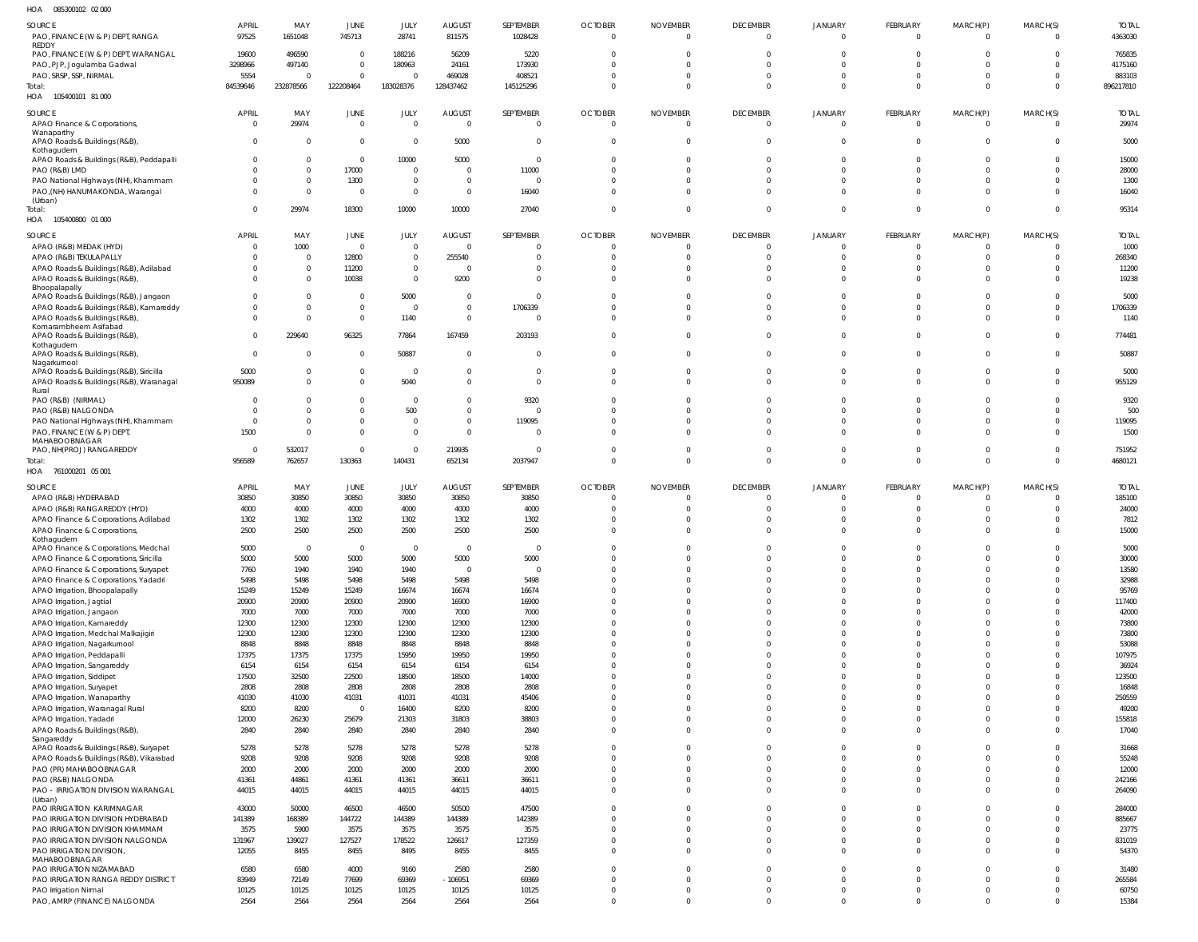| SOURCE<br>PAO, FINANCE (W & P) DEPT, RANGA                                    | <b>APRIL</b><br>97525 | MAY<br>1651048             | JUNE<br>745713               | JULY<br>28741              | <b>AUGUST</b><br>811575          | SEPTEMBER<br>1028428       | <b>OCTOBER</b><br>$\mathbf 0$    | <b>NOVEMBER</b><br>$\overline{0}$ | <b>DECEMBER</b><br>$\Omega$ | <b>JANUARY</b><br>$^{\circ}$ | FEBRUARY<br>$\overline{0}$ | MARCH(P)<br>$\Omega$        | MARCH(S)<br>$\Omega$    | <b>TOTAL</b><br>4363030 |
|-------------------------------------------------------------------------------|-----------------------|----------------------------|------------------------------|----------------------------|----------------------------------|----------------------------|----------------------------------|-----------------------------------|-----------------------------|------------------------------|----------------------------|-----------------------------|-------------------------|-------------------------|
| REDDY<br>PAO, FINANCE (W & P) DEPT, WARANGAL<br>PAO, PJP, Jogulamba Gadwal    | 19600<br>3298966      | 496590<br>497140           | $\mathbf{0}$<br>$\mathbf 0$  | 188216<br>180963           | 56209<br>24161                   | 5220<br>173930             | $\overline{0}$<br>$\Omega$       | $\overline{0}$<br>$\Omega$        |                             | -0<br>$\Omega$               | $^{\circ}$<br>$\Omega$     | $\Omega$                    | $\Omega$<br>$\Omega$    | 765835<br>4175160       |
| PAO, SRSP, SSP, NIRMAL                                                        | 5554                  |                            | $\mathbf 0$                  |                            | 469028                           | 408521                     | $\Omega$                         | $\Omega$                          | $\Omega$                    | $\Omega$                     | $\mathbf 0$                | $\Omega$                    | $^{\circ}$              | 883103                  |
| Total:                                                                        | 84539646              | 232878566                  | 122208464                    | 183028376                  | 128437462                        | 145125296                  | $\Omega$                         | $\Omega$                          | $\Omega$                    | $\mathbf 0$                  | $\mathbf 0$                | $\Omega$                    | $\overline{0}$          | 896217810               |
| HOA 105400101 81 000                                                          |                       |                            |                              |                            |                                  |                            |                                  |                                   |                             |                              |                            |                             |                         |                         |
| SOURCE                                                                        | <b>APRIL</b>          | MAY                        | JUNE                         | JULY                       | <b>AUGUST</b>                    | SEPTEMBER                  | <b>OCTOBER</b>                   | <b>NOVEMBER</b>                   | <b>DECEMBER</b>             | JANUARY                      | FEBRUARY                   | MARCH(P)                    | MARCH(S)                | <b>TOTAL</b>            |
| APAO Finance & Corporations,                                                  | $\overline{0}$        | 29974                      | $\mathbf 0$                  | $\Omega$                   | $\overline{0}$                   | $\overline{0}$             | $\mathbf 0$                      | $\overline{0}$                    | $\Omega$                    | $\mathbf 0$                  | $\mathbf 0$                | $\overline{0}$              | $\Omega$                | 29974                   |
| Wanaparthy                                                                    |                       |                            |                              |                            |                                  |                            |                                  |                                   |                             |                              |                            |                             |                         |                         |
| APAO Roads & Buildings (R&B),<br>Kothagudem                                   | $\Omega$              | $\mathbf 0$                | $\mathbf 0$                  | $^{\circ}$                 | 5000                             | $\overline{0}$             | $\overline{0}$                   | $\overline{0}$                    | $\Omega$                    | $\mathbf{0}$                 | $\mathbf 0$                | $\overline{0}$              | $\mathbf 0$             | 5000                    |
| APAO Roads & Buildings (R&B), Peddapalli                                      |                       | 0                          | $\mathbf 0$                  | 10000                      | 5000                             | $\overline{0}$             | $\Omega$                         | $\overline{0}$                    | $\Omega$                    | $\Omega$                     | $\mathbf 0$                | $\Omega$                    | -0                      | 15000                   |
| PAO (R&B) LMD                                                                 |                       | $\mathbf 0$                | 17000                        | $\mathbf{0}$               | $\overline{0}$                   | 11000                      | $\overline{0}$                   | $\Omega$                          | $\Omega$                    | $\Omega$                     | $\mathbf 0$                | $\Omega$                    | $\Omega$                | 28000                   |
| PAO National Highways (NH), Khammam                                           |                       | $\mathbf 0$                | 1300                         | $\mathbf{0}$               | $\Omega$                         | $\overline{0}$             | $\Omega$                         | $\Omega$                          | $\Omega$                    | $\Omega$                     | $\mathbf 0$                | $\Omega$                    | -0                      | 1300                    |
| PAO, (NH) HANUMAKONDA, Warangal<br>(Urban)                                    |                       | $\mathbf 0$                | $\overline{0}$               | $\mathbf{0}$               | $\overline{0}$                   | 16040                      | $\overline{0}$                   | $\overline{0}$                    | $\Omega$                    | $\mathbf 0$                  | $\mathbf 0$                | $\Omega$                    | $\Omega$                | 16040                   |
| Total:                                                                        | $\overline{0}$        | 29974                      | 18300                        | 10000                      | 10000                            | 27040                      | $\overline{0}$                   | $\overline{0}$                    | $\Omega$                    | $\mathbf 0$                  | $\mathbf{0}$               | $\Omega$                    | $\mathbf 0$             | 95314                   |
| 105400800 01 000<br>HOA                                                       |                       |                            |                              |                            |                                  |                            |                                  |                                   |                             |                              |                            |                             |                         |                         |
| SOURCE                                                                        | <b>APRIL</b>          | MAY                        | JUNE                         | JULY                       | <b>AUGUST</b>                    | SEPTEMBER                  | <b>OCTOBER</b>                   | <b>NOVEMBER</b>                   | <b>DECEMBER</b>             | <b>JANUARY</b>               | FEBRUARY                   | MARCH(P)                    | MARCH(S)                | <b>TOTAL</b>            |
| APAO (R&B) MEDAK (HYD)                                                        | $\Omega$              | 1000                       | $\overline{0}$               | $\Omega$                   | $\Omega$                         | $\overline{0}$             | $\overline{0}$                   | $\Omega$                          |                             |                              | $^{\circ}$                 |                             | $\Omega$                | 1000                    |
| APAO (R&B) TEKULAPALLY                                                        | $\Omega$              | $\mathbf 0$<br>$\mathbf 0$ | 12800                        | $\overline{0}$<br>$\Omega$ | 255540<br>$\Omega$               | $\overline{0}$<br>$\Omega$ | $\overline{0}$<br>$\Omega$       | $\circ$<br>$\Omega$               | $\Omega$<br>$\Omega$        | 0                            | $\mathbf 0$<br>$\mathbf 0$ |                             | $\mathbf 0$             | 268340                  |
| APAO Roads & Buildings (R&B), Adilabad<br>APAO Roads & Buildings (R&B),       | $\Omega$              | 0                          | 11200<br>10038               | $\Omega$                   | 9200                             | $\overline{0}$             | $\Omega$                         | $\Omega$                          | $\Omega$                    | -0<br>$\Omega$               | $\mathbf 0$                |                             | $\Omega$<br>$\Omega$    | 11200<br>19238          |
| Bhoopalapally                                                                 |                       |                            |                              |                            |                                  |                            |                                  |                                   |                             |                              |                            |                             |                         |                         |
| APAO Roads & Buildings (R&B), Jangaon                                         | $\Omega$              | 0                          | $\overline{0}$               | 5000                       | $\overline{0}$                   | $\overline{0}$             | $\Omega$                         | $\Omega$                          |                             | -0                           | $\Omega$                   |                             | $\mathbf 0$             | 5000                    |
| APAO Roads & Buildings (R&B), Kamareddy                                       | $\Omega$              | 0<br>$\Omega$              | $\mathbf 0$<br>$\mathbf 0$   | - 0                        | $\overline{0}$<br>$\overline{0}$ | 1706339<br>$\overline{0}$  | $\mathbf 0$<br>$\Omega$          | $\Omega$<br>$\Omega$              | $\Omega$                    | $\Omega$<br>$\Omega$         | $\mathbf 0$<br>$\mathbf 0$ | $\Omega$                    | $\mathbf 0$<br>$\Omega$ | 1706339                 |
| APAO Roads & Buildings (R&B),<br>Komarambheem Asifabad                        |                       |                            |                              | 1140                       |                                  |                            |                                  |                                   |                             |                              |                            |                             |                         | 1140                    |
| APAO Roads & Buildings (R&B),                                                 | $\Omega$              | 229640                     | 96325                        | 77864                      | 167459                           | 203193                     | $\mathbf 0$                      | $\Omega$                          | $\Omega$                    | $\mathbf 0$                  | $\mathbf 0$                | $\Omega$                    | $\Omega$                | 774481                  |
| Kothagudem<br>APAO Roads & Buildings (R&B),                                   | $\Omega$              | $\Omega$                   | $\mathbf 0$                  | 50887                      | $\overline{0}$                   | $\overline{0}$             | $\mathbf 0$                      | $\Omega$                          | $\Omega$                    | $\Omega$                     | $\mathbf 0$                | $\Omega$                    | $\Omega$                | 50887                   |
| Nagarkurnool                                                                  |                       |                            |                              |                            |                                  |                            |                                  |                                   |                             |                              |                            |                             |                         |                         |
| APAO Roads & Buildings (R&B), Siricilla                                       | 5000                  | $\Omega$                   | $\mathbf 0$                  | 0                          | $\overline{0}$                   | $\overline{0}$             | $\overline{0}$                   | $\Omega$                          |                             | $\Omega$                     | $\mathbf 0$                | $\Omega$                    | $^{\circ}$              | 5000                    |
| APAO Roads & Buildings (R&B), Waranagal<br>Rural                              | 950089                | $\Omega$                   | $\mathbf{0}$                 | 5040                       | $\Omega$                         | $\Omega$                   | $\Omega$                         | $\Omega$                          |                             | $\Omega$                     | $\Omega$                   | $\Omega$                    | $\Omega$                | 955129                  |
| PAO (R&B) (NIRMAL)                                                            |                       |                            | $\mathbf 0$                  | $\Omega$                   | $\Omega$                         | 9320                       | $\Omega$                         | $\Omega$                          |                             |                              | $\Omega$                   |                             | $\Omega$                | 9320                    |
| PAO (R&B) NALGONDA                                                            |                       |                            | $\mathbf{0}$                 | 500                        | $\Omega$                         | -C                         | $\Omega$                         | $\Omega$                          |                             |                              | $\Omega$                   | $\Omega$                    | $\Omega$                | 500                     |
| PAO National Highways (NH), Khammam                                           | $\Omega$              | $\Omega$<br>$\Omega$       | $\mathbf{0}$<br>$\mathbf{0}$ | $\Omega$                   | $\Omega$<br>$\Omega$             | 119095<br>$\Omega$         | $\Omega$<br>$\Omega$             | $\Omega$<br>$\Omega$              |                             | $\Omega$<br>$\Omega$         | $^{\circ}$<br>$\Omega$     | $\Omega$<br>$\Omega$        | $\Omega$                | 119095                  |
| PAO, FINANCE (W & P) DEPT,<br>MAHABOOBNAGAR                                   | 1500                  |                            |                              | $\mathbf{0}$               |                                  |                            |                                  |                                   |                             |                              |                            |                             | $\Omega$                | 1500                    |
| PAO, NH(PROJ) RANGAREDDY                                                      | $\Omega$              | 532017                     | $\overline{0}$               | $\Omega$                   | 219935                           | $\Omega$                   | $\Omega$                         | $\Omega$                          |                             | 0                            | $^{\circ}$                 | $\Omega$                    | 0                       | 751952                  |
| Total:                                                                        | 956589                | 762657                     | 130363                       | 140431                     | 652134                           | 2037947                    | $\Omega$                         | $\Omega$                          | $\Omega$                    | $\Omega$                     | $\mathbf 0$                | $\Omega$                    | $\Omega$                | 4680121                 |
|                                                                               |                       |                            |                              |                            |                                  |                            |                                  |                                   |                             |                              |                            |                             |                         |                         |
| HOA 761000201 05 001                                                          |                       |                            |                              |                            |                                  |                            |                                  |                                   |                             |                              |                            |                             |                         |                         |
| SOURCE                                                                        | <b>APRIL</b>          | MAY                        | JUNE                         | JULY                       | <b>AUGUST</b>                    | SEPTEMBER                  | <b>OCTOBER</b>                   | <b>NOVEMBER</b>                   | <b>DECEMBER</b>             | JANUARY                      | FEBRUARY                   | MARCH(P)                    | MARCH(S)                | <b>TOTAL</b>            |
| APAO (R&B) HYDERABAD                                                          | 30850                 | 30850                      | 30850                        | 30850                      | 30850                            | 30850                      | $\overline{0}$                   | $\circ$                           | $\Omega$                    | $\mathbf 0$                  | $\overline{0}$             | $\Omega$                    | $\Omega$                | 185100                  |
| APAO (R&B) RANGAREDDY (HYD)                                                   | 4000                  | 4000                       | 4000                         | 4000                       | 4000                             | 4000                       | $\Omega$                         | $\Omega$                          | $\Omega$                    | $\Omega$                     | $\mathbf 0$                | $\Omega$                    | -0                      | 24000                   |
| APAO Finance & Corporations, Adilabad                                         | 1302<br>2500          | 1302<br>2500               | 1302<br>2500                 | 1302<br>2500               | 1302<br>2500                     | 1302<br>2500               | $\Omega$<br>$\Omega$             | $\Omega$<br>$\Omega$              | $\Omega$<br>$\Omega$        | $\mathbf 0$<br>$\Omega$      | $\mathbf 0$<br>$\Omega$    | $\Omega$<br>$\Omega$        | $\Omega$<br>$\Omega$    | 7812<br>15000           |
| APAO Finance & Corporations,<br>Kothagudem                                    |                       |                            |                              |                            |                                  |                            |                                  |                                   |                             |                              |                            |                             |                         |                         |
| APAO Finance & Corporations, Medchal                                          | 5000                  | $\Omega$                   | $\mathbf 0$                  | $\Omega$                   | $\overline{0}$                   | $\overline{0}$             | $\mathbf{0}$                     | $\overline{0}$                    | $\Omega$                    | $\Omega$                     | $\mathbf 0$                | $\Omega$                    | $\Omega$                | 5000                    |
| APAO Finance & Corporations, Siricilla                                        | 5000                  | 5000                       | 5000                         | 5000                       | 5000                             | 5000                       | $\overline{0}$<br>$\Omega$       | $\overline{0}$                    | $\mathbf 0$<br>$\Omega$     | $\mathbf 0$                  | $\mathbf 0$                | $\mathbf 0$                 | $\Omega$<br>$\Omega$    | 30000                   |
| APAO Finance & Corporations, Suryapet<br>APAO Finance & Corporations, Yadadri | 7760<br>5498          | 1940<br>5498               | 1940<br>5498                 | 1940<br>5498               | $\overline{0}$<br>5498           | $\overline{0}$<br>5498     | $\Omega$                         | $\overline{0}$<br>$\overline{0}$  | $\Omega$                    | $\mathbf 0$<br>$\mathbf 0$   | $\mathbf 0$<br>$\mathbf 0$ | $\overline{0}$<br>$\Omega$  | $\Omega$                | 13580<br>32988          |
| APAO Irrigation, Bhoopalapally                                                | 15249                 | 15249                      | 15249                        | 16674                      | 16674                            | 16674                      | $\Omega$                         | $\overline{0}$                    | $\Omega$                    | $\mathbf 0$                  | $\mathbf 0$                | $\mathbf{0}$                | $\Omega$                | 95769                   |
| APAO Irrigation, Jagtial                                                      | 20900                 | 20900                      | 20900                        | 20900                      | 16900                            | 16900                      | $\Omega$                         | $\overline{0}$                    | $\Omega$                    | $\mathbf 0$                  | $\mathbf 0$                | $\Omega$                    | $\Omega$                | 117400                  |
| APAO Irrigation, Jangaon                                                      | 7000                  | 7000                       | 7000                         | 7000                       | 7000                             | 7000                       | $\Omega$                         | $\overline{0}$                    | $\Omega$                    | $\Omega$                     | $\mathbf 0$                | $\Omega$                    | $\Omega$                | 42000                   |
| APAO Irrigation, Kamareddy                                                    | 12300                 | 12300                      | 12300                        | 12300                      | 12300                            | 12300                      | $\Omega$<br>$\Omega$             | $\overline{0}$<br>$\overline{0}$  | $\Omega$<br>$\Omega$        | $\mathbf 0$<br>$\Omega$      | $\mathbf 0$<br>$\mathbf 0$ | $\mathbf 0$<br>$\mathbf{0}$ | $\Omega$<br>$\Omega$    | 73800                   |
| APAO Irrigation, Medchal Malkajigiri                                          | 12300<br>8848         | 12300<br>8848              | 12300<br>8848                | 12300<br>8848              | 12300<br>8848                    | 12300<br>8848              | $\Omega$                         | $\overline{0}$                    | $\Omega$                    | $\mathbf 0$                  | $\mathbf 0$                | $\mathbf 0$                 | $\Omega$                | 73800<br>53088          |
| APAO Irrigation, Nagarkurnool<br>APAO Irrigation, Peddapalli                  | 17375                 | 17375                      | 17375                        | 15950                      | 19950                            | 19950                      | $\Omega$                         | $\overline{0}$                    | $\Omega$                    | $\Omega$                     | $\mathbf 0$                | $\Omega$                    | $\Omega$                | 107975                  |
| APAO Irrigation, Sangareddy                                                   | 6154                  | 6154                       | 6154                         | 6154                       | 6154                             | 6154                       | $\Omega$                         | $\overline{0}$                    | $\Omega$                    | $\mathbf 0$                  | $\mathbf 0$                | $\mathbf 0$                 | $\Omega$                | 36924                   |
| APAO Irrigation, Siddipet                                                     | 17500                 | 32500                      | 22500                        | 18500                      | 18500                            | 14000                      | $\Omega$                         | $\overline{0}$                    | $\Omega$                    | $\Omega$                     | $\mathbf 0$                | $\mathbf 0$                 | $\Omega$                | 123500                  |
| APAO Irrigation, Suryapet                                                     | 2808                  | 2808                       | 2808                         | 2808                       | 2808                             | 2808                       | $\Omega$                         | $\overline{0}$                    | $\Omega$                    | $\mathbf 0$                  | $\mathbf 0$                | $\Omega$                    | $\Omega$                | 16848                   |
| APAO Irrigation, Wanaparthy                                                   | 41030                 | 41030                      | 41031                        | 41031                      | 41031                            | 45406                      | $\Omega$<br>$\Omega$             | $\overline{0}$<br>$\overline{0}$  | $\Omega$<br>$\Omega$        | $\Omega$<br>$\mathbf 0$      | $\mathbf 0$                | $\Omega$<br>$\mathbf 0$     | $\Omega$<br>$\Omega$    | 250559                  |
| APAO Irrigation, Waranagal Rural<br>APAO Irrigation, Yadadri                  | 8200<br>12000         | 8200<br>26230              | $\mathbf 0$<br>25679         | 16400<br>21303             | 8200<br>31803                    | 8200<br>38803              | $\overline{0}$                   | $\overline{0}$                    | $\Omega$                    | $\mathbf 0$                  | $\mathbf 0$<br>$\mathbf 0$ | $\mathbf{0}$                | $\mathbf 0$             | 49200<br>155818         |
| APAO Roads & Buildings (R&B),                                                 | 2840                  | 2840                       | 2840                         | 2840                       | 2840                             | 2840                       | $\Omega$                         | $\Omega$                          | $\Omega$                    | $\mathbf 0$                  | $\mathbf 0$                | $\Omega$                    | $\Omega$                | 17040                   |
| Sangareddy                                                                    |                       |                            |                              |                            |                                  |                            |                                  |                                   |                             |                              |                            |                             |                         |                         |
| APAO Roads & Buildings (R&B), Suryapet                                        | 5278<br>9208          | 5278<br>9208               | 5278<br>9208                 | 5278<br>9208               | 5278<br>9208                     | 5278<br>9208               | $\Omega$<br>$\overline{0}$       | $\overline{0}$<br>$\overline{0}$  | $\Omega$<br>$\Omega$        | $\mathbf{0}$<br>$\mathbf 0$  | $\mathbf 0$<br>$\mathbf 0$ | $\mathbf 0$<br>$\mathbf 0$  | $\Omega$<br>$\Omega$    | 31668<br>55248          |
| APAO Roads & Buildings (R&B), Vikarabad<br>PAO (PR) MAHABOOBNAGAR             | 2000                  | 2000                       | 2000                         | 2000                       | 2000                             | 2000                       | $\overline{0}$                   | $\overline{0}$                    | $\Omega$                    | $\mathbf 0$                  | $\mathbf 0$                | $\mathbf{0}$                | $\Omega$                | 12000                   |
| PAO (R&B) NALGONDA                                                            | 41361                 | 44861                      | 41361                        | 41361                      | 36611                            | 36611                      | $\overline{0}$                   | $\overline{0}$                    | $\Omega$                    | $\mathbf 0$                  | $\mathbf 0$                | $\mathbf{0}$                | $\Omega$                | 242166                  |
| PAO - IRRIGATION DIVISION WARANGAL                                            | 44015                 | 44015                      | 44015                        | 44015                      | 44015                            | 44015                      | $\overline{0}$                   | $\overline{0}$                    | $\Omega$                    | $\mathbf 0$                  | $\mathbf 0$                | $\mathbf{0}$                | $\Omega$                | 264090                  |
| (Urban)<br>PAO IRRIGATION KARIMNAGAR                                          | 43000                 | 50000                      | 46500                        | 46500                      | 50500                            | 47500                      | $\overline{0}$                   | $\overline{0}$                    | $\Omega$                    | $\mathbf{0}$                 | $\overline{0}$             | $\mathbf 0$                 | $\Omega$                | 284000                  |
| PAO IRRIGATION DIVISION HYDERABAD                                             | 141389                | 168389                     | 144722                       | 144389                     | 144389                           | 142389                     | $\overline{0}$                   | $\overline{0}$                    | $\Omega$                    | $\mathbf 0$                  | $\mathbf 0$                | $\mathbf 0$                 | $\Omega$                | 885667                  |
| PAO IRRIGATION DIVISION KHAMMAM                                               | 3575                  | 5900                       | 3575                         | 3575                       | 3575                             | 3575                       | $\Omega$                         | $\overline{0}$                    | $\Omega$                    | $\mathbf 0$                  | $\mathbf 0$                | $\mathbf{0}$                | $\Omega$                | 23775                   |
| PAO IRRIGATION DIVISION NALGONDA                                              | 131967                | 139027                     | 127527                       | 178522                     | 126617                           | 127359                     | $\overline{0}$                   | $\overline{0}$                    | $\Omega$                    | $\mathbf 0$                  | $\mathbf 0$                | $\mathbf{0}$                | $\mathbf 0$             | 831019                  |
| PAO IRRIGATION DIVISION,                                                      | 12055                 | 8455                       | 8455                         | 8495                       | 8455                             | 8455                       | $\Omega$                         | $\Omega$                          | $\Omega$                    | $\Omega$                     | $\mathbf 0$                | $\Omega$                    | $\Omega$                | 54370                   |
| MAHABOOBNAGAR<br>PAO IRRIGATION NIZAMABAD                                     | 6580                  | 6580                       | 4000                         | 9160                       | 2580                             | 2580                       | $\Omega$                         | $\Omega$                          | $\Omega$                    | $\Omega$                     | $\mathbf 0$                | $\Omega$                    | $\Omega$                | 31480                   |
| PAO IRRIGATION RANGA REDDY DISTRICT                                           | 83949                 | 72149                      | 77699                        | 69369                      | $-106951$                        | 69369                      | $\overline{0}$                   | $\overline{0}$                    | $\Omega$                    | $\mathbf 0$                  | $\mathbf 0$                | $\mathbf 0$                 | $\Omega$                | 265584                  |
| PAO Irrigation Nirmal<br>PAO, AMRP (FINANCE) NALGONDA                         | 10125<br>2564         | 10125<br>2564              | 10125<br>2564                | 10125<br>2564              | 10125<br>2564                    | 10125<br>2564              | $\overline{0}$<br>$\overline{0}$ | $\overline{0}$<br>$\overline{0}$  | $\mathbf{0}$<br>$\Omega$    | $\mathbf 0$<br>$\mathbf 0$   | $\mathbf 0$<br>$\mathbf 0$ | $\mathbf{0}$<br>$\mathbf 0$ | $\mathbf 0$<br>$\Omega$ | 60750<br>15384          |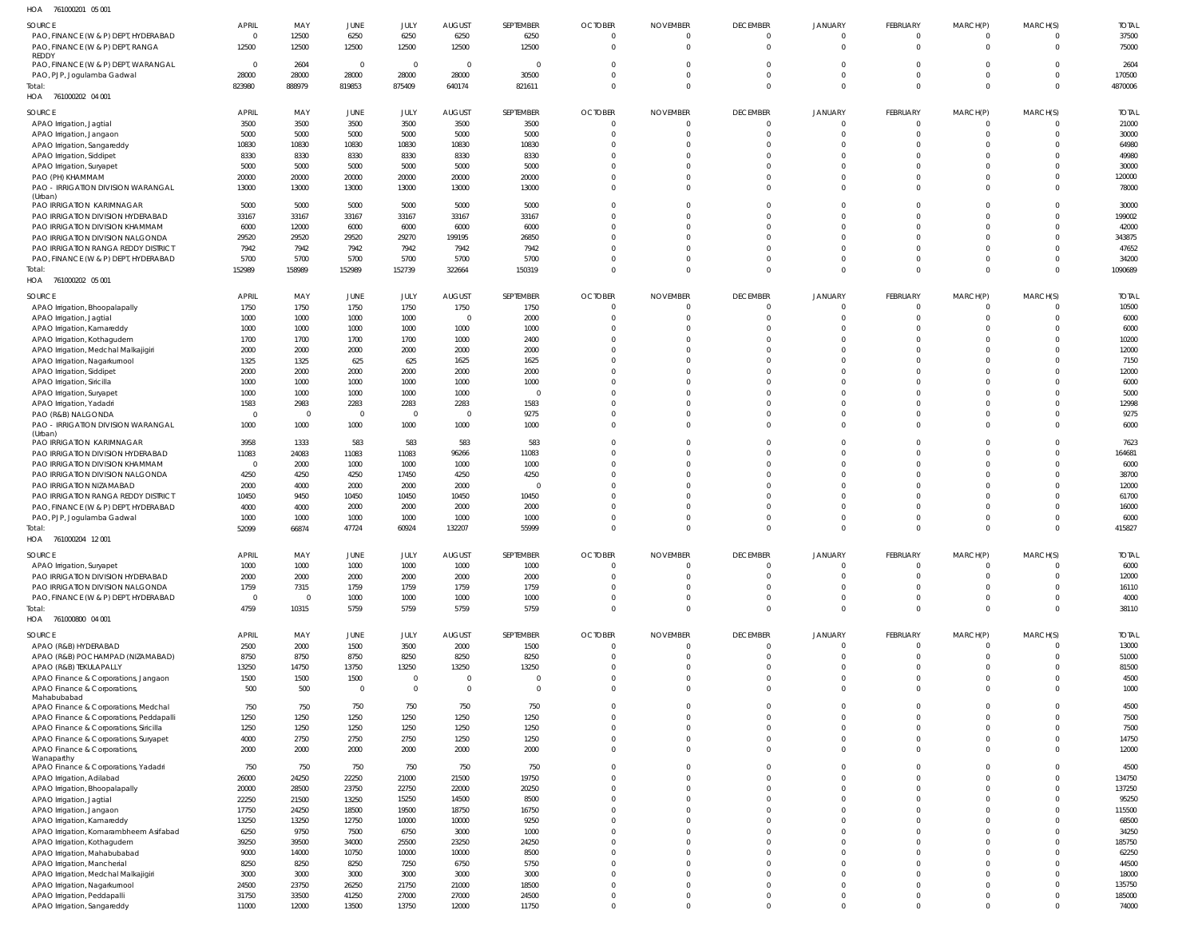| HOA<br>761000201 05 001                                           |                   |                        |                         |                         |                                  |                   |                      |                      |                      |                      |                      |                                |          |                 |
|-------------------------------------------------------------------|-------------------|------------------------|-------------------------|-------------------------|----------------------------------|-------------------|----------------------|----------------------|----------------------|----------------------|----------------------|--------------------------------|----------|-----------------|
| SOURCE                                                            | <b>APRIL</b>      | MAY                    | <b>JUNE</b>             | <b>JULY</b>             | <b>AUGUST</b>                    | SEPTEMBER         | <b>OCTOBER</b>       | <b>NOVEMBER</b>      | <b>DECEMBER</b>      | <b>JANUARY</b>       | <b>FEBRUARY</b>      | MARCH(P)                       | MARCH(S) | <b>TOTAL</b>    |
| PAO, FINANCE (W & P) DEPT, HYDERABAD                              | $\overline{0}$    | 12500                  | 6250                    | 6250                    | 6250                             | 6250              | $\overline{0}$       | $\overline{0}$       | $\Omega$             | $\Omega$             | $\Omega$             | $\mathbf{0}$                   | $\Omega$ | 37500           |
| PAO, FINANCE (W & P) DEPT, RANGA                                  | 12500             | 12500                  | 12500                   | 12500                   | 12500                            | 12500             | $\Omega$             | $\Omega$             | $\Omega$             | $\Omega$             | $\Omega$             | $\mathbf 0$                    | $\Omega$ | 75000           |
| <b>REDDY</b>                                                      |                   |                        |                         |                         |                                  |                   |                      |                      |                      |                      |                      |                                |          |                 |
| PAO, FINANCE (W & P) DEPT, WARANGAL<br>PAO, PJP, Jogulamba Gadwal | $\Omega$<br>28000 | 2604<br>28000          | $\overline{0}$<br>28000 | $\overline{0}$<br>28000 | $\overline{\mathbf{0}}$<br>28000 | $\Omega$<br>30500 | $\Omega$<br>$\Omega$ | $\Omega$<br>$\Omega$ | $\Omega$<br>$\Omega$ | $\Omega$<br>$\Omega$ | $\Omega$             | $\Omega$<br>$\mathbf{0}$       | $\Omega$ | 2604<br>170500  |
| Total:                                                            | 823980            | 888979                 | 819853                  | 875409                  | 640174                           | 821611            | $\mathbf 0$          | $\overline{0}$       | $\Omega$             | $\Omega$             | $\Omega$             | $\overline{0}$                 | $\Omega$ | 4870006         |
| HOA 761000202 04 001                                              |                   |                        |                         |                         |                                  |                   |                      |                      |                      |                      |                      |                                |          |                 |
|                                                                   |                   |                        |                         |                         |                                  |                   |                      |                      |                      |                      |                      |                                |          |                 |
| SOURCE                                                            | <b>APRIL</b>      | MAY                    | JUNE                    | JULY                    | <b>AUGUST</b>                    | SEPTEMBER         | <b>OCTOBER</b>       | <b>NOVEMBER</b>      | <b>DECEMBER</b>      | JANUARY              | FEBRUARY             | MARCH(P)                       | MARCH(S) | <b>TOTAL</b>    |
| APAO Irrigation, Jagtial                                          | 3500              | 3500                   | 3500                    | 3500                    | 3500                             | 3500              | 0                    | $\overline{0}$       | $\Omega$             | $\Omega$             | $\Omega$             | $\overline{0}$                 |          | 21000           |
| APAO Irrigation, Jangaon                                          | 5000              | 5000                   | 5000                    | 5000                    | 5000                             | 5000              | $\Omega$             | $\Omega$             | $\Omega$             | $\Omega$             | $\Omega$<br>$\Omega$ | $\overline{0}$                 | $\Omega$ | 30000           |
| APAO Irrigation, Sangareddy                                       | 10830             | 10830                  | 10830                   | 10830                   | 10830                            | 10830             | $\Omega$<br>$\Omega$ | $\Omega$<br>$\Omega$ | $\Omega$<br>$\Omega$ | $\Omega$<br>$\Omega$ | $\Omega$             | $\mathbf{0}$<br>$\overline{0}$ | $\Omega$ | 64980           |
| APAO Irrigation, Siddipet                                         | 8330<br>5000      | 8330<br>5000           | 8330<br>5000            | 8330<br>5000            | 8330<br>5000                     | 8330<br>5000      | $\Omega$             | $\Omega$             | $\Omega$             | $\Omega$             | $\Omega$             | $\Omega$                       | $\Omega$ | 49980<br>30000  |
| APAO Irrigation, Suryapet<br>PAO (PH) KHAMMAM                     | 20000             | 20000                  | 20000                   | 20000                   | 20000                            | 20000             | $\Omega$             | $\Omega$             | $\Omega$             | $\Omega$             | $\Omega$             | $\mathbf{0}$                   | $\Omega$ | 120000          |
| PAO - IRRIGATION DIVISION WARANGAL                                | 13000             | 13000                  | 13000                   | 13000                   | 13000                            | 13000             | $\Omega$             | $\Omega$             | $\Omega$             | $\Omega$             | $\Omega$             | $\Omega$                       | $\Omega$ | 78000           |
| (Urban)                                                           |                   |                        |                         |                         |                                  |                   |                      |                      |                      |                      |                      |                                |          |                 |
| PAO IRRIGATION KARIMNAGAR                                         | 5000              | 5000                   | 5000                    | 5000                    | 5000                             | 5000              | $\Omega$             | $\Omega$             | $\Omega$             | $\Omega$             | $\Omega$             | $\Omega$                       | $\Omega$ | 30000           |
| PAO IRRIGATION DIVISION HYDERABAD                                 | 33167             | 33167                  | 33167                   | 33167                   | 33167                            | 33167             | $\Omega$             | $\Omega$             | $\Omega$             | $\Omega$             | $\Omega$             | $\Omega$                       |          | 199002          |
| PAO IRRIGATION DIVISION KHAMMAM                                   | 6000              | 12000                  | 6000                    | 6000                    | 6000                             | 6000              | $\Omega$             | $\Omega$             | $\Omega$             | $\Omega$             | $\Omega$             | $\Omega$                       | $\Omega$ | 42000           |
| PAO IRRIGATION DIVISION NALGONDA                                  | 29520             | 29520                  | 29520                   | 29270                   | 199195                           | 26850             | $\Omega$             | $\Omega$             | $\Omega$             | $\Omega$             | $\Omega$             | $\Omega$                       | $\Omega$ | 343875          |
| PAO IRRIGATION RANGA REDDY DISTRICT                               | 7942              | 7942                   | 7942                    | 7942                    | 7942                             | 7942              | $\Omega$             | $\Omega$             | $\Omega$             | $\Omega$             | $\Omega$             | $\Omega$                       | $\Omega$ | 47652           |
| PAO, FINANCE (W & P) DEPT, HYDERABAD                              | 5700              | 5700                   | 5700                    | 5700                    | 5700                             | 5700              | $\Omega$             | $\Omega$             | $\Omega$             | $\Omega$             | $\Omega$             | $\mathbf{0}$                   | $\Omega$ | 34200           |
| Total:                                                            | 152989            | 158989                 | 152989                  | 152739                  | 322664                           | 150319            | $\Omega$             | $\Omega$             | $\Omega$             | $\Omega$             | $\Omega$             | $\mathbf{0}$                   | $\Omega$ | 1090689         |
| HOA 761000202 05 001                                              |                   |                        |                         |                         |                                  |                   |                      |                      |                      |                      |                      |                                |          |                 |
| SOURCE                                                            | <b>APRIL</b>      | MAY                    | JUNE                    | JULY                    | <b>AUGUST</b>                    | SEPTEMBER         | <b>OCTOBER</b>       | <b>NOVEMBER</b>      | <b>DECEMBER</b>      | JANUARY              | <b>FEBRUARY</b>      | MARCH(P)                       | MARCH(S) | <b>TOTAL</b>    |
| APAO Irrigation, Bhoopalapally                                    | 1750              | 1750                   | 1750                    | 1750                    | 1750                             | 1750              | $\overline{0}$       | $\Omega$             | $\Omega$             | $\Omega$             | $\Omega$             | $\mathbf{0}$                   | $\Omega$ | 10500           |
| APAO Irrigation, Jagtial                                          | 1000              | 1000                   | 1000                    | 1000                    | $\overline{0}$                   | 2000              | $\Omega$             | $\Omega$             | $\Omega$             | $\Omega$             | $\Omega$             | $\mathbf{0}$                   | $\Omega$ | 6000            |
| APAO Irrigation, Kamareddy                                        | 1000              | 1000                   | 1000                    | 1000                    | 1000                             | 1000              | -0                   | $\Omega$             | $\Omega$             | $\Omega$             |                      | $\Omega$                       |          | 6000            |
| APAO Irrigation, Kothagudem                                       | 1700              | 1700                   | 1700                    | 1700                    | 1000                             | 2400              | $\Omega$             | $\Omega$             | $\Omega$             | $\Omega$             |                      | $\Omega$                       |          | 10200           |
| APAO Irrigation, Medchal Malkajigiri                              | 2000              | 2000                   | 2000                    | 2000                    | 2000                             | 2000              | $\Omega$             | $\Omega$             | $\Omega$             | $\Omega$             |                      | $\Omega$                       |          | 12000           |
| APAO Irrigation, Nagarkurnool                                     | 1325              | 1325                   | 625                     | 625                     | 1625                             | 1625              | $\Omega$             | $\Omega$             | $\Omega$             | $\Omega$             |                      | $\Omega$                       |          | 7150            |
| APAO Irrigation, Siddipet                                         | 2000              | 2000                   | 2000                    | 2000                    | 2000                             | 2000              | $\Omega$             | $\Omega$             | $\Omega$             | $\Omega$             |                      | $\Omega$                       |          | 12000           |
| APAO Irrigation, Siricilla                                        | 1000              | 1000                   | 1000                    | 1000                    | 1000                             | 1000              | $\Omega$             | $\Omega$             | $\Omega$             | $\Omega$             |                      | $\Omega$                       |          | 6000            |
| APAO Irrigation, Suryapet                                         | 1000              | 1000                   | 1000                    | 1000                    | 1000                             | $\Omega$          | $\Omega$             | $\Omega$             | $\Omega$             | $\Omega$             |                      | $\Omega$                       |          | 5000            |
| APAO Irrigation, Yadadri                                          | 1583<br>$\Omega$  | 2983<br>$\overline{0}$ | 2283                    | 2283<br>$\Omega$        | 2283<br>$\overline{\mathbf{0}}$  | 1583              | $\Omega$<br>$\Omega$ | $\Omega$<br>$\Omega$ | $\Omega$<br>$\Omega$ | $\Omega$<br>$\Omega$ | $\Omega$             | $\Omega$<br>$\Omega$           |          | 12998           |
| PAO (R&B) NALGONDA<br>PAO - IRRIGATION DIVISION WARANGAL          | 1000              | 1000                   | $\overline{0}$<br>1000  | 1000                    | 1000                             | 9275<br>1000      | $\Omega$             | $\Omega$             | $\Omega$             | $\Omega$             | $\Omega$             | $\Omega$                       | $\Omega$ | 9275<br>6000    |
| (Urban)                                                           |                   |                        |                         |                         |                                  |                   |                      |                      |                      |                      |                      |                                |          |                 |
| PAO IRRIGATION KARIMNAGAR                                         | 3958              | 1333                   | 583                     | 583                     | 583                              | 583               | $\Omega$             | $\Omega$             | $\Omega$             | $\Omega$             |                      | $\Omega$                       |          | 7623            |
| PAO IRRIGATION DIVISION HYDERABAD                                 | 11083             | 24083                  | 11083                   | 11083                   | 96266                            | 11083             | $\Omega$             | $\Omega$             | $\Omega$             | $\Omega$             |                      | $\Omega$                       |          | 164681          |
| PAO IRRIGATION DIVISION KHAMMAM                                   | $\overline{0}$    | 2000                   | 1000                    | 1000                    | 1000                             | 1000              | $\Omega$             | $\Omega$             | $\Omega$             | $\Omega$             |                      | $\Omega$                       |          | 6000            |
| PAO IRRIGATION DIVISION NALGONDA                                  | 4250              | 4250                   | 4250                    | 17450                   | 4250                             | 4250              | $\Omega$             | $\Omega$             | $\Omega$             | $\Omega$             |                      | $\Omega$                       |          | 38700           |
| PAO IRRIGATION NIZAMABAD                                          | 2000              | 4000                   | 2000                    | 2000                    | 2000                             | $\overline{0}$    | $\Omega$             | $\Omega$             | $\Omega$             | $\Omega$             |                      | $\Omega$                       |          | 12000           |
| PAO IRRIGATION RANGA REDDY DISTRICT                               | 10450             | 9450                   | 10450                   | 10450                   | 10450                            | 10450             | $\Omega$             | $\Omega$             | $\Omega$             | $\Omega$             |                      | $\Omega$                       |          | 61700           |
| PAO, FINANCE (W & P) DEPT, HYDERABAD                              | 4000              | 4000                   | 2000                    | 2000                    | 2000                             | 2000              | $\Omega$             | $\Omega$             | $\Omega$             | $\Omega$             |                      | $\Omega$                       |          | 16000           |
| PAO, PJP, Jogulamba Gadwal                                        | 1000              | 1000                   | 1000                    | 1000                    | 1000                             | 1000              | $\Omega$             | $\Omega$             | $\Omega$             | $\Omega$             |                      | $\Omega$                       |          | 6000            |
| Total:                                                            | 52099             | 66874                  | 47724                   | 60924                   | 132207                           | 55999             | $\Omega$             | $\Omega$             | $\Omega$             | $\Omega$             | $\Omega$             | $\Omega$                       | $\Omega$ | 415827          |
| HOA 761000204 12001                                               |                   |                        |                         |                         |                                  |                   |                      |                      |                      |                      |                      |                                |          |                 |
| SOURCE                                                            | <b>APRIL</b>      | MAY                    | JUNE                    | JULY                    | <b>AUGUST</b>                    | SEPTEMBER         | <b>OCTOBER</b>       | <b>NOVEMBER</b>      | <b>DECEMBER</b>      | JANUARY              | <b>FEBRUARY</b>      | MARCH(P)                       | MARCH(S) | <b>TOTAL</b>    |
| APAO Irrigation, Suryapet                                         | 1000              | 1000                   | 1000                    | 1000                    | 1000                             | 1000              | $\overline{0}$       | $\overline{0}$       | $\Omega$             | $\Omega$             | $\Omega$             | $\overline{0}$                 | $\Omega$ | 6000            |
| PAO IRRIGATION DIVISION HYDERABAD                                 | 2000              | 2000                   | 2000                    | 2000                    | 2000                             | 2000              | $\overline{0}$       | $\overline{0}$       | $\Omega$             | $\Omega$             | $\Omega$             | $\overline{0}$                 | $\Omega$ | 12000           |
| PAO IRRIGATION DIVISION NALGONDA                                  | 1759              | 7315                   | 1759                    | 1759                    | 1759                             | 1759              | $\Omega$             | $\Omega$             | $\Omega$             | $\mathbf 0$          | $\Omega$             | $\overline{0}$                 | $\Omega$ | 16110           |
| PAO, FINANCE (W & P) DEPT, HYDERABAD                              | $\overline{0}$    | $\overline{0}$         | 1000                    | 1000                    | 1000                             | 1000              | $\Omega$             | $\Omega$             | $\Omega$             | $\Omega$             | $\Omega$             | $\overline{0}$                 | $\Omega$ | 4000            |
| Total:                                                            | 4759              | 10315                  | 5759                    | 5759                    | 5759                             | 5759              | $\Omega$             | $\Omega$             | $\Omega$             | $\Omega$             | $\Omega$             | $\Omega$                       | $\Omega$ | 38110           |
| HOA 761000800 04 001                                              |                   |                        |                         |                         |                                  |                   |                      |                      |                      |                      |                      |                                |          |                 |
| SOURCE                                                            | <b>APRIL</b>      | MAY                    | <b>JUNE</b>             | JULY                    | <b>AUGUST</b>                    | SEPTEMBER         | <b>OCTOBER</b>       | <b>NOVEMBER</b>      | <b>DECEMBER</b>      | JANUARY              | FEBRUARY             | MARCH(P)                       | MARCH(S) | <b>TOTAL</b>    |
| APAO (R&B) HYDERABAD                                              | 2500              | 2000                   | 1500                    | 3500                    | 2000                             | 1500              | $\mathbf{0}$         | $\mathbf{0}$         | $\Omega$             | $\Omega$             | $\Omega$             | $\mathbf{0}$                   |          | 13000           |
| APAO (R&B) POCHAMPAD (NIZAMABAD)                                  | 8750              | 8750                   | 8750                    | 8250                    | 8250                             | 8250              | $\Omega$             | $\Omega$             | $\Omega$             | $\Omega$             | $\Omega$             | $\Omega$                       | $\Omega$ | 51000           |
| APAO (R&B) TEKULAPALLY                                            | 13250             | 14750                  | 13750                   | 13250                   | 13250                            | 13250             | $\Omega$             | $\Omega$             | $\Omega$             | $\Omega$             | $\Omega$             | $\Omega$                       | $\Omega$ | 81500           |
| APAO Finance & Corporations, Jangaon                              | 1500              | 1500                   | 1500                    | $\overline{0}$          | $\overline{0}$                   | $\overline{0}$    | $\Omega$             | $\Omega$             | $\Omega$             | $\mathbf 0$          | $\Omega$             | $\mathbf 0$                    | $\Omega$ | 4500            |
| APAO Finance & Corporations,                                      | 500               | 500                    | $\overline{0}$          | $\overline{0}$          | $\overline{0}$                   | $\overline{0}$    | $\Omega$             | $\Omega$             | $\Omega$             | $\Omega$             | $\Omega$             | $\Omega$                       | $\Omega$ | 1000            |
| Mahabubabad<br>APAO Finance & Corporations, Medchal               | 750               | 750                    | 750                     | 750                     | 750                              | 750               | $\Omega$             | $\Omega$             | $\Omega$             | $\Omega$             | $\Omega$             | $\Omega$                       |          | 4500            |
| APAO Finance & Corporations, Peddapalli                           | 1250              | 1250                   | 1250                    | 1250                    | 1250                             | 1250              | $\Omega$             | $\Omega$             | $\Omega$             | $\Omega$             | $\Omega$             | $\Omega$                       | $\Omega$ | 7500            |
| APAO Finance & Corporations, Siricilla                            | 1250              | 1250                   | 1250                    | 1250                    | 1250                             | 1250              | $\Omega$             | $\Omega$             | $\Omega$             | $\Omega$             | $\Omega$             | $\Omega$                       | $\Omega$ | 7500            |
| APAO Finance & Corporations, Suryapet                             | 4000              | 2750                   | 2750                    | 2750                    | 1250                             | 1250              | $\Omega$             | $\Omega$             | $\Omega$             | $\Omega$             | $\Omega$             | $\Omega$                       |          | 14750           |
| APAO Finance & Corporations,                                      | 2000              | 2000                   | 2000                    | 2000                    | 2000                             | 2000              | $\Omega$             | $\Omega$             | $\Omega$             | $\Omega$             | $\Omega$             | $\Omega$                       | $\Omega$ | 12000           |
| Wanaparthy                                                        |                   |                        |                         |                         |                                  |                   |                      |                      |                      |                      |                      |                                |          |                 |
| APAO Finance & Corporations, Yadadri                              | 750               | 750                    | 750                     | 750                     | 750                              | 750               | $\Omega$             | $\Omega$             | $\Omega$             | $\Omega$             | $\Omega$             | $\Omega$                       |          | 4500            |
| APAO Irrigation, Adilabad                                         | 26000             | 24250                  | 22250                   | 21000                   | 21500                            | 19750             | $\Omega$             | $\Omega$             | $\Omega$             | $\Omega$             | $\Omega$             | $\Omega$                       |          | 134750          |
| APAO Irrigation, Bhoopalapally                                    | 20000             | 28500                  | 23750                   | 22750                   | 22000                            | 20250             | $\Omega$             | $\Omega$             | $\Omega$             | $\Omega$             | $\Omega$             | $\Omega$                       |          | 137250          |
| APAO Irrigation, Jagtial                                          | 22250             | 21500                  | 13250                   | 15250                   | 14500                            | 8500              | $\Omega$             | $\Omega$             | $\Omega$             | $\Omega$             | $\Omega$             | $\Omega$                       |          | 95250           |
| APAO Irrigation, Jangaon                                          | 17750             | 24250                  | 18500                   | 19500                   | 18750                            | 16750             | $\Omega$             | $\Omega$             | $\Omega$             | $\Omega$             | $\Omega$             | $\Omega$                       |          | 115500          |
| APAO Irrigation, Kamareddy                                        | 13250             | 13250                  | 12750                   | 10000                   | 10000                            | 9250              | $\Omega$             | $\Omega$             | $\Omega$             | $\Omega$             | $\Omega$             | $\Omega$                       |          | 68500           |
| APAO Irrigation, Komarambheem Asifabad                            | 6250              | 9750                   | 7500                    | 6750                    | 3000                             | 1000              | $\Omega$<br>$\Omega$ | $\Omega$<br>$\Omega$ | $\Omega$<br>$\Omega$ | $\Omega$<br>$\Omega$ | $\Omega$<br>$\Omega$ | $\Omega$<br>$\Omega$           |          | 34250<br>185750 |
| APAO Irrigation, Kothagudem<br>APAO Irrigation, Mahabubabad       | 39250<br>9000     | 39500<br>14000         | 34000<br>10750          | 25500<br>10000          | 23250<br>10000                   | 24250<br>8500     | $\Omega$             | $\Omega$             | $\Omega$             | $\Omega$             | $\Omega$             | $\Omega$                       |          | 62250           |
| APAO Irrigation, Mancherial                                       | 8250              | 8250                   | 8250                    | 7250                    | 6750                             | 5750              | $\Omega$             | $\Omega$             | $\Omega$             | $\Omega$             | $\Omega$             | $\Omega$                       |          | 44500           |
| APAO Irrigation, Medchal Malkajigiri                              | 3000              | 3000                   | 3000                    | 3000                    | 3000                             | 3000              | $\Omega$             | $\Omega$             | $\Omega$             | $\Omega$             | $\Omega$             | $\Omega$                       |          | 18000           |
| APAO Irrigation, Nagarkurnool                                     | 24500             | 23750                  | 26250                   | 21750                   | 21000                            | 18500             | $\Omega$             | $\Omega$             | $\Omega$             | $\Omega$             | $\Omega$             | $\Omega$                       | $\Omega$ | 135750          |
| APAO Irrigation, Peddapalli                                       | 31750             | 33500                  | 41250                   | 27000                   | 27000                            | 24500             | $\Omega$             | $\Omega$             | $\Omega$             | $\Omega$             | $\Omega$             | $\mathbf 0$                    |          | 185000          |
| APAO Irrigation, Sangareddy                                       | 11000             | 12000                  | 13500                   | 13750                   | 12000                            | 11750             | $\Omega$             | $\Omega$             | $\Omega$             | $\Omega$             | $\Omega$             | $\Omega$                       | $\Omega$ | 74000           |
|                                                                   |                   |                        |                         |                         |                                  |                   |                      |                      |                      |                      |                      |                                |          |                 |